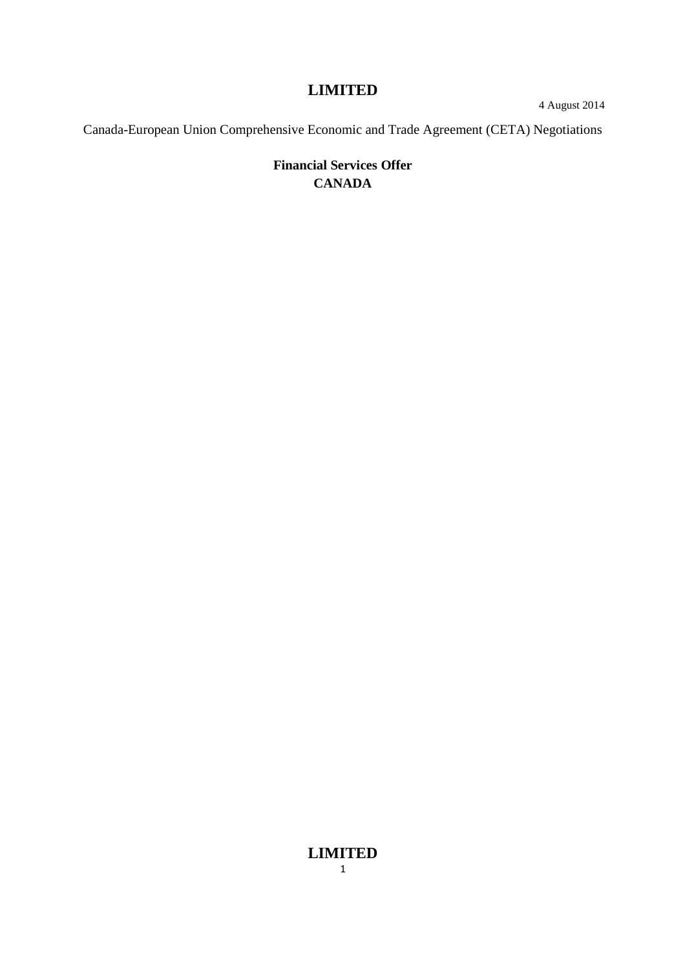4 August 2014

Canada-European Union Comprehensive Economic and Trade Agreement (CETA) Negotiations

# **Financial Services Offer CANADA**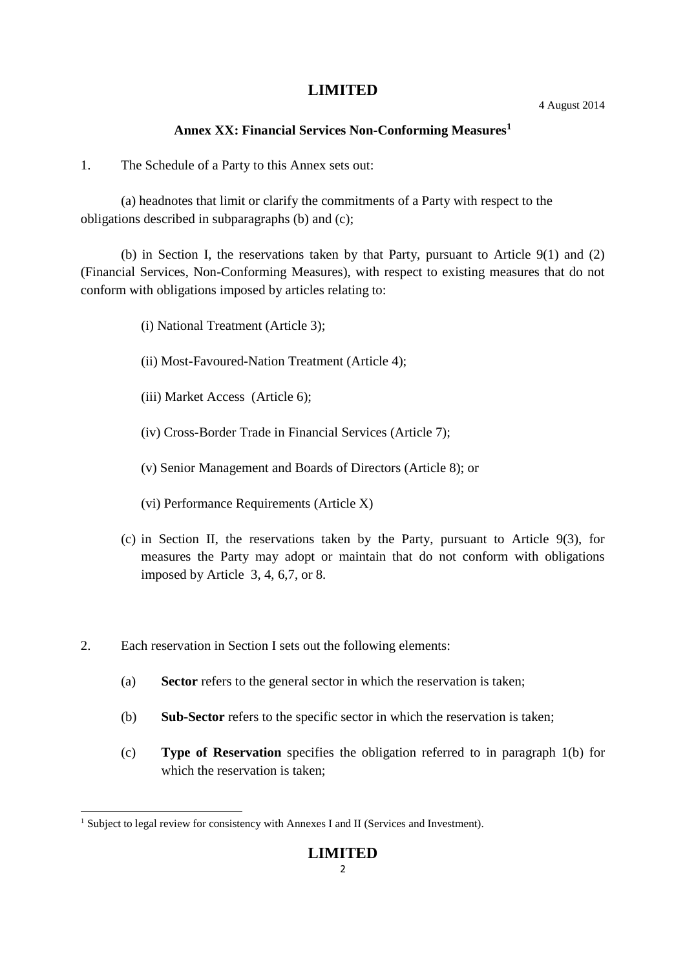#### 4 August 2014

#### **Annex XX: Financial Services Non-Conforming Measures<sup>1</sup>**

1. The Schedule of a Party to this Annex sets out:

(a) headnotes that limit or clarify the commitments of a Party with respect to the obligations described in subparagraphs (b) and (c);

(b) in Section I, the reservations taken by that Party, pursuant to Article 9(1) and (2) (Financial Services, Non-Conforming Measures), with respect to existing measures that do not conform with obligations imposed by articles relating to:

- (i) National Treatment (Article 3);
- (ii) Most-Favoured-Nation Treatment (Article 4);
- (iii) Market Access (Article 6);
- (iv) Cross-Border Trade in Financial Services (Article 7);
- (v) Senior Management and Boards of Directors (Article 8); or
- (vi) Performance Requirements (Article X)
- (c) in Section II, the reservations taken by the Party, pursuant to Article 9(3), for measures the Party may adopt or maintain that do not conform with obligations imposed by Article 3, 4, 6,7, or 8.
- 2. Each reservation in Section I sets out the following elements:
	- (a) **Sector** refers to the general sector in which the reservation is taken;
	- (b) **Sub-Sector** refers to the specific sector in which the reservation is taken;
	- (c) **Type of Reservation** specifies the obligation referred to in paragraph 1(b) for which the reservation is taken;

<sup>&</sup>lt;sup>1</sup> Subject to legal review for consistency with Annexes I and II (Services and Investment).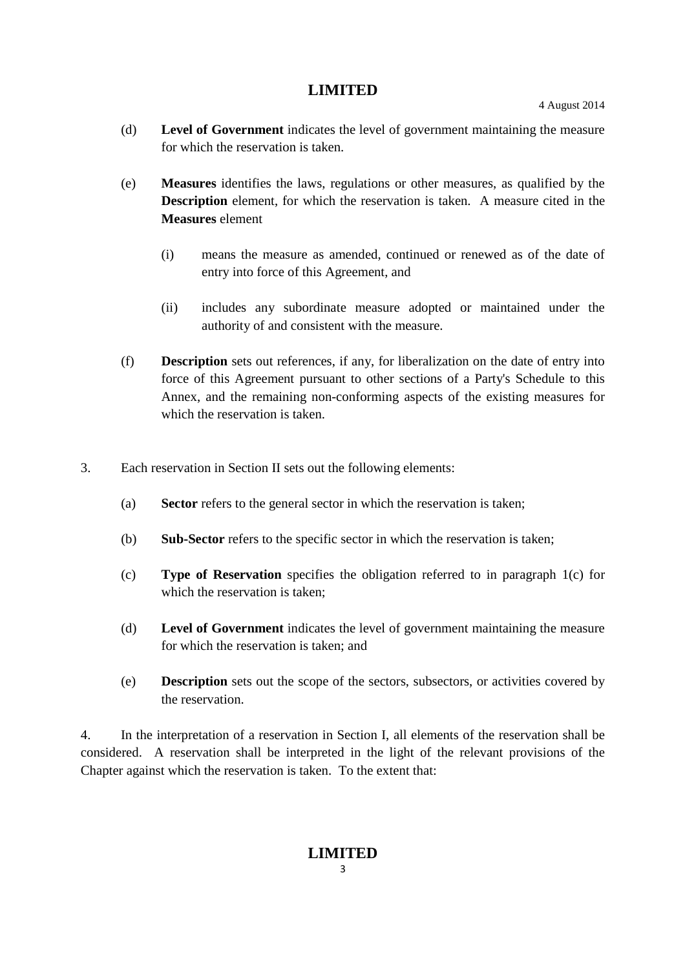4 August 2014

- (d) **Level of Government** indicates the level of government maintaining the measure for which the reservation is taken.
- (e) **Measures** identifies the laws, regulations or other measures, as qualified by the **Description** element, for which the reservation is taken. A measure cited in the **Measures** element
	- (i) means the measure as amended, continued or renewed as of the date of entry into force of this Agreement, and
	- (ii) includes any subordinate measure adopted or maintained under the authority of and consistent with the measure.
- (f) **Description** sets out references, if any, for liberalization on the date of entry into force of this Agreement pursuant to other sections of a Party's Schedule to this Annex, and the remaining non-conforming aspects of the existing measures for which the reservation is taken.
- 3. Each reservation in Section II sets out the following elements:
	- (a) **Sector** refers to the general sector in which the reservation is taken;
	- (b) **Sub-Sector** refers to the specific sector in which the reservation is taken;
	- (c) **Type of Reservation** specifies the obligation referred to in paragraph 1(c) for which the reservation is taken;
	- (d) **Level of Government** indicates the level of government maintaining the measure for which the reservation is taken; and
	- (e) **Description** sets out the scope of the sectors, subsectors, or activities covered by the reservation.

4. In the interpretation of a reservation in Section I, all elements of the reservation shall be considered. A reservation shall be interpreted in the light of the relevant provisions of the Chapter against which the reservation is taken. To the extent that: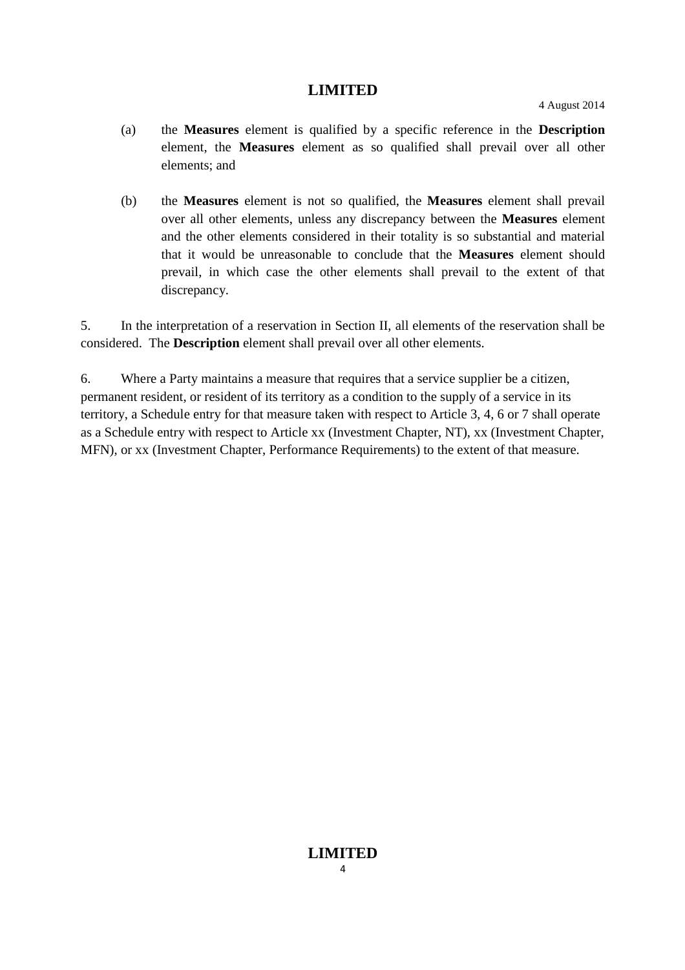- (a) the **Measures** element is qualified by a specific reference in the **Description** element, the **Measures** element as so qualified shall prevail over all other elements; and
- (b) the **Measures** element is not so qualified, the **Measures** element shall prevail over all other elements, unless any discrepancy between the **Measures** element and the other elements considered in their totality is so substantial and material that it would be unreasonable to conclude that the **Measures** element should prevail, in which case the other elements shall prevail to the extent of that discrepancy.

5. In the interpretation of a reservation in Section II, all elements of the reservation shall be considered. The **Description** element shall prevail over all other elements.

6. Where a Party maintains a measure that requires that a service supplier be a citizen, permanent resident, or resident of its territory as a condition to the supply of a service in its territory, a Schedule entry for that measure taken with respect to Article 3, 4, 6 or 7 shall operate as a Schedule entry with respect to Article xx (Investment Chapter, NT), xx (Investment Chapter, MFN), or xx (Investment Chapter, Performance Requirements) to the extent of that measure.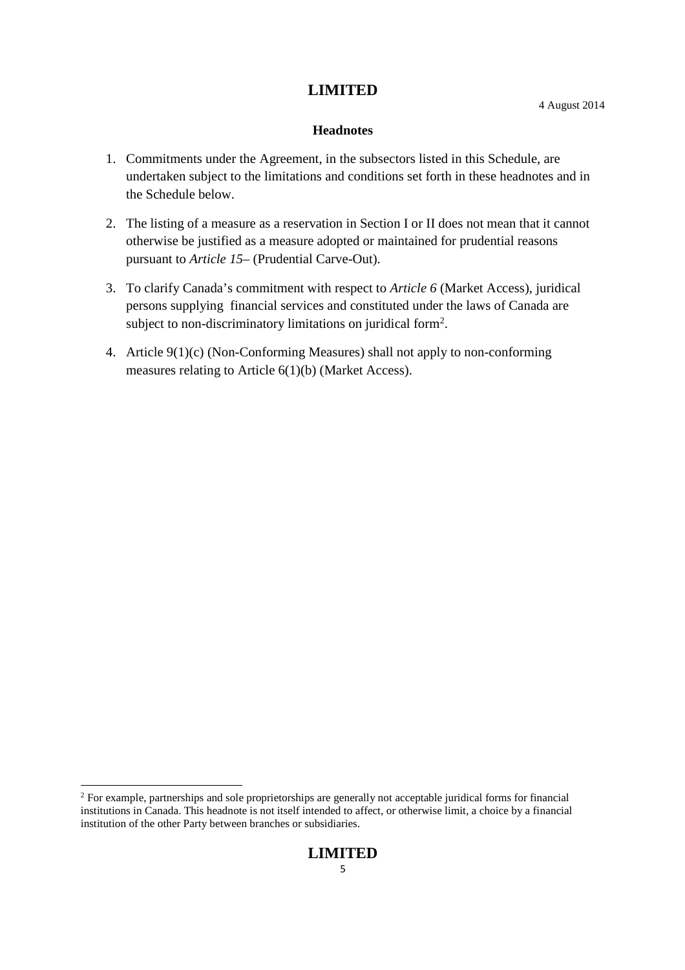#### **Headnotes**

- 1. Commitments under the Agreement, in the subsectors listed in this Schedule, are undertaken subject to the limitations and conditions set forth in these headnotes and in the Schedule below.
- 2. The listing of a measure as a reservation in Section I or II does not mean that it cannot otherwise be justified as a measure adopted or maintained for prudential reasons pursuant to *Article 15*– (Prudential Carve-Out).
- 3. To clarify Canada's commitment with respect to *Article 6* (Market Access), juridical persons supplying financial services and constituted under the laws of Canada are subject to non-discriminatory limitations on juridical form<sup>2</sup>.
- 4. Article 9(1)(c) (Non-Conforming Measures) shall not apply to non-conforming measures relating to Article 6(1)(b) (Market Access).

<sup>&</sup>lt;sup>2</sup> For example, partnerships and sole proprietorships are generally not acceptable juridical forms for financial institutions in Canada. This headnote is not itself intended to affect, or otherwise limit, a choice by a financial institution of the other Party between branches or subsidiaries.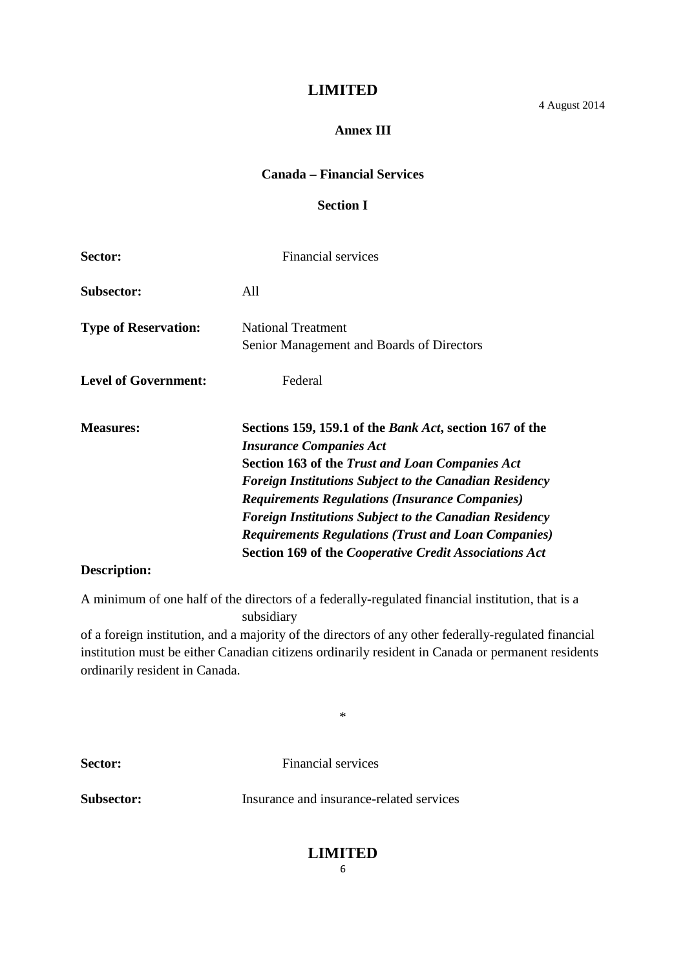4 August 2014

#### **Annex III**

### **Canada – Financial Services**

#### **Section I**

| Sector:                     | <b>Financial services</b>                                                                                                                                                                                                                                                                                                                                                                                                                                                      |
|-----------------------------|--------------------------------------------------------------------------------------------------------------------------------------------------------------------------------------------------------------------------------------------------------------------------------------------------------------------------------------------------------------------------------------------------------------------------------------------------------------------------------|
| Subsector:                  | All                                                                                                                                                                                                                                                                                                                                                                                                                                                                            |
| <b>Type of Reservation:</b> | <b>National Treatment</b><br>Senior Management and Boards of Directors                                                                                                                                                                                                                                                                                                                                                                                                         |
| <b>Level of Government:</b> | Federal                                                                                                                                                                                                                                                                                                                                                                                                                                                                        |
| <b>Measures:</b>            | Sections 159, 159.1 of the <i>Bank Act</i> , section 167 of the<br><b>Insurance Companies Act</b><br><b>Section 163 of the Trust and Loan Companies Act</b><br><b>Foreign Institutions Subject to the Canadian Residency</b><br><b>Requirements Regulations (Insurance Companies)</b><br><b>Foreign Institutions Subject to the Canadian Residency</b><br><b>Requirements Regulations (Trust and Loan Companies)</b><br>Section 169 of the Cooperative Credit Associations Act |
| Description:                |                                                                                                                                                                                                                                                                                                                                                                                                                                                                                |

A minimum of one half of the directors of a federally-regulated financial institution, that is a subsidiary

of a foreign institution, and a majority of the directors of any other federally-regulated financial institution must be either Canadian citizens ordinarily resident in Canada or permanent residents ordinarily resident in Canada.

\*

**Sector:** Financial services

**Subsector:** Insurance and insurance-related services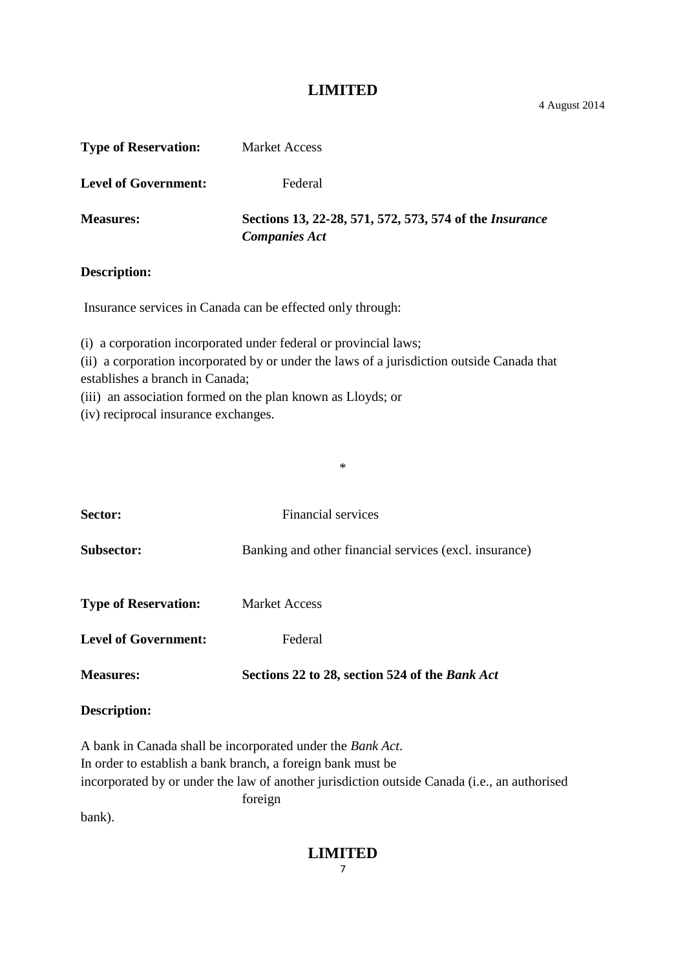4 August 2014

| <b>Type of Reservation:</b> | <b>Market Access</b>                                                                   |
|-----------------------------|----------------------------------------------------------------------------------------|
| <b>Level of Government:</b> | Federal                                                                                |
| <b>Measures:</b>            | Sections 13, 22-28, 571, 572, 573, 574 of the <i>Insurance</i><br><b>Companies Act</b> |
| <b>Description:</b>         |                                                                                        |

Insurance services in Canada can be effected only through:

(i) a corporation incorporated under federal or provincial laws;

(ii) a corporation incorporated by or under the laws of a jurisdiction outside Canada that establishes a branch in Canada;

\*

(iii) an association formed on the plan known as Lloyds; or

(iv) reciprocal insurance exchanges.

| Sector:                     | Financial services                                                                           |
|-----------------------------|----------------------------------------------------------------------------------------------|
| <b>Subsector:</b>           | Banking and other financial services (excl. insurance)                                       |
| <b>Type of Reservation:</b> | <b>Market Access</b>                                                                         |
| <b>Level of Government:</b> | Federal                                                                                      |
| <b>Measures:</b>            | Sections 22 to 28, section 524 of the Bank Act                                               |
| Description:                |                                                                                              |
|                             | A bank in Canada shall be incorporated under the Bank Act.                                   |
|                             | In order to establish a bank branch, a foreign bank must be                                  |
|                             | incorporated by or under the law of another jurisdiction outside Canada (i.e., an authorised |
|                             | foreign                                                                                      |

bank).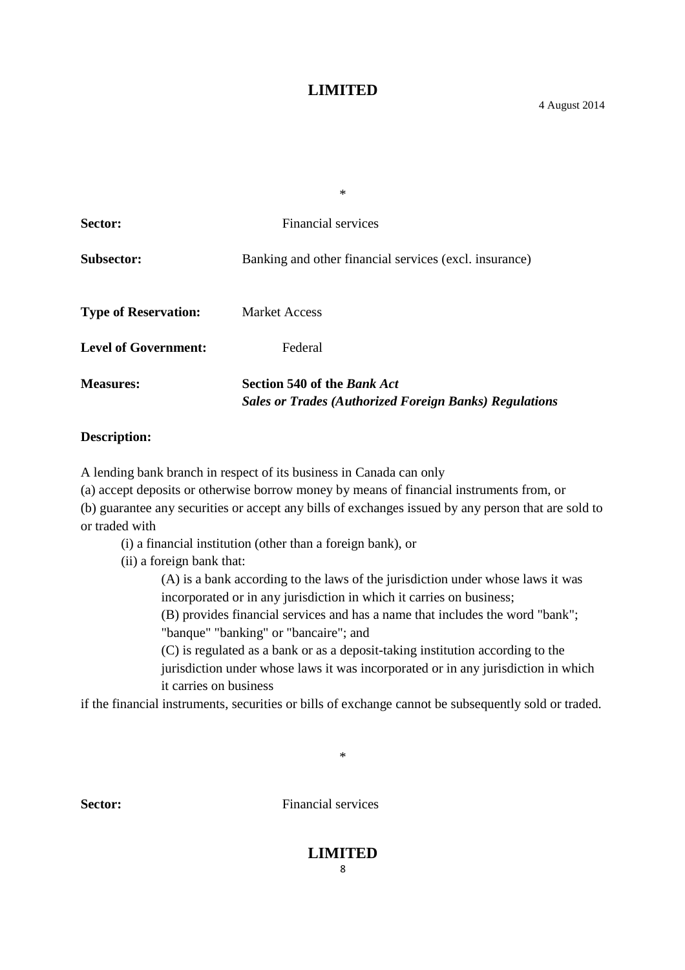|                             | $\ast$                                                                                              |
|-----------------------------|-----------------------------------------------------------------------------------------------------|
| Sector:                     | Financial services                                                                                  |
| <b>Subsector:</b>           | Banking and other financial services (excl. insurance)                                              |
| <b>Type of Reservation:</b> | <b>Market Access</b>                                                                                |
| <b>Level of Government:</b> | Federal                                                                                             |
| <b>Measures:</b>            | <b>Section 540 of the Bank Act</b><br><b>Sales or Trades (Authorized Foreign Banks) Regulations</b> |

#### **Description:**

A lending bank branch in respect of its business in Canada can only

(a) accept deposits or otherwise borrow money by means of financial instruments from, or

(b) guarantee any securities or accept any bills of exchanges issued by any person that are sold to or traded with

(i) a financial institution (other than a foreign bank), or

(ii) a foreign bank that:

(A) is a bank according to the laws of the jurisdiction under whose laws it was incorporated or in any jurisdiction in which it carries on business;

(B) provides financial services and has a name that includes the word "bank"; "banque" "banking" or "bancaire"; and

(C) is regulated as a bank or as a deposit-taking institution according to the jurisdiction under whose laws it was incorporated or in any jurisdiction in which it carries on business

if the financial instruments, securities or bills of exchange cannot be subsequently sold or traded.

\*

**Sector:** Financial services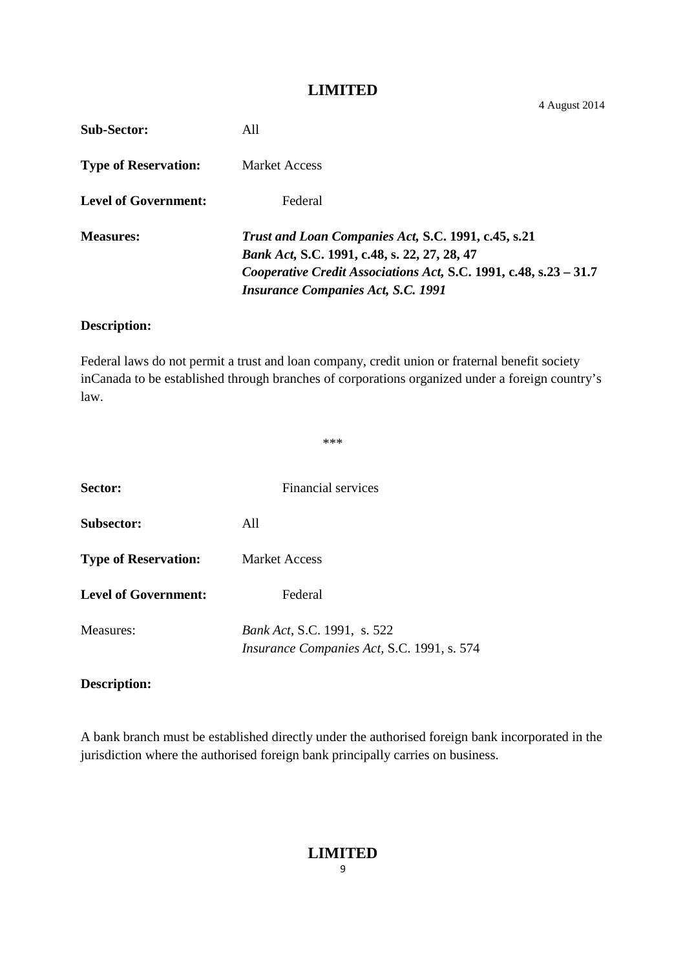4 August 2014

| <b>Sub-Sector:</b>          | A11                                                                                                                                                                                                                          |
|-----------------------------|------------------------------------------------------------------------------------------------------------------------------------------------------------------------------------------------------------------------------|
| <b>Type of Reservation:</b> | <b>Market Access</b>                                                                                                                                                                                                         |
| <b>Level of Government:</b> | Federal                                                                                                                                                                                                                      |
| <b>Measures:</b>            | Trust and Loan Companies Act, S.C. 1991, c.45, s.21<br><i>Bank Act, S.C. 1991, c.48, s. 22, 27, 28, 47</i><br>Cooperative Credit Associations Act, S.C. 1991, c.48, s.23 - 31.7<br><i>Insurance Companies Act, S.C. 1991</i> |

# **Description:**

Federal laws do not permit a trust and loan company, credit union or fraternal benefit society inCanada to be established through branches of corporations organized under a foreign country's law.

|                             | $****$                                                                    |
|-----------------------------|---------------------------------------------------------------------------|
| Sector:                     | Financial services                                                        |
| Subsector:                  | All                                                                       |
| <b>Type of Reservation:</b> | <b>Market Access</b>                                                      |
| <b>Level of Government:</b> | Federal                                                                   |
| Measures:                   | Bank Act, S.C. 1991, s. 522<br>Insurance Companies Act, S.C. 1991, s. 574 |

#### **Description:**

A bank branch must be established directly under the authorised foreign bank incorporated in the jurisdiction where the authorised foreign bank principally carries on business.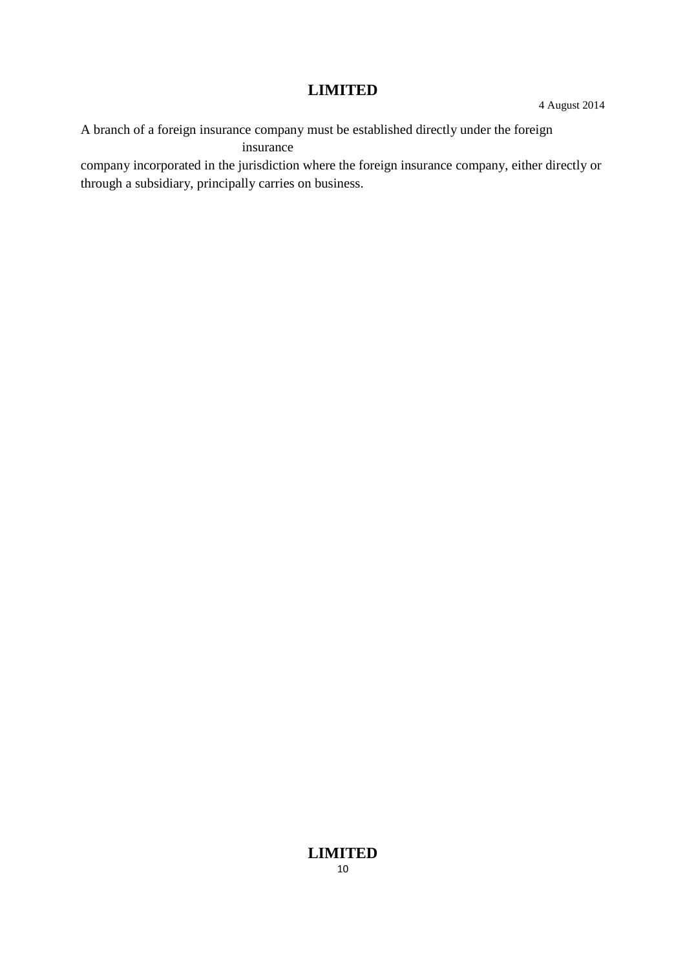A branch of a foreign insurance company must be established directly under the foreign insurance

company incorporated in the jurisdiction where the foreign insurance company, either directly or through a subsidiary, principally carries on business.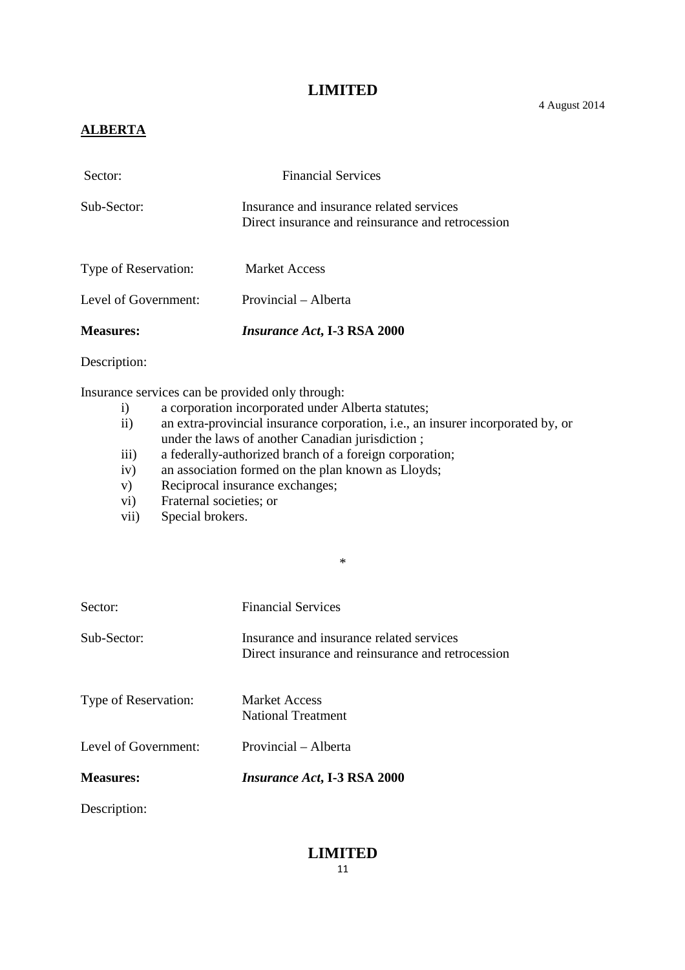# **ALBERTA**

| <b>Measures:</b>     | <i>Insurance Act</i> , I-3 RSA 2000                                                           |
|----------------------|-----------------------------------------------------------------------------------------------|
| Level of Government: | Provincial – Alberta                                                                          |
| Type of Reservation: | <b>Market Access</b>                                                                          |
| Sub-Sector:          | Insurance and insurance related services<br>Direct insurance and reinsurance and retrocession |
| Sector:              | <b>Financial Services</b>                                                                     |

Description:

Insurance services can be provided only through:

- i) a corporation incorporated under Alberta statutes;
- ii) an extra-provincial insurance corporation, i.e., an insurer incorporated by, or under the laws of another Canadian jurisdiction ;

\*

- iii) a federally-authorized branch of a foreign corporation;
- iv) an association formed on the plan known as Lloyds;
- v) Reciprocal insurance exchanges;
- vi) Fraternal societies; or
- vii) Special brokers.

| Sector:              | <b>Financial Services</b>                                                                     |
|----------------------|-----------------------------------------------------------------------------------------------|
| Sub-Sector:          | Insurance and insurance related services<br>Direct insurance and reinsurance and retrocession |
| Type of Reservation: | <b>Market Access</b><br><b>National Treatment</b>                                             |
| Level of Government: | Provincial – Alberta                                                                          |
| <b>Measures:</b>     | <i>Insurance Act</i> , I-3 RSA 2000                                                           |
| Description:         |                                                                                               |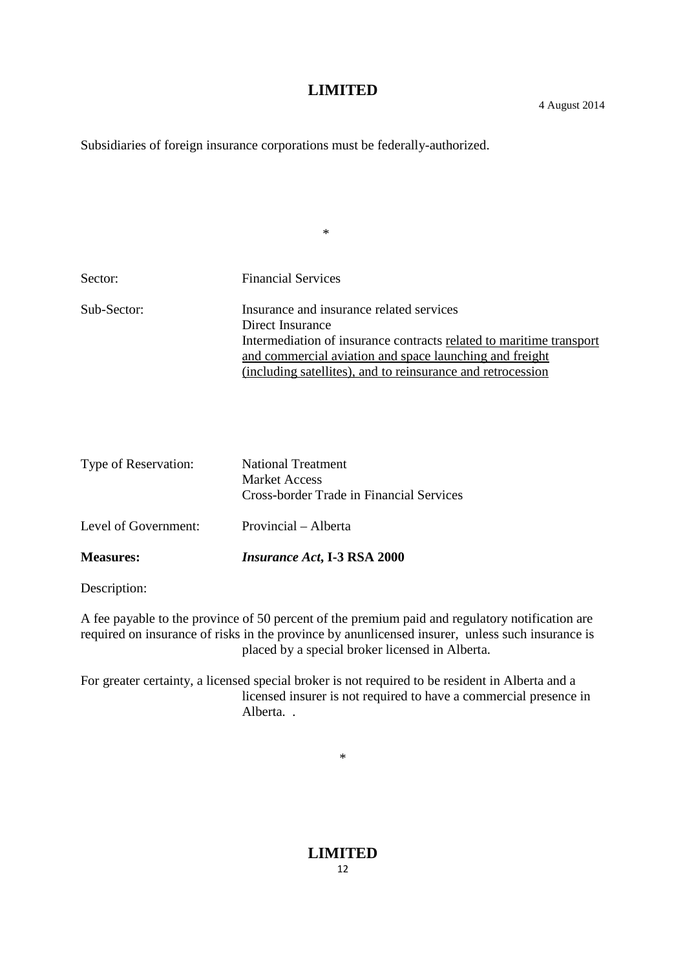Subsidiaries of foreign insurance corporations must be federally-authorized.

| Sector:     | <b>Financial Services</b>                                           |
|-------------|---------------------------------------------------------------------|
| Sub-Sector: | Insurance and insurance related services                            |
|             | Direct Insurance                                                    |
|             | Intermediation of insurance contracts related to maritime transport |
|             | and commercial aviation and space launching and freight             |
|             | (including satellites), and to reinsurance and retrocession         |

\*

| <b>Measures:</b>     | <i>Insurance Act</i> , I-3 RSA 2000                                                           |
|----------------------|-----------------------------------------------------------------------------------------------|
| Level of Government: | Provincial – Alberta                                                                          |
| Type of Reservation: | <b>National Treatment</b><br><b>Market Access</b><br>Cross-border Trade in Financial Services |

Description:

A fee payable to the province of 50 percent of the premium paid and regulatory notification are required on insurance of risks in the province by anunlicensed insurer, unless such insurance is placed by a special broker licensed in Alberta.

For greater certainty, a licensed special broker is not required to be resident in Alberta and a licensed insurer is not required to have a commercial presence in Alberta. .

\*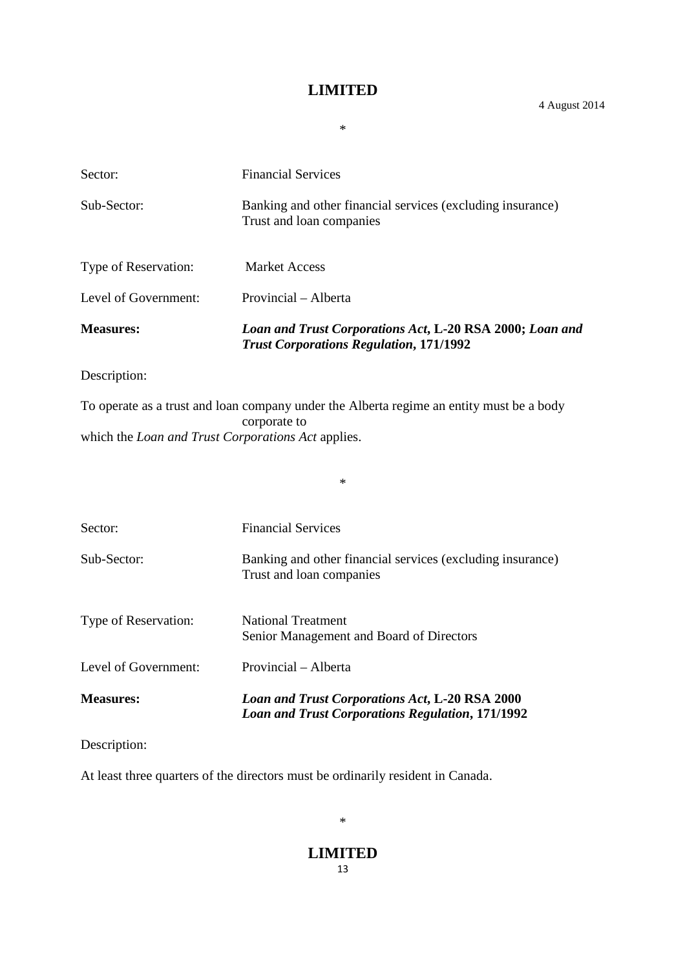\*

| Sector:              | <b>Financial Services</b>                                                                                  |
|----------------------|------------------------------------------------------------------------------------------------------------|
| Sub-Sector:          | Banking and other financial services (excluding insurance)<br>Trust and loan companies                     |
| Type of Reservation: | Market Access                                                                                              |
| Level of Government: | Provincial – Alberta                                                                                       |
| <b>Measures:</b>     | Loan and Trust Corporations Act, L-20 RSA 2000; Loan and<br><b>Trust Corporations Regulation, 171/1992</b> |
| Description:         |                                                                                                            |

To operate as a trust and loan company under the Alberta regime an entity must be a body corporate to which the *Loan and Trust Corporations Act* applies.

\*

| <b>Measures:</b>     | Loan and Trust Corporations Act, L-20 RSA 2000<br><b>Loan and Trust Corporations Regulation, 171/1992</b> |
|----------------------|-----------------------------------------------------------------------------------------------------------|
| Level of Government: | Provincial - Alberta                                                                                      |
| Type of Reservation: | <b>National Treatment</b><br>Senior Management and Board of Directors                                     |
| Sub-Sector:          | Banking and other financial services (excluding insurance)<br>Trust and loan companies                    |
| Sector:              | <b>Financial Services</b>                                                                                 |

Description:

At least three quarters of the directors must be ordinarily resident in Canada.

\*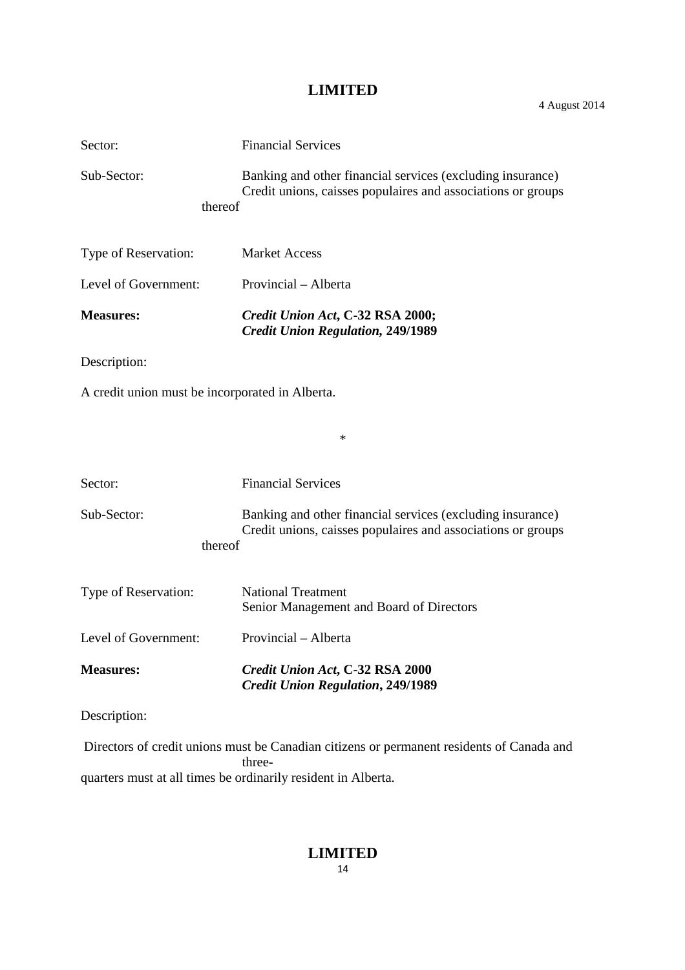| 4 August 2014 |  |
|---------------|--|
|---------------|--|

| Sector:                                         | <b>Financial Services</b>                                                                                                  |
|-------------------------------------------------|----------------------------------------------------------------------------------------------------------------------------|
| Sub-Sector:                                     | Banking and other financial services (excluding insurance)<br>Credit unions, caisses populaires and associations or groups |
| thereof                                         |                                                                                                                            |
| Type of Reservation:                            | <b>Market Access</b>                                                                                                       |
| Level of Government:                            | Provincial – Alberta                                                                                                       |
| <b>Measures:</b>                                | Credit Union Act, C-32 RSA 2000;<br><b>Credit Union Regulation, 249/1989</b>                                               |
| Description:                                    |                                                                                                                            |
| A credit union must be incorporated in Alberta. |                                                                                                                            |
|                                                 | ∗                                                                                                                          |
|                                                 |                                                                                                                            |
| Sector:                                         | <b>Financial Services</b>                                                                                                  |
| Sub-Sector:                                     | Banking and other financial services (excluding insurance)<br>Credit unions, caisses populaires and associations or groups |
| thereof                                         |                                                                                                                            |
| Type of Reservation:                            | <b>National Treatment</b><br>Senior Management and Board of Directors                                                      |
| Level of Government:                            | Provincial – Alberta                                                                                                       |
| <b>Measures:</b>                                | Credit Union Act, C-32 RSA 2000<br><b>Credit Union Regulation, 249/1989</b>                                                |
| Description:                                    |                                                                                                                            |
|                                                 | Directors of credit unions must be Canadian citizens or permanent residents of Canada and                                  |

threequarters must at all times be ordinarily resident in Alberta.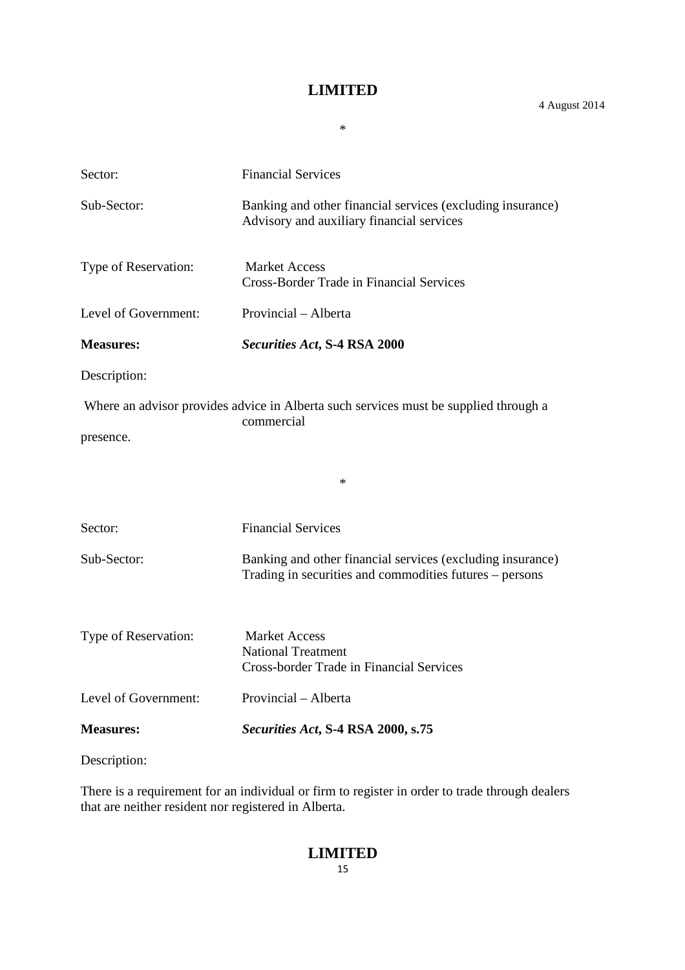\*

4 August 2014

Sector: Financial Services Sub-Sector: Banking and other financial services (excluding insurance) Advisory and auxiliary financial services Type of Reservation: Market Access Cross-Border Trade in Financial Services Level of Government: Provincial – Alberta **Measures:** *Securities Act***, S-4 RSA 2000** Description: Where an advisor provides advice in Alberta such services must be supplied through a commercial presence. \* Sector: Financial Services Sub-Sector: Banking and other financial services (excluding insurance) Trading in securities and commodities futures – persons Type of Reservation: Market Access National Treatment Cross-border Trade in Financial Services Level of Government: Provincial – Alberta **Measures:** *Securities Act***, S-4 RSA 2000, s.75**

Description:

There is a requirement for an individual or firm to register in order to trade through dealers that are neither resident nor registered in Alberta.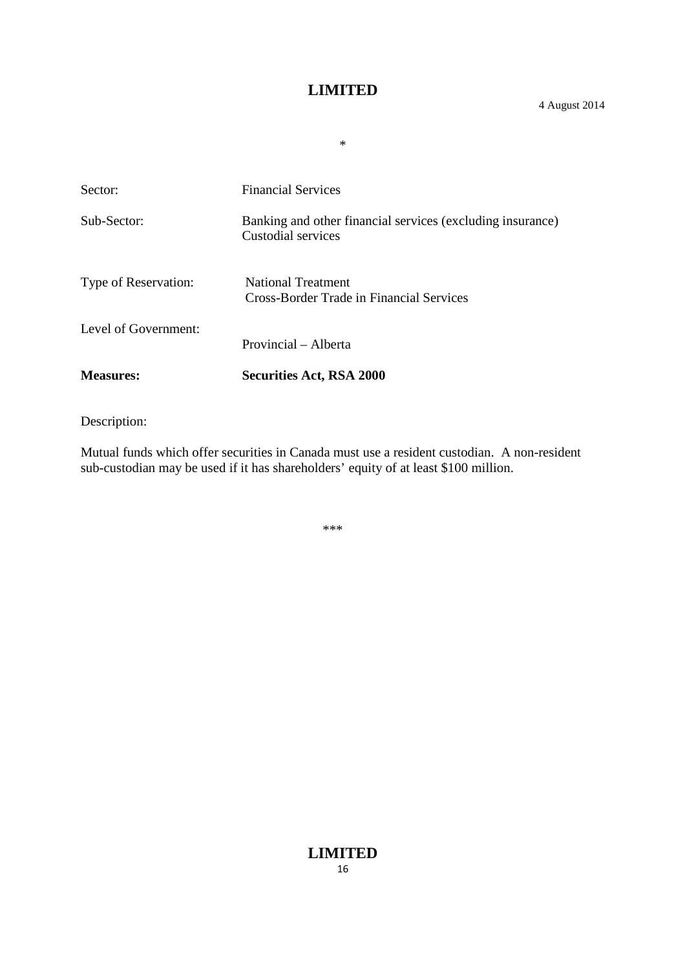\*

Sector: Financial Services Sub-Sector: Banking and other financial services (excluding insurance) Custodial services Type of Reservation: National Treatment Cross-Border Trade in Financial Services Level of Government: Provincial – Alberta **Measures: Securities Act, RSA 2000**

Description:

Mutual funds which offer securities in Canada must use a resident custodian. A non-resident sub-custodian may be used if it has shareholders' equity of at least \$100 million.

\*\*\*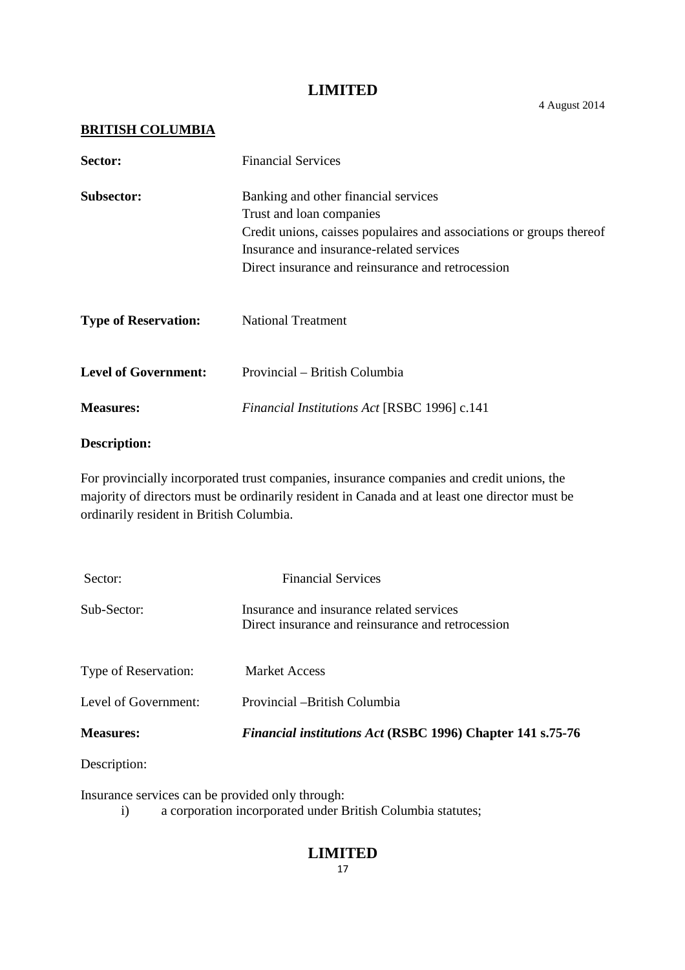#### **BRITISH COLUMBIA**

| Sector:                     | <b>Financial Services</b>                                                                                                                                                                                                                 |
|-----------------------------|-------------------------------------------------------------------------------------------------------------------------------------------------------------------------------------------------------------------------------------------|
| <b>Subsector:</b>           | Banking and other financial services<br>Trust and loan companies<br>Credit unions, caisses populaires and associations or groups thereof<br>Insurance and insurance-related services<br>Direct insurance and reinsurance and retrocession |
| <b>Type of Reservation:</b> | <b>National Treatment</b>                                                                                                                                                                                                                 |
| <b>Level of Government:</b> | Provincial – British Columbia                                                                                                                                                                                                             |
| <b>Measures:</b>            | <b>Financial Institutions Act [RSBC 1996] c.141</b>                                                                                                                                                                                       |

#### **Description:**

For provincially incorporated trust companies, insurance companies and credit unions, the majority of directors must be ordinarily resident in Canada and at least one director must be ordinarily resident in British Columbia.

| Sector:              | <b>Financial Services</b>                                                                     |
|----------------------|-----------------------------------------------------------------------------------------------|
| Sub-Sector:          | Insurance and insurance related services<br>Direct insurance and reinsurance and retrocession |
| Type of Reservation: | <b>Market Access</b>                                                                          |
| Level of Government: | Provincial – British Columbia                                                                 |
| <b>Measures:</b>     | <b>Financial institutions Act (RSBC 1996) Chapter 141 s.75-76</b>                             |
|                      |                                                                                               |

Description:

Insurance services can be provided only through:

i) a corporation incorporated under British Columbia statutes;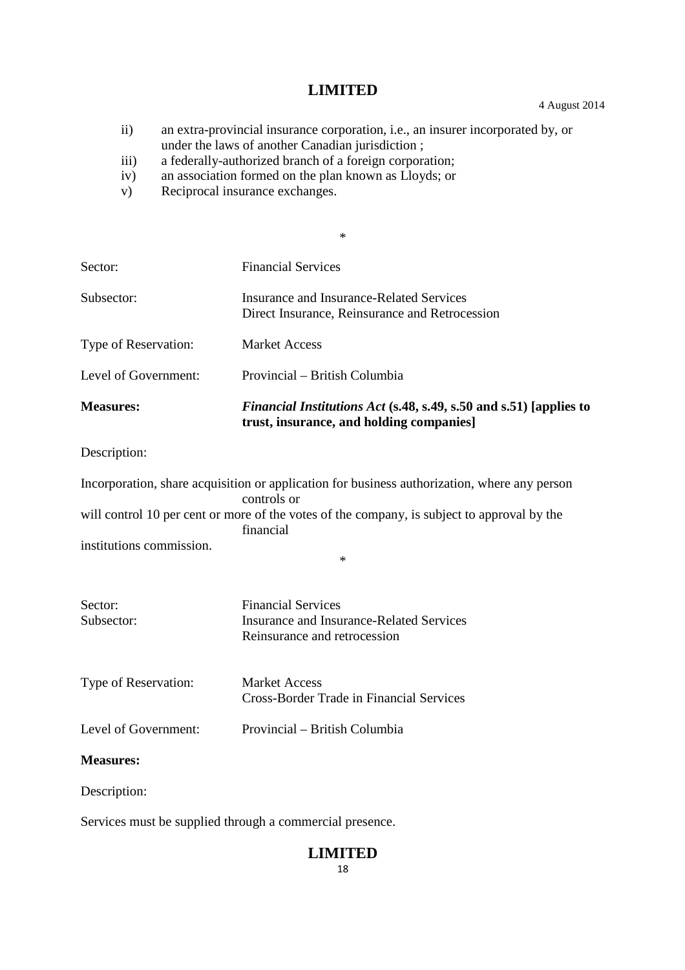ii) an extra-provincial insurance corporation, i.e., an insurer incorporated by, or under the laws of another Canadian jurisdiction ;

\*

- iii) a federally-authorized branch of a foreign corporation;
- iv) an association formed on the plan known as Lloyds; or
- v) Reciprocal insurance exchanges.

| Sector:                  | <b>Financial Services</b>                                                                                                                                                                                                         |
|--------------------------|-----------------------------------------------------------------------------------------------------------------------------------------------------------------------------------------------------------------------------------|
| Subsector:               | <b>Insurance and Insurance-Related Services</b><br>Direct Insurance, Reinsurance and Retrocession                                                                                                                                 |
| Type of Reservation:     | <b>Market Access</b>                                                                                                                                                                                                              |
| Level of Government:     | Provincial – British Columbia                                                                                                                                                                                                     |
| <b>Measures:</b>         | <i>Financial Institutions Act</i> (s.48, s.49, s.50 and s.51) [applies to<br>trust, insurance, and holding companies]                                                                                                             |
| Description:             |                                                                                                                                                                                                                                   |
| institutions commission. | Incorporation, share acquisition or application for business authorization, where any person<br>controls or<br>will control 10 per cent or more of the votes of the company, is subject to approval by the<br>financial<br>$\ast$ |
| Sector:<br>Subsector:    | <b>Financial Services</b><br><b>Insurance and Insurance-Related Services</b><br>Reinsurance and retrocession                                                                                                                      |
| Type of Reservation:     | <b>Market Access</b><br><b>Cross-Border Trade in Financial Services</b>                                                                                                                                                           |
| Level of Government:     | Provincial - British Columbia                                                                                                                                                                                                     |
| <b>Measures:</b>         |                                                                                                                                                                                                                                   |
| Description:             |                                                                                                                                                                                                                                   |

Services must be supplied through a commercial presence.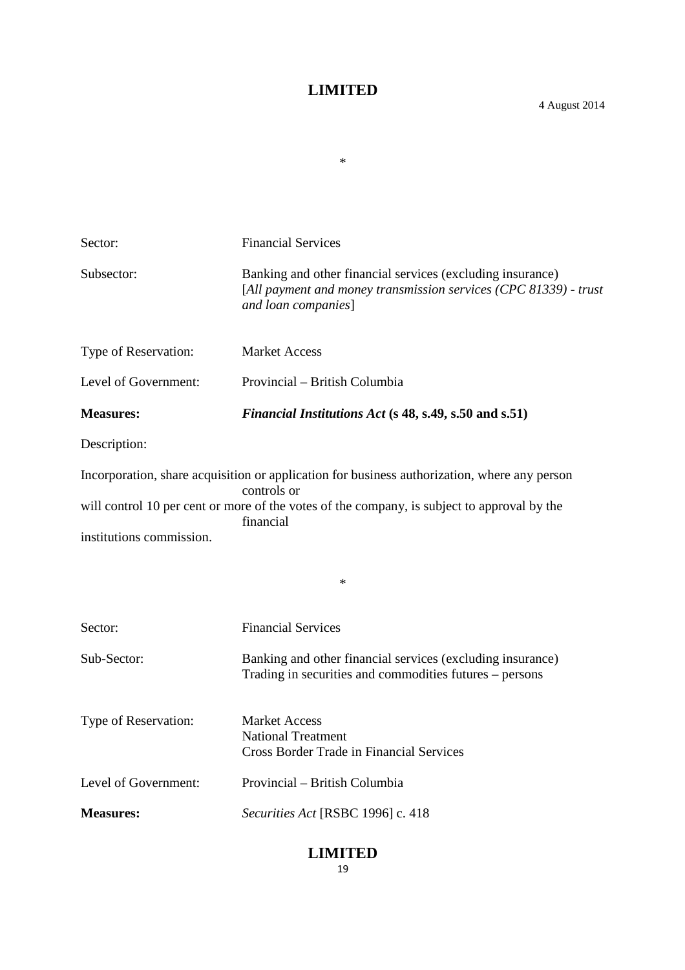\*

| Sector:                                                                                                                                             | <b>Financial Services</b>                                                                                                                             |
|-----------------------------------------------------------------------------------------------------------------------------------------------------|-------------------------------------------------------------------------------------------------------------------------------------------------------|
| Subsector:                                                                                                                                          | Banking and other financial services (excluding insurance)<br>[All payment and money transmission services (CPC 81339) - trust<br>and loan companies] |
| Type of Reservation:                                                                                                                                | <b>Market Access</b>                                                                                                                                  |
| Level of Government:                                                                                                                                | Provincial – British Columbia                                                                                                                         |
| <b>Measures:</b>                                                                                                                                    | Financial Institutions Act (s 48, s.49, s.50 and s.51)                                                                                                |
| Description:                                                                                                                                        |                                                                                                                                                       |
|                                                                                                                                                     | Incorporation, share acquisition or application for business authorization, where any person                                                          |
| controls or<br>will control 10 per cent or more of the votes of the company, is subject to approval by the<br>financial<br>institutions commission. |                                                                                                                                                       |
|                                                                                                                                                     |                                                                                                                                                       |
| Sector:                                                                                                                                             | <b>Financial Services</b>                                                                                                                             |
| Sub-Sector:                                                                                                                                         | Banking and other financial services (excluding insurance)<br>Trading in securities and commodities futures – persons                                 |
| Type of Reservation:                                                                                                                                | <b>Market Access</b><br><b>National Treatment</b><br><b>Cross Border Trade in Financial Services</b>                                                  |
| Level of Government:                                                                                                                                | Provincial – British Columbia                                                                                                                         |
| <b>Measures:</b>                                                                                                                                    | Securities Act [RSBC 1996] c. 418                                                                                                                     |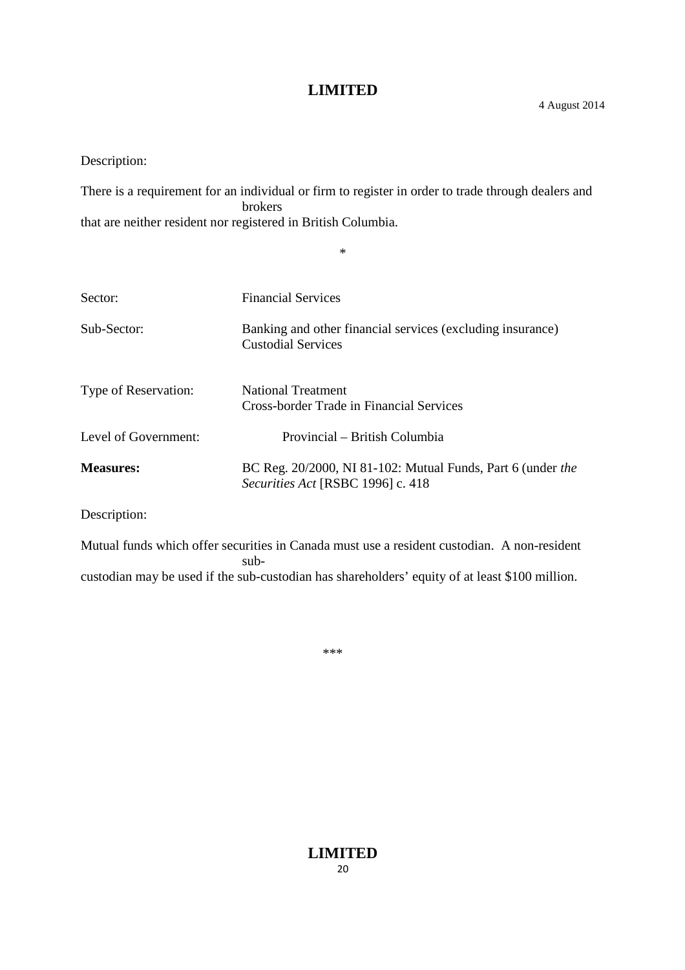Description:

There is a requirement for an individual or firm to register in order to trade through dealers and brokers that are neither resident nor registered in British Columbia.

\*

| <b>Financial Services</b>                                                                        |
|--------------------------------------------------------------------------------------------------|
| Banking and other financial services (excluding insurance)<br><b>Custodial Services</b>          |
| <b>National Treatment</b><br>Cross-border Trade in Financial Services                            |
| Provincial – British Columbia                                                                    |
| BC Reg. 20/2000, NI 81-102: Mutual Funds, Part 6 (under the<br>Securities Act [RSBC 1996] c. 418 |
|                                                                                                  |

Description:

Mutual funds which offer securities in Canada must use a resident custodian. A non-resident subcustodian may be used if the sub-custodian has shareholders' equity of at least \$100 million.

\*\*\*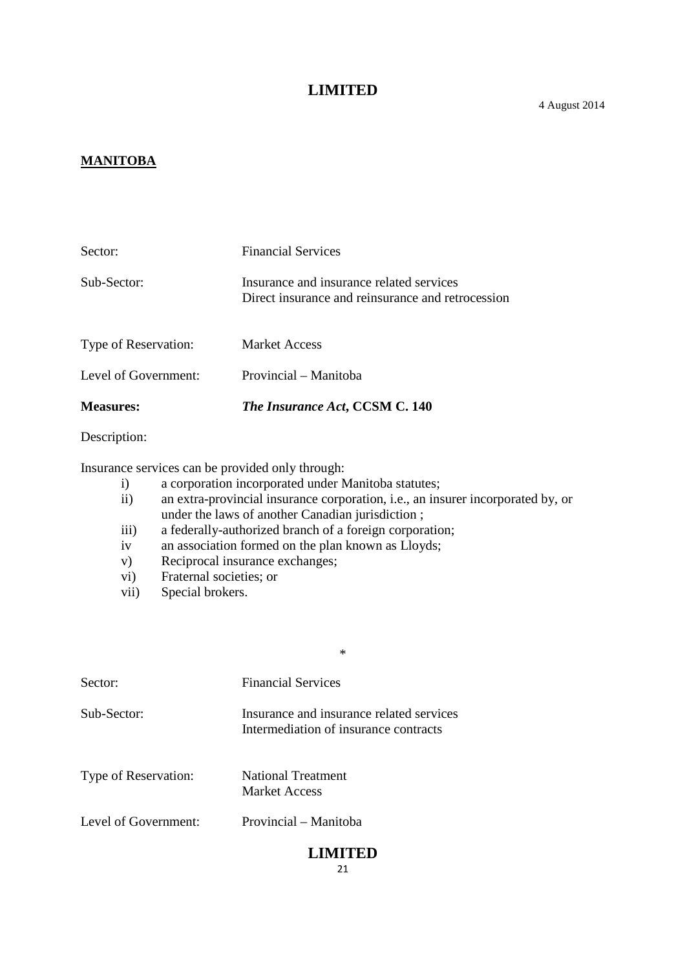#### **MANITOBA**

| <b>Measures:</b>     | The Insurance Act, CCSM C. 140                                                                |
|----------------------|-----------------------------------------------------------------------------------------------|
| Level of Government: | Provincial – Manitoba                                                                         |
| Type of Reservation: | <b>Market Access</b>                                                                          |
| Sub-Sector:          | Insurance and insurance related services<br>Direct insurance and reinsurance and retrocession |
| Sector:              | <b>Financial Services</b>                                                                     |

Description:

Insurance services can be provided only through:

- i) a corporation incorporated under Manitoba statutes;
- ii) an extra-provincial insurance corporation, i.e., an insurer incorporated by, or under the laws of another Canadian jurisdiction ;

\*

- iii) a federally-authorized branch of a foreign corporation;
- iv an association formed on the plan known as Lloyds;
- v) Reciprocal insurance exchanges;
- vi) Fraternal societies; or
- vii) Special brokers.

| Sector:              | <b>Financial Services</b>                                                         |
|----------------------|-----------------------------------------------------------------------------------|
| Sub-Sector:          | Insurance and insurance related services<br>Intermediation of insurance contracts |
| Type of Reservation: | <b>National Treatment</b><br>Market Access                                        |
| Level of Government: | Provincial – Manitoba                                                             |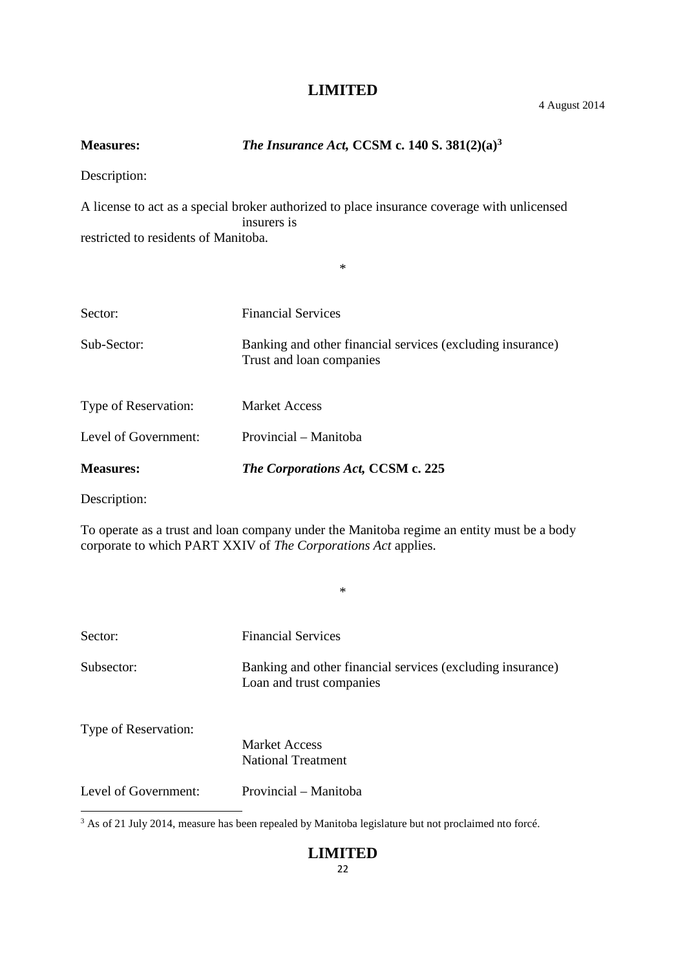4 August 2014

| <b>Measures:</b>                               | The Insurance Act, CCSM c. 140 S. $381(2)(a)^3$                                                            |
|------------------------------------------------|------------------------------------------------------------------------------------------------------------|
| Description:                                   |                                                                                                            |
|                                                | A license to act as a special broker authorized to place insurance coverage with unlicensed<br>insurers is |
| restricted to residents of Manitoba.           |                                                                                                            |
|                                                | $\ast$                                                                                                     |
| Sector:                                        | <b>Financial Services</b>                                                                                  |
| Sub-Sector:                                    | Banking and other financial services (excluding insurance)<br>Trust and loan companies                     |
| Type of Reservation:                           | <b>Market Access</b>                                                                                       |
| Level of Government:                           | Provincial - Manitoba                                                                                      |
| <b>Measures:</b>                               | The Corporations Act, CCSM c. 225                                                                          |
| $\mathbf{D}$ and $\mathbf{D}$ and $\mathbf{D}$ |                                                                                                            |

Description:

To operate as a trust and loan company under the Manitoba regime an entity must be a body corporate to which PART XXIV of *The Corporations Act* applies.

\*

| Sector:              | <b>Financial Services</b>                                                              |
|----------------------|----------------------------------------------------------------------------------------|
| Subsector:           | Banking and other financial services (excluding insurance)<br>Loan and trust companies |
| Type of Reservation: | <b>Market Access</b><br><b>National Treatment</b>                                      |
| Level of Government: | Provincial – Manitoba                                                                  |

<sup>3</sup> As of 21 July 2014, measure has been repealed by Manitoba legislature but not proclaimed nto forcé.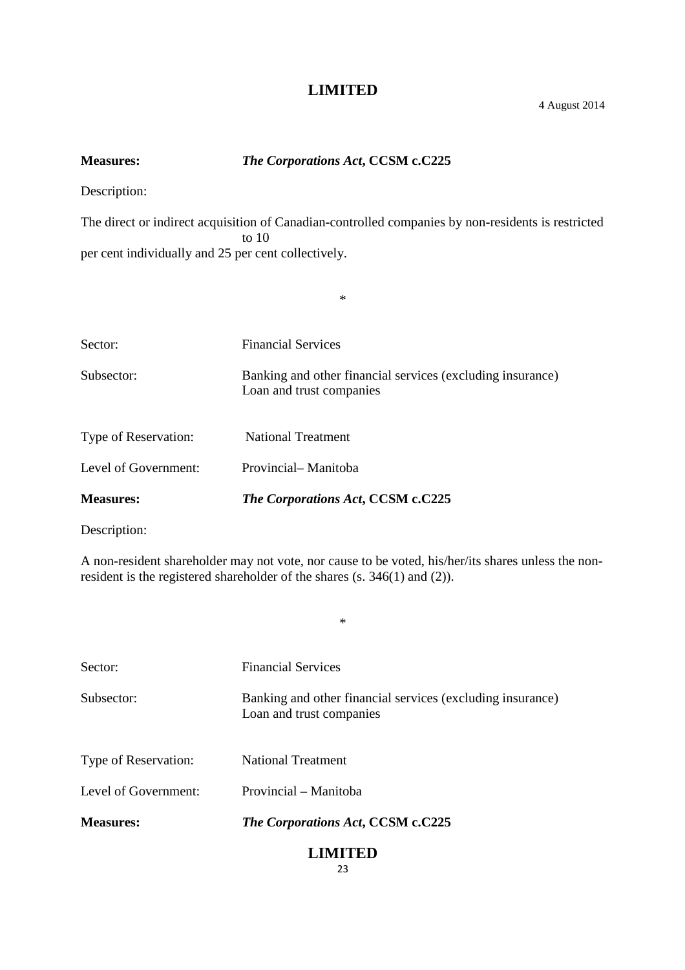# **Measures:** *The Corporations Act***, CCSM c.C225**

Description:

The direct or indirect acquisition of Canadian-controlled companies by non-residents is restricted to 10 per cent individually and 25 per cent collectively.

\*

| <b>Measures:</b>            | The Corporations Act, CCSM c.C225                                                      |
|-----------------------------|----------------------------------------------------------------------------------------|
| Level of Government:        | Provincial-Manitoba                                                                    |
| <b>Type of Reservation:</b> | <b>National Treatment</b>                                                              |
| Subsector:                  | Banking and other financial services (excluding insurance)<br>Loan and trust companies |
| Sector:                     | <b>Financial Services</b>                                                              |
|                             |                                                                                        |

Description:

A non-resident shareholder may not vote, nor cause to be voted, his/her/its shares unless the nonresident is the registered shareholder of the shares (s. 346(1) and (2)).

\*

| <b>Measures:</b>     | The Corporations Act, CCSM c.C225                                                      |
|----------------------|----------------------------------------------------------------------------------------|
| Level of Government: | Provincial – Manitoba                                                                  |
| Type of Reservation: | <b>National Treatment</b>                                                              |
| Subsector:           | Banking and other financial services (excluding insurance)<br>Loan and trust companies |
| Sector:              | <b>Financial Services</b>                                                              |
|                      |                                                                                        |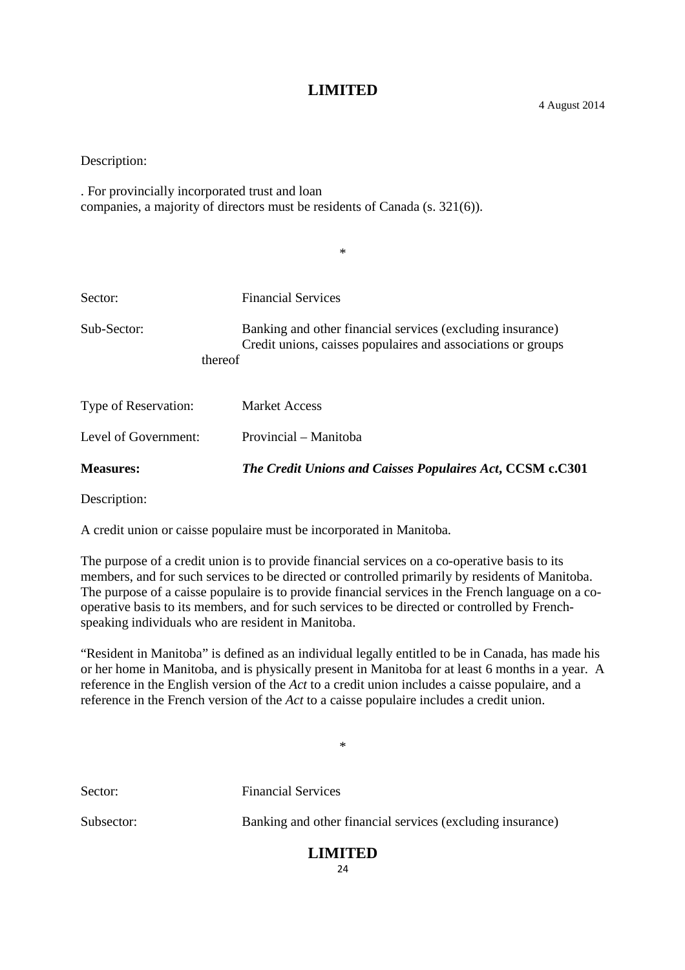Description:

. For provincially incorporated trust and loan companies, a majority of directors must be residents of Canada (s. 321(6)).

|                        | $\ast$                                                                                                                     |
|------------------------|----------------------------------------------------------------------------------------------------------------------------|
|                        |                                                                                                                            |
| Sector:                | <b>Financial Services</b>                                                                                                  |
| Sub-Sector:<br>thereof | Banking and other financial services (excluding insurance)<br>Credit unions, caisses populaires and associations or groups |
| Type of Reservation:   | <b>Market Access</b>                                                                                                       |
| Level of Government:   | Provincial – Manitoba                                                                                                      |
| <b>Measures:</b>       | The Credit Unions and Caisses Populaires Act, CCSM c.C301                                                                  |

Description:

A credit union or caisse populaire must be incorporated in Manitoba.

The purpose of a credit union is to provide financial services on a co-operative basis to its members, and for such services to be directed or controlled primarily by residents of Manitoba. The purpose of a caisse populaire is to provide financial services in the French language on a cooperative basis to its members, and for such services to be directed or controlled by Frenchspeaking individuals who are resident in Manitoba.

"Resident in Manitoba" is defined as an individual legally entitled to be in Canada, has made his or her home in Manitoba, and is physically present in Manitoba for at least 6 months in a year. A reference in the English version of the *Act* to a credit union includes a caisse populaire, and a reference in the French version of the *Act* to a caisse populaire includes a credit union.

\*

Sector: Financial Services

Subsector: Banking and other financial services (excluding insurance)

# **LIMITED**

 $24$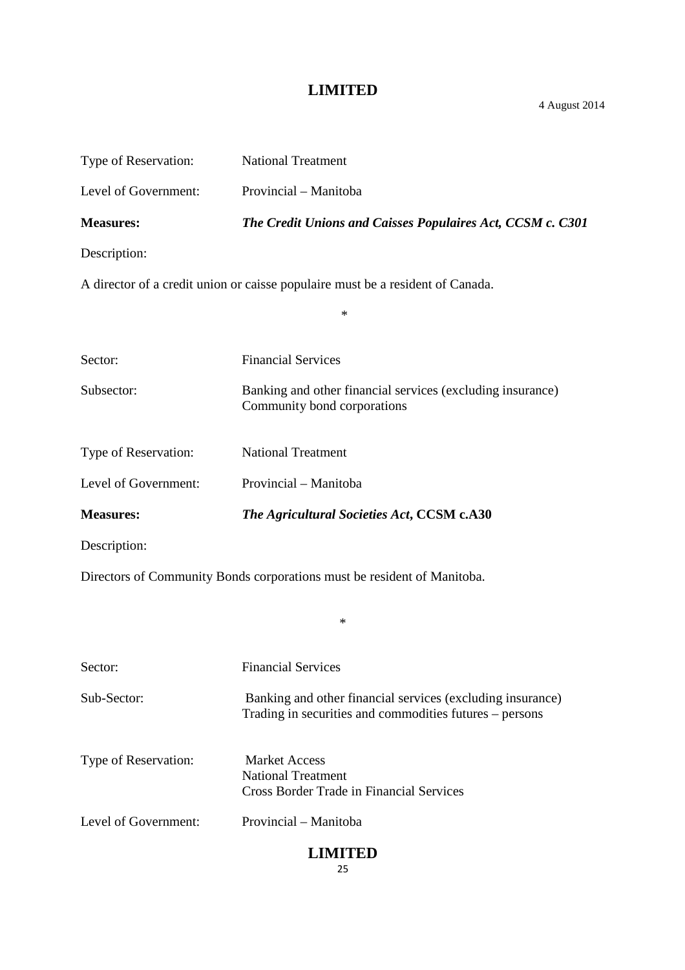4 August 2014

| Type of Reservation:                                                           | <b>National Treatment</b>                                                                                             |  |
|--------------------------------------------------------------------------------|-----------------------------------------------------------------------------------------------------------------------|--|
| Level of Government:                                                           | Provincial - Manitoba                                                                                                 |  |
| <b>Measures:</b>                                                               | The Credit Unions and Caisses Populaires Act, CCSM c. C301                                                            |  |
| Description:                                                                   |                                                                                                                       |  |
| A director of a credit union or caisse populaire must be a resident of Canada. |                                                                                                                       |  |
|                                                                                | $\ast$                                                                                                                |  |
| Sector:                                                                        | <b>Financial Services</b>                                                                                             |  |
| Subsector:                                                                     | Banking and other financial services (excluding insurance)<br>Community bond corporations                             |  |
| Type of Reservation:                                                           | <b>National Treatment</b>                                                                                             |  |
| Level of Government:                                                           | Provincial - Manitoba                                                                                                 |  |
| <b>Measures:</b>                                                               | The Agricultural Societies Act, CCSM c.A30                                                                            |  |
|                                                                                |                                                                                                                       |  |
| Description:                                                                   |                                                                                                                       |  |
|                                                                                | Directors of Community Bonds corporations must be resident of Manitoba.                                               |  |
|                                                                                | ∗                                                                                                                     |  |
| Sector:                                                                        | <b>Financial Services</b>                                                                                             |  |
| Sub-Sector:                                                                    | Banking and other financial services (excluding insurance)<br>Trading in securities and commodities futures - persons |  |
| Type of Reservation:                                                           | <b>Market Access</b><br><b>National Treatment</b><br><b>Cross Border Trade in Financial Services</b>                  |  |
| Level of Government:                                                           | Provincial - Manitoba                                                                                                 |  |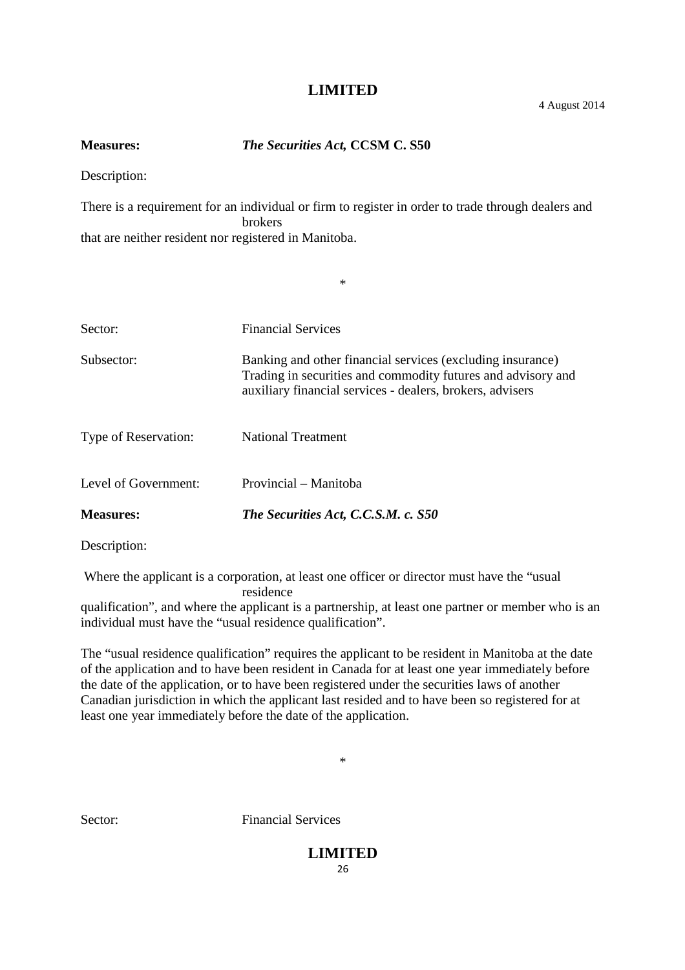**Measures:** *The Securities Act,* **CCSM C. S50**

Description:

There is a requirement for an individual or firm to register in order to trade through dealers and brokers that are neither resident nor registered in Manitoba.

\*

| Sector:              | <b>Financial Services</b>                                                                                                                                                               |
|----------------------|-----------------------------------------------------------------------------------------------------------------------------------------------------------------------------------------|
| Subsector:           | Banking and other financial services (excluding insurance)<br>Trading in securities and commodity futures and advisory and<br>auxiliary financial services - dealers, brokers, advisers |
| Type of Reservation: | <b>National Treatment</b>                                                                                                                                                               |
| Level of Government: | Provincial – Manitoba                                                                                                                                                                   |
| <b>Measures:</b>     | The Securities Act, C.C.S.M. c. S50                                                                                                                                                     |

Description:

Where the applicant is a corporation, at least one officer or director must have the "usual

residence

qualification", and where the applicant is a partnership, at least one partner or member who is an individual must have the "usual residence qualification".

The "usual residence qualification" requires the applicant to be resident in Manitoba at the date of the application and to have been resident in Canada for at least one year immediately before the date of the application, or to have been registered under the securities laws of another Canadian jurisdiction in which the applicant last resided and to have been so registered for at least one year immediately before the date of the application.

\*

Sector: Financial Services

# **LIMITED**

 $26$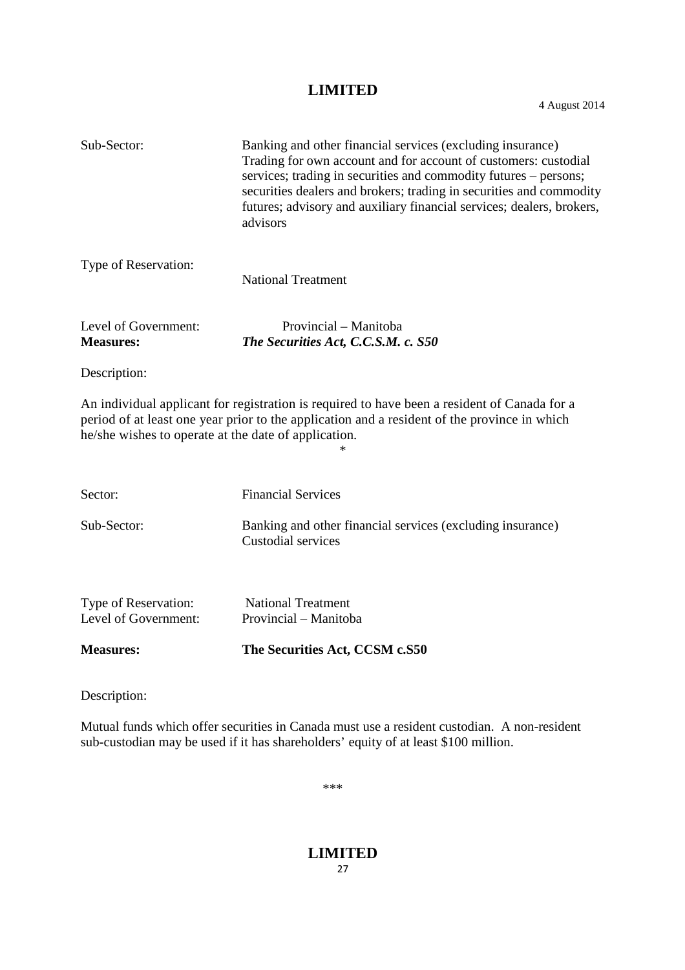4 August 2014

| Sub-Sector:                                          | Banking and other financial services (excluding insurance)<br>Trading for own account and for account of customers: custodial<br>services; trading in securities and commodity futures – persons;<br>securities dealers and brokers; trading in securities and commodity<br>futures; advisory and auxiliary financial services; dealers, brokers,<br>advisors |
|------------------------------------------------------|---------------------------------------------------------------------------------------------------------------------------------------------------------------------------------------------------------------------------------------------------------------------------------------------------------------------------------------------------------------|
| Type of Reservation:                                 | <b>National Treatment</b>                                                                                                                                                                                                                                                                                                                                     |
| Level of Government:<br><b>Measures:</b>             | Provincial – Manitoba<br>The Securities Act, C.C.S.M. c. S50                                                                                                                                                                                                                                                                                                  |
| Description:                                         |                                                                                                                                                                                                                                                                                                                                                               |
| he/she wishes to operate at the date of application. | An individual applicant for registration is required to have been a resident of Canada for a<br>period of at least one year prior to the application and a resident of the province in which                                                                                                                                                                  |
| Sector:                                              | <b>Financial Services</b>                                                                                                                                                                                                                                                                                                                                     |
| Sub-Sector:                                          | Banking and other financial services (excluding insurance)<br>Custodial services                                                                                                                                                                                                                                                                              |
| Type of Reservation:<br>Level of Government:         | <b>National Treatment</b><br>Provincial - Manitoba                                                                                                                                                                                                                                                                                                            |
| <b>Measures:</b>                                     | The Securities Act, CCSM c.S50                                                                                                                                                                                                                                                                                                                                |
| $\mathbf{r}$ $\mathbf{r}$                            |                                                                                                                                                                                                                                                                                                                                                               |

Description:

Mutual funds which offer securities in Canada must use a resident custodian. A non-resident sub-custodian may be used if it has shareholders' equity of at least \$100 million.

\*\*\*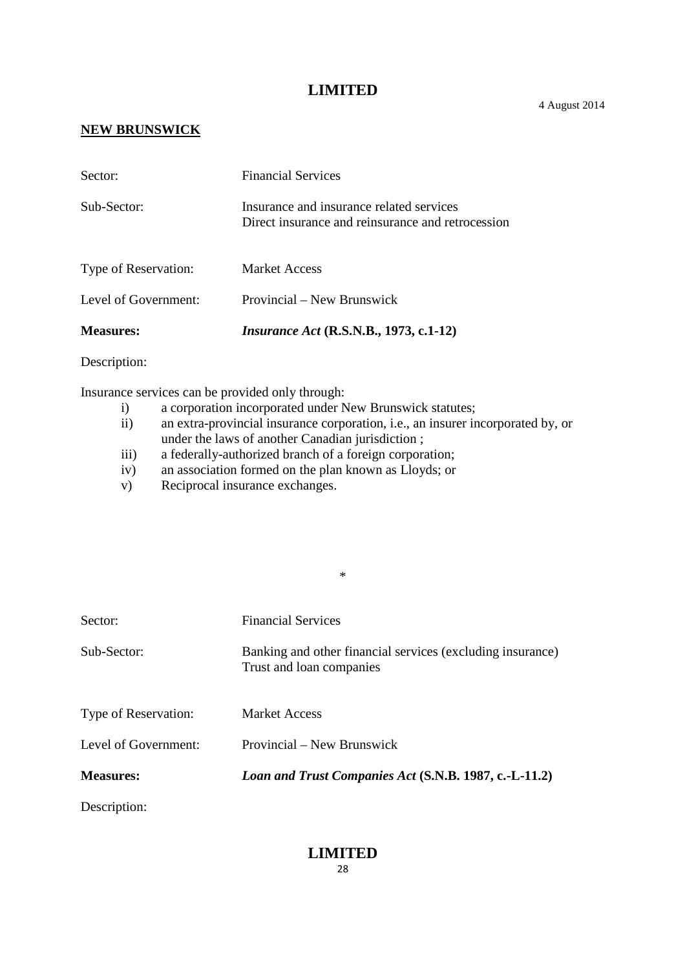#### **NEW BRUNSWICK**

| <b>Measures:</b>     | <i>Insurance Act</i> (R.S.N.B., 1973, c.1-12)                                                 |
|----------------------|-----------------------------------------------------------------------------------------------|
| Level of Government: | Provincial – New Brunswick                                                                    |
| Type of Reservation: | <b>Market Access</b>                                                                          |
| Sub-Sector:          | Insurance and insurance related services<br>Direct insurance and reinsurance and retrocession |
| Sector:              | <b>Financial Services</b>                                                                     |

Description:

Insurance services can be provided only through:

- i) a corporation incorporated under New Brunswick statutes;
- ii) an extra-provincial insurance corporation, i.e., an insurer incorporated by, or under the laws of another Canadian jurisdiction ;

\*

- iii) a federally-authorized branch of a foreign corporation;
- iv) an association formed on the plan known as Lloyds; or
- v) Reciprocal insurance exchanges.

| Sector:              | <b>Financial Services</b>                                                              |
|----------------------|----------------------------------------------------------------------------------------|
| Sub-Sector:          | Banking and other financial services (excluding insurance)<br>Trust and loan companies |
| Type of Reservation: | <b>Market Access</b>                                                                   |
| Level of Government: | Provincial – New Brunswick                                                             |
| <b>Measures:</b>     | Loan and Trust Companies Act (S.N.B. 1987, c.-L-11.2)                                  |
| Description:         |                                                                                        |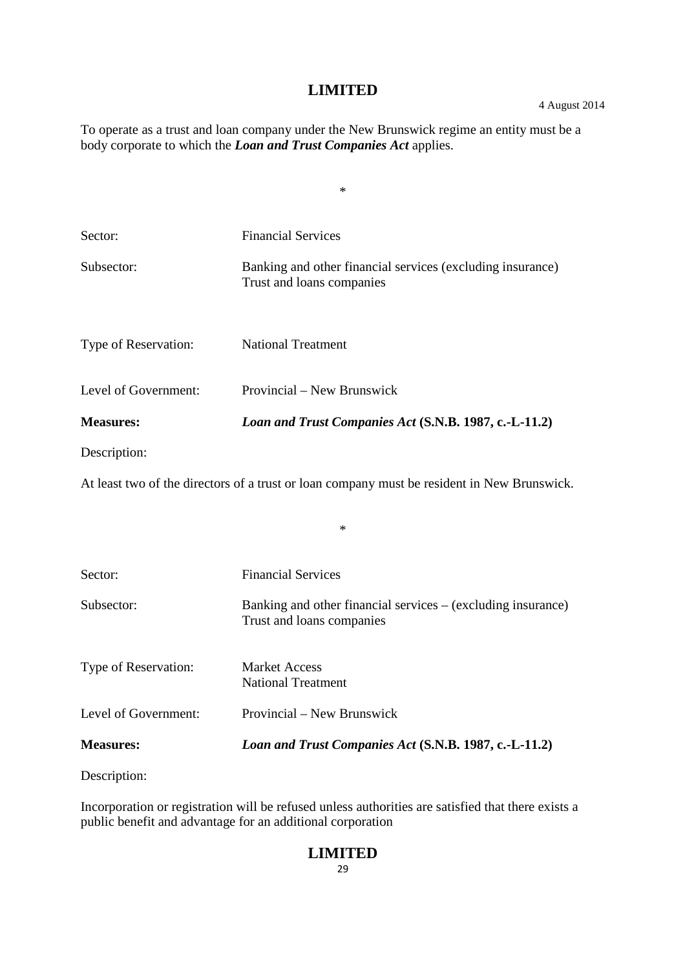\*

To operate as a trust and loan company under the New Brunswick regime an entity must be a body corporate to which the *Loan and Trust Companies Act* applies.

| Sector:              | <b>Financial Services</b>                                                                   |
|----------------------|---------------------------------------------------------------------------------------------|
| Subsector:           | Banking and other financial services (excluding insurance)<br>Trust and loans companies     |
| Type of Reservation: | <b>National Treatment</b>                                                                   |
| Level of Government: | Provincial – New Brunswick                                                                  |
| <b>Measures:</b>     | Loan and Trust Companies Act (S.N.B. 1987, c.-L-11.2)                                       |
| Description:         |                                                                                             |
|                      | At least two of the directors of a trust or loan company must be resident in New Brunswick. |
|                      | $\ast$                                                                                      |
| Sector:              | <b>Financial Services</b>                                                                   |
| Subsector:           | Banking and other financial services – (excluding insurance)<br>Trust and loans companies   |
| Type of Reservation: | <b>Market Access</b><br><b>National Treatment</b>                                           |
| Level of Government: | Provincial – New Brunswick                                                                  |
| <b>Measures:</b>     | Loan and Trust Companies Act (S.N.B. 1987, c.-L-11.2)                                       |

Description:

Incorporation or registration will be refused unless authorities are satisfied that there exists a public benefit and advantage for an additional corporation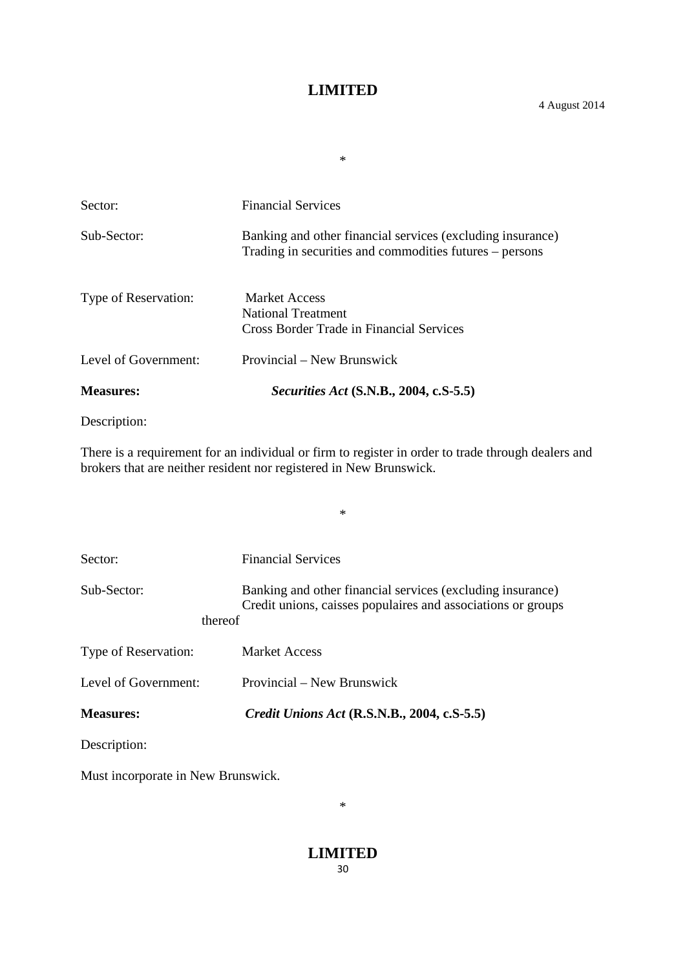\*

Sector: Financial Services Sub-Sector: Banking and other financial services (excluding insurance) Trading in securities and commodities futures – persons Type of Reservation: Market Access National Treatment Cross Border Trade in Financial Services Level of Government: Provincial – New Brunswick **Measures:** *Securities Act* **(S.N.B., 2004, c.S-5.5)**

Description:

There is a requirement for an individual or firm to register in order to trade through dealers and brokers that are neither resident nor registered in New Brunswick.

\*

| Sector:                | <b>Financial Services</b>                                                                                                  |
|------------------------|----------------------------------------------------------------------------------------------------------------------------|
| Sub-Sector:<br>thereof | Banking and other financial services (excluding insurance)<br>Credit unions, caisses populaires and associations or groups |
| Type of Reservation:   | <b>Market Access</b>                                                                                                       |
| Level of Government:   | Provincial – New Brunswick                                                                                                 |
| <b>Measures:</b>       | <i>Credit Unions Act</i> (R.S.N.B., 2004, c.S-5.5)                                                                         |
| Description:           |                                                                                                                            |

Must incorporate in New Brunswick.

\*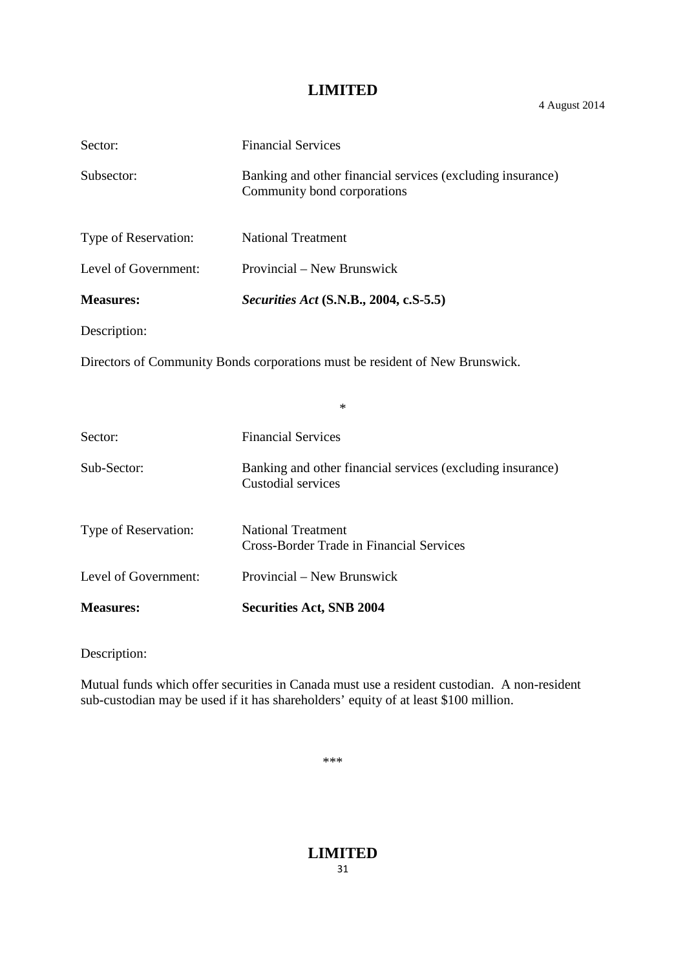| Sector:              | <b>Financial Services</b>                                                                 |
|----------------------|-------------------------------------------------------------------------------------------|
| Subsector:           | Banking and other financial services (excluding insurance)<br>Community bond corporations |
| Type of Reservation: | <b>National Treatment</b>                                                                 |
| Level of Government: | Provincial – New Brunswick                                                                |
| <b>Measures:</b>     | <i>Securities Act</i> (S.N.B., 2004, c.S-5.5)                                             |
| Description:         |                                                                                           |
|                      | Directors of Community Bonds corporations must be resident of New Brunswick.              |
|                      | $\ast$                                                                                    |
| Sector:              | <b>Financial Services</b>                                                                 |
| Sub-Sector:          | Banking and other financial services (excluding insurance)<br><b>Custodial services</b>   |
| Type of Reservation: | <b>National Treatment</b><br><b>Cross-Border Trade in Financial Services</b>              |
| Level of Government: | Provincial – New Brunswick                                                                |

**Measures: Securities Act, SNB 2004**

Description:

Mutual funds which offer securities in Canada must use a resident custodian. A non-resident sub-custodian may be used if it has shareholders' equity of at least \$100 million.

\*\*\*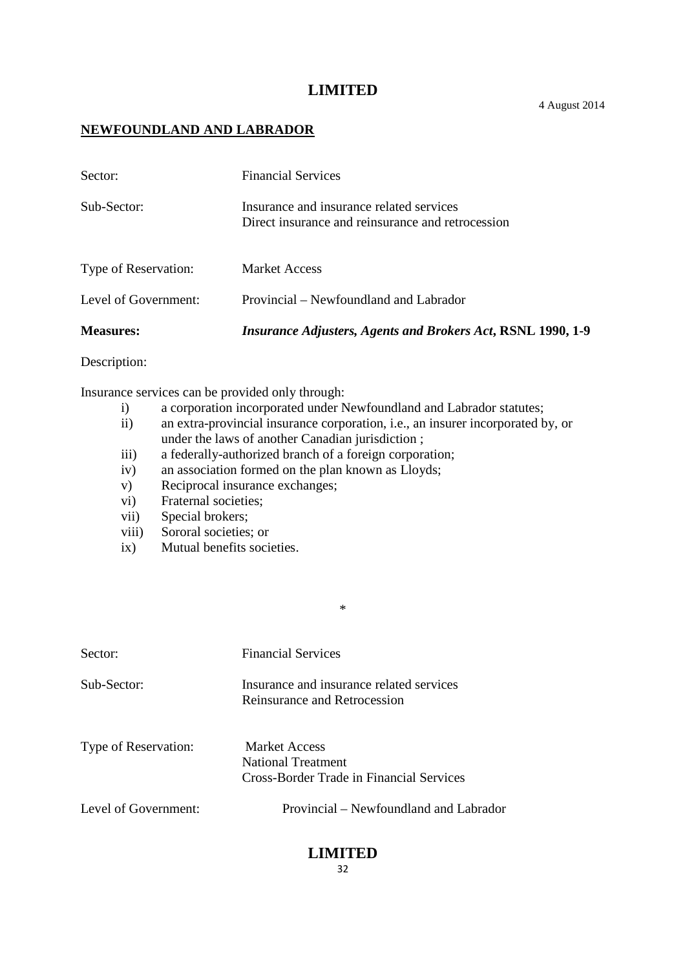#### **NEWFOUNDLAND AND LABRADOR**

| <b>Measures:</b>     | <i>Insurance Adjusters, Agents and Brokers Act, RSNL 1990, 1-9</i>                            |
|----------------------|-----------------------------------------------------------------------------------------------|
| Level of Government: | Provincial – Newfoundland and Labrador                                                        |
| Type of Reservation: | <b>Market Access</b>                                                                          |
| Sub-Sector:          | Insurance and insurance related services<br>Direct insurance and reinsurance and retrocession |
| Sector:              | <b>Financial Services</b>                                                                     |

#### Description:

Insurance services can be provided only through:

- i) a corporation incorporated under Newfoundland and Labrador statutes;
- ii) an extra-provincial insurance corporation, i.e., an insurer incorporated by, or under the laws of another Canadian jurisdiction ;

\*

- iii) a federally-authorized branch of a foreign corporation;
- iv) an association formed on the plan known as Lloyds;
- v) Reciprocal insurance exchanges;
- vi) Fraternal societies;
- vii) Special brokers;
- viii) Sororal societies; or
- ix) Mutual benefits societies.

| Sector:              | <b>Financial Services</b>                                                       |
|----------------------|---------------------------------------------------------------------------------|
| Sub-Sector:          | Insurance and insurance related services<br>Reinsurance and Retrocession        |
| Type of Reservation: | Market Access<br>National Treatment<br>Cross-Border Trade in Financial Services |
| Level of Government: | Provincial – Newfoundland and Labrador                                          |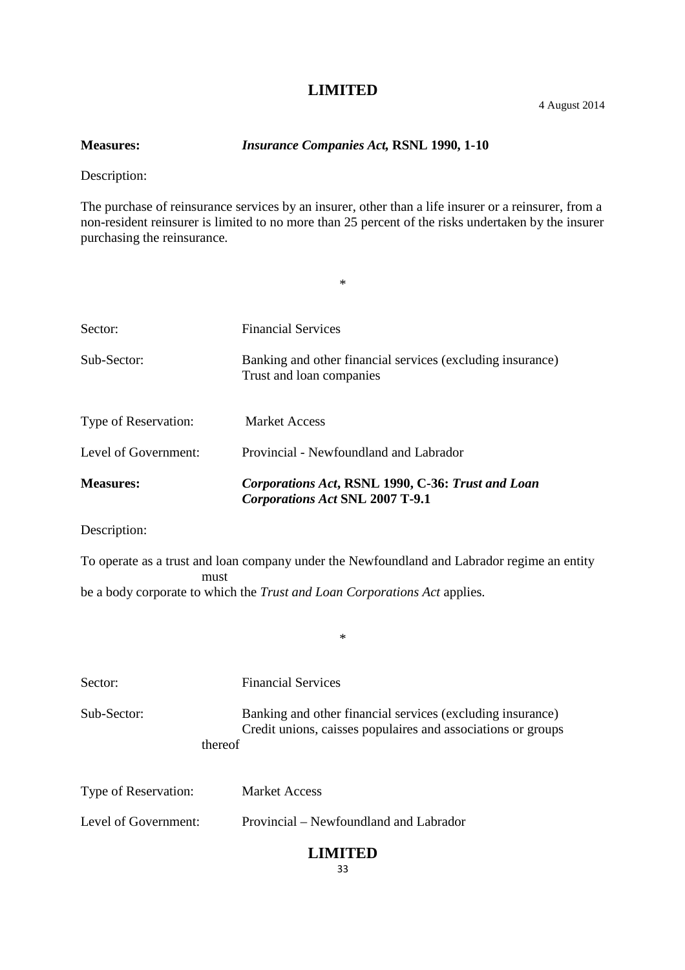**Measures:** *Insurance Companies Act,* **RSNL 1990, 1-10**

Description:

The purchase of reinsurance services by an insurer, other than a life insurer or a reinsurer, from a non-resident reinsurer is limited to no more than 25 percent of the risks undertaken by the insurer purchasing the reinsurance.

\*

| Sector:              | <b>Financial Services</b>                                                                   |
|----------------------|---------------------------------------------------------------------------------------------|
| Sub-Sector:          | Banking and other financial services (excluding insurance)<br>Trust and loan companies      |
| Type of Reservation: | <b>Market Access</b>                                                                        |
| Level of Government: | Provincial - Newfoundland and Labrador                                                      |
| <b>Measures:</b>     | Corporations Act, RSNL 1990, C-36: Trust and Loan<br><b>Corporations Act SNL 2007 T-9.1</b> |

Description:

To operate as a trust and loan company under the Newfoundland and Labrador regime an entity must be a body corporate to which the *Trust and Loan Corporations Act* applies.

\*

| Sector:     | <b>Financial Services</b>                                                                                                             |
|-------------|---------------------------------------------------------------------------------------------------------------------------------------|
| Sub-Sector: | Banking and other financial services (excluding insurance)<br>Credit unions, caisses populaires and associations or groups<br>thereof |
|             |                                                                                                                                       |

| <b>Type of Reservation:</b> | <b>Market Access</b>                   |
|-----------------------------|----------------------------------------|
| Level of Government:        | Provincial – Newfoundland and Labrador |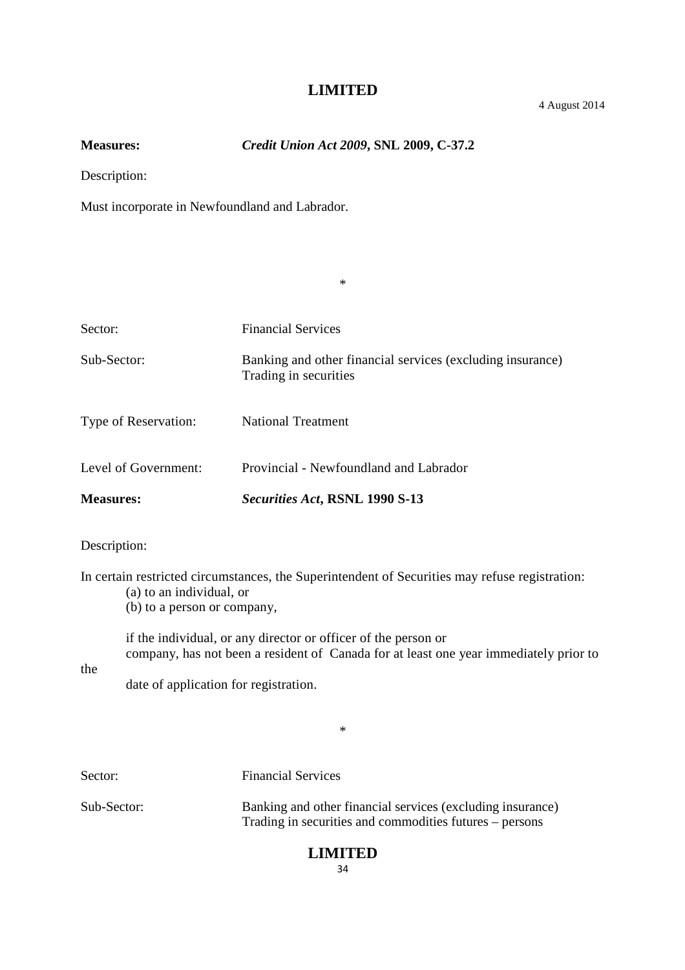\*

**Measures:** *Credit Union Act 2009***, SNL 2009, C-37.2**

Description:

Must incorporate in Newfoundland and Labrador.

| <b>Measures:</b>     | Securities Act, RSNL 1990 S-13                                                      |
|----------------------|-------------------------------------------------------------------------------------|
| Level of Government: | Provincial - Newfoundland and Labrador                                              |
| Type of Reservation: | <b>National Treatment</b>                                                           |
| Sub-Sector:          | Banking and other financial services (excluding insurance)<br>Trading in securities |
| Sector:              | <b>Financial Services</b>                                                           |
|                      |                                                                                     |

#### Description:

In certain restricted circumstances, the Superintendent of Securities may refuse registration: (a) to an individual, or

(b) to a person or company,

if the individual, or any director or officer of the person or company, has not been a resident of Canada for at least one year immediately prior to

the

date of application for registration.

\*

Sector: Financial Services

Sub-Sector: Banking and other financial services (excluding insurance) Trading in securities and commodities futures – persons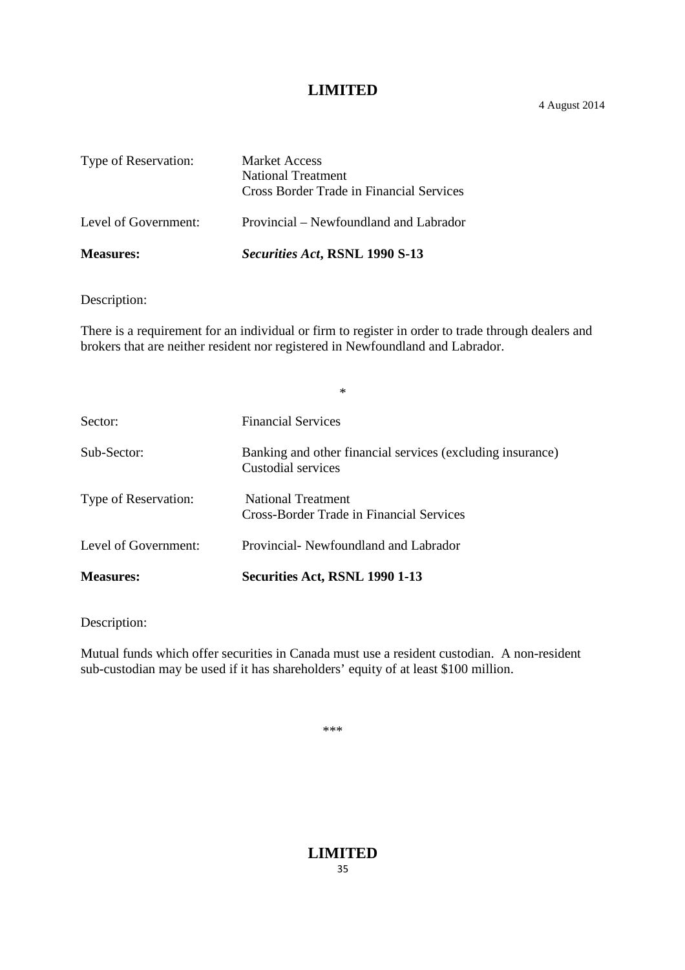4 August 2014

| Type of Reservation: | <b>Market Access</b><br>National Treatment<br><b>Cross Border Trade in Financial Services</b> |
|----------------------|-----------------------------------------------------------------------------------------------|
| Level of Government: | Provincial – Newfoundland and Labrador                                                        |
| <b>Measures:</b>     | Securities Act, RSNL 1990 S-13                                                                |

Description:

There is a requirement for an individual or firm to register in order to trade through dealers and brokers that are neither resident nor registered in Newfoundland and Labrador.

|                      | $\ast$                                                                           |
|----------------------|----------------------------------------------------------------------------------|
| Sector:              | <b>Financial Services</b>                                                        |
| Sub-Sector:          | Banking and other financial services (excluding insurance)<br>Custodial services |
| Type of Reservation: | National Treatment<br><b>Cross-Border Trade in Financial Services</b>            |
| Level of Government: | Provincial Newfoundland and Labrador                                             |
| <b>Measures:</b>     | Securities Act, RSNL 1990 1-13                                                   |

Description:

Mutual funds which offer securities in Canada must use a resident custodian. A non-resident sub-custodian may be used if it has shareholders' equity of at least \$100 million.

\*\*\*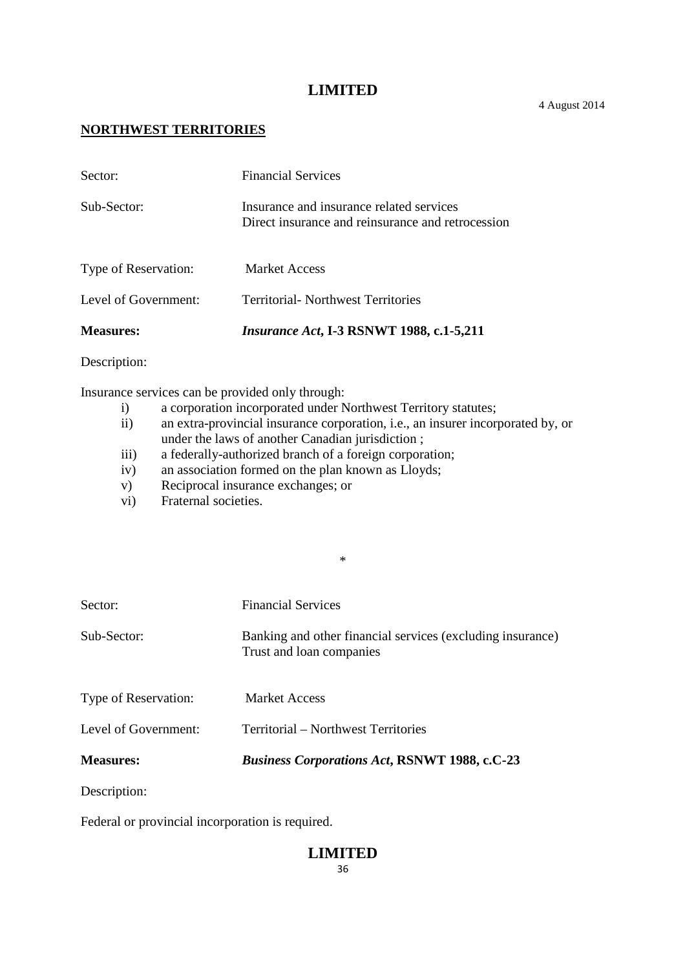#### **NORTHWEST TERRITORIES**

| <b>Measures:</b>     | <i>Insurance Act</i> , I-3 RSNWT 1988, c.1-5,211                                              |
|----------------------|-----------------------------------------------------------------------------------------------|
| Level of Government: | <b>Territorial- Northwest Territories</b>                                                     |
| Type of Reservation: | <b>Market Access</b>                                                                          |
| Sub-Sector:          | Insurance and insurance related services<br>Direct insurance and reinsurance and retrocession |
| Sector:              | <b>Financial Services</b>                                                                     |

#### Description:

Insurance services can be provided only through:

- i) a corporation incorporated under Northwest Territory statutes;
- ii) an extra-provincial insurance corporation, i.e., an insurer incorporated by, or under the laws of another Canadian jurisdiction ;

\*

- iii) a federally-authorized branch of a foreign corporation;
- iv) an association formed on the plan known as Lloyds;
- v) Reciprocal insurance exchanges; or
- vi) Fraternal societies.

| Sector:              | <b>Financial Services</b>                                                              |
|----------------------|----------------------------------------------------------------------------------------|
| Sub-Sector:          | Banking and other financial services (excluding insurance)<br>Trust and loan companies |
| Type of Reservation: | <b>Market Access</b>                                                                   |
| Level of Government: | Territorial – Northwest Territories                                                    |
| <b>Measures:</b>     | <b>Business Corporations Act, RSNWT 1988, c.C-23</b>                                   |
| Description:         |                                                                                        |

Federal or provincial incorporation is required.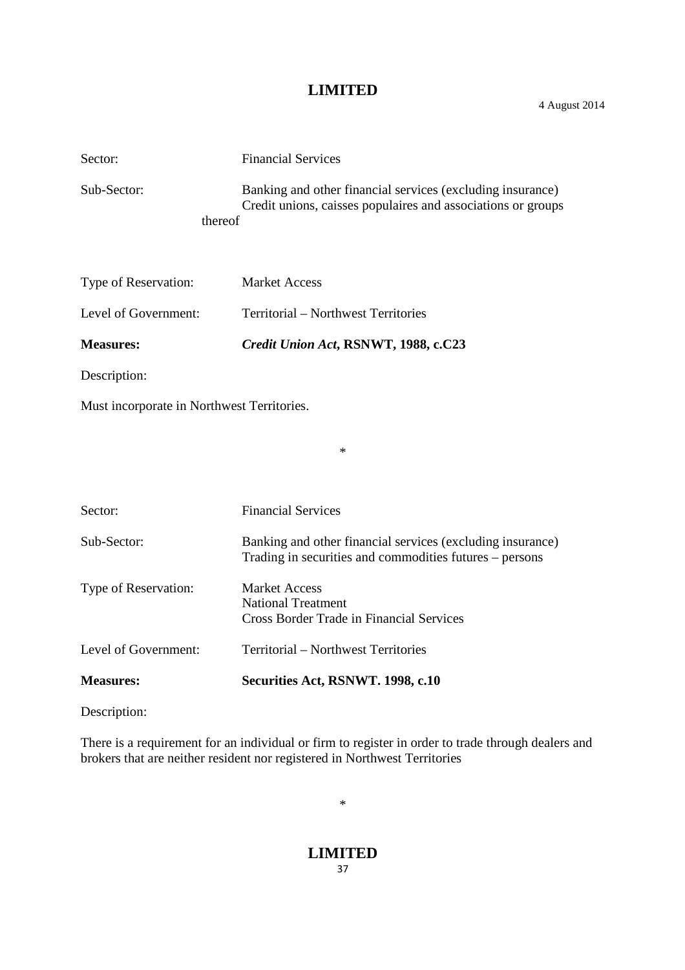4 August 2014

| Sector:                | <b>Financial Services</b>                                                                                                  |
|------------------------|----------------------------------------------------------------------------------------------------------------------------|
| Sub-Sector:<br>thereof | Banking and other financial services (excluding insurance)<br>Credit unions, caisses populaires and associations or groups |
| Type of Reservation:   | <b>Market Access</b>                                                                                                       |
| Level of Government:   | Territorial – Northwest Territories                                                                                        |

**Measures:** *Credit Union Act***, RSNWT, 1988, c.C23**

Description:

Must incorporate in Northwest Territories.

Sector: Financial Services Sub-Sector: Banking and other financial services (excluding insurance) Trading in securities and commodities futures – persons Type of Reservation: Market Access National Treatment Cross Border Trade in Financial Services Level of Government: Territorial – Northwest Territories **Measures: Securities Act, RSNWT. 1998, c.10**

\*

Description:

There is a requirement for an individual or firm to register in order to trade through dealers and brokers that are neither resident nor registered in Northwest Territories

\*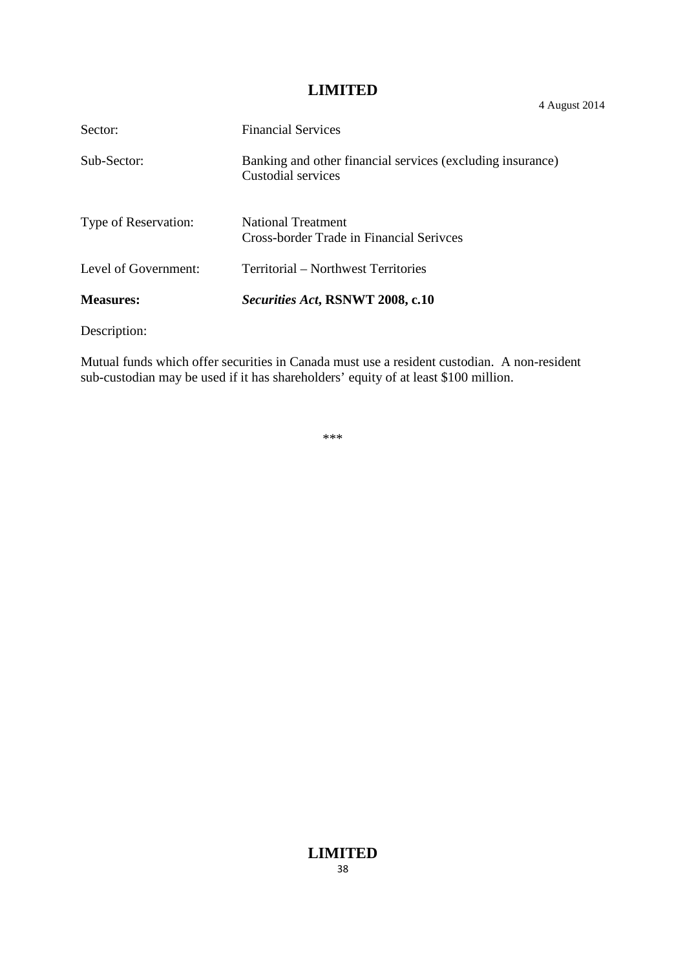| Sector:              | <b>Financial Services</b>                                                        |
|----------------------|----------------------------------------------------------------------------------|
| Sub-Sector:          | Banking and other financial services (excluding insurance)<br>Custodial services |
| Type of Reservation: | <b>National Treatment</b><br>Cross-border Trade in Financial Serivces            |
| Level of Government: | Territorial – Northwest Territories                                              |
| <b>Measures:</b>     | <i>Securities Act, RSNWT 2008, c.10</i>                                          |

Description:

Mutual funds which offer securities in Canada must use a resident custodian. A non-resident sub-custodian may be used if it has shareholders' equity of at least \$100 million.

\*\*\*

4 August 2014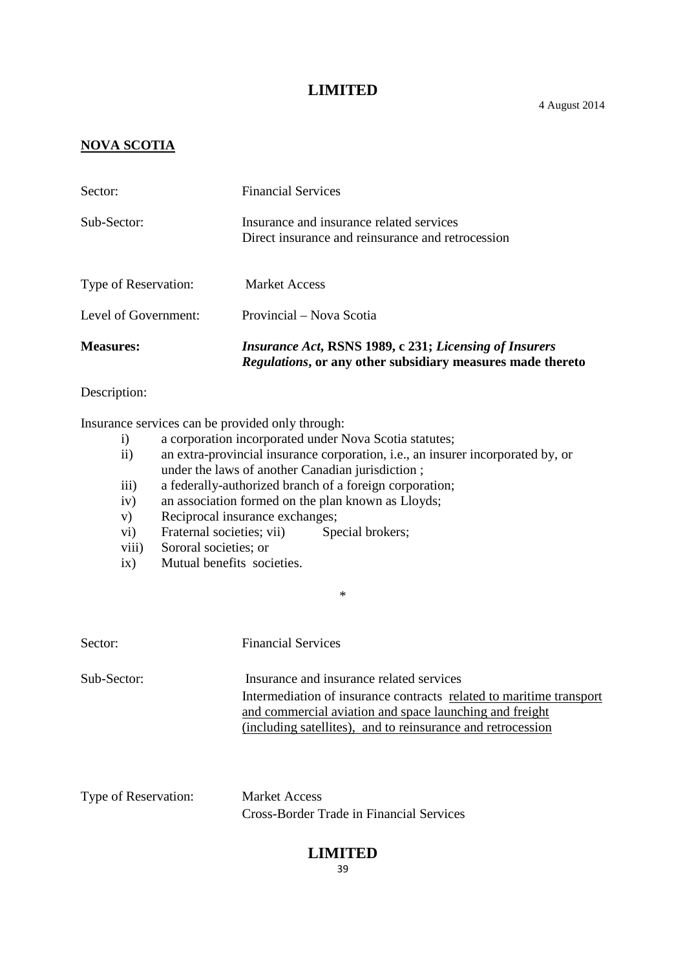#### **NOVA SCOTIA**

| <b>Measures:</b>     | <i>Insurance Act, RSNS 1989, c 231; Licensing of Insurers</i><br><i>Regulations</i> , or any other subsidiary measures made thereto |
|----------------------|-------------------------------------------------------------------------------------------------------------------------------------|
| Level of Government: | Provincial – Nova Scotia                                                                                                            |
| Type of Reservation: | <b>Market Access</b>                                                                                                                |
| Sub-Sector:          | Insurance and insurance related services<br>Direct insurance and reinsurance and retrocession                                       |
| Sector:              | <b>Financial Services</b>                                                                                                           |

#### Description:

Insurance services can be provided only through:

- i) a corporation incorporated under Nova Scotia statutes;
- ii) an extra-provincial insurance corporation, i.e., an insurer incorporated by, or under the laws of another Canadian jurisdiction ;
- iii) a federally-authorized branch of a foreign corporation;
- iv) an association formed on the plan known as Lloyds;
- v) Reciprocal insurance exchanges;
- vi) Fraternal societies; vii) Special brokers;
- viii) Sororal societies; or
- ix) Mutual benefits societies.

| Sector:     | <b>Financial Services</b>                                                                                                                                                                                                                 |
|-------------|-------------------------------------------------------------------------------------------------------------------------------------------------------------------------------------------------------------------------------------------|
| Sub-Sector: | Insurance and insurance related services<br>Intermediation of insurance contracts related to maritime transport<br>and commercial aviation and space launching and freight<br>(including satellites), and to reinsurance and retrocession |

\*

Type of Reservation: Market Access Cross-Border Trade in Financial Services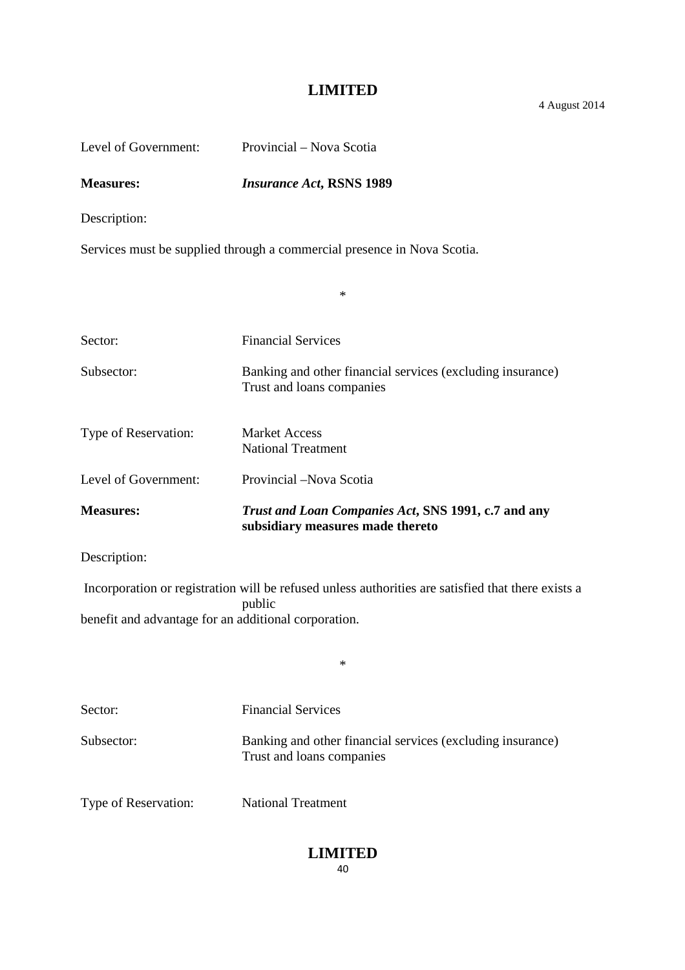4 August 2014

| Level of Government:                                                                                                                                                 | Provincial – Nova Scotia                                                                |  |
|----------------------------------------------------------------------------------------------------------------------------------------------------------------------|-----------------------------------------------------------------------------------------|--|
| <b>Measures:</b>                                                                                                                                                     | <b>Insurance Act, RSNS 1989</b>                                                         |  |
| Description:                                                                                                                                                         |                                                                                         |  |
|                                                                                                                                                                      | Services must be supplied through a commercial presence in Nova Scotia.                 |  |
|                                                                                                                                                                      | $\ast$                                                                                  |  |
| Sector:                                                                                                                                                              | <b>Financial Services</b>                                                               |  |
| Subsector:                                                                                                                                                           | Banking and other financial services (excluding insurance)<br>Trust and loans companies |  |
| Type of Reservation:                                                                                                                                                 | <b>Market Access</b><br><b>National Treatment</b>                                       |  |
| Level of Government:                                                                                                                                                 | Provincial -Nova Scotia                                                                 |  |
| <b>Measures:</b>                                                                                                                                                     | Trust and Loan Companies Act, SNS 1991, c.7 and any<br>subsidiary measures made thereto |  |
| Description:                                                                                                                                                         |                                                                                         |  |
| Incorporation or registration will be refused unless authorities are satisfied that there exists a<br>public<br>benefit and advantage for an additional corporation. |                                                                                         |  |
|                                                                                                                                                                      | $\ast$                                                                                  |  |
| Sector:                                                                                                                                                              | <b>Financial Services</b>                                                               |  |
| Subsector:                                                                                                                                                           | Banking and other financial services (excluding insurance)<br>Trust and loans companies |  |
| Type of Reservation:                                                                                                                                                 | <b>National Treatment</b>                                                               |  |
|                                                                                                                                                                      | <b>LIMITED</b>                                                                          |  |

40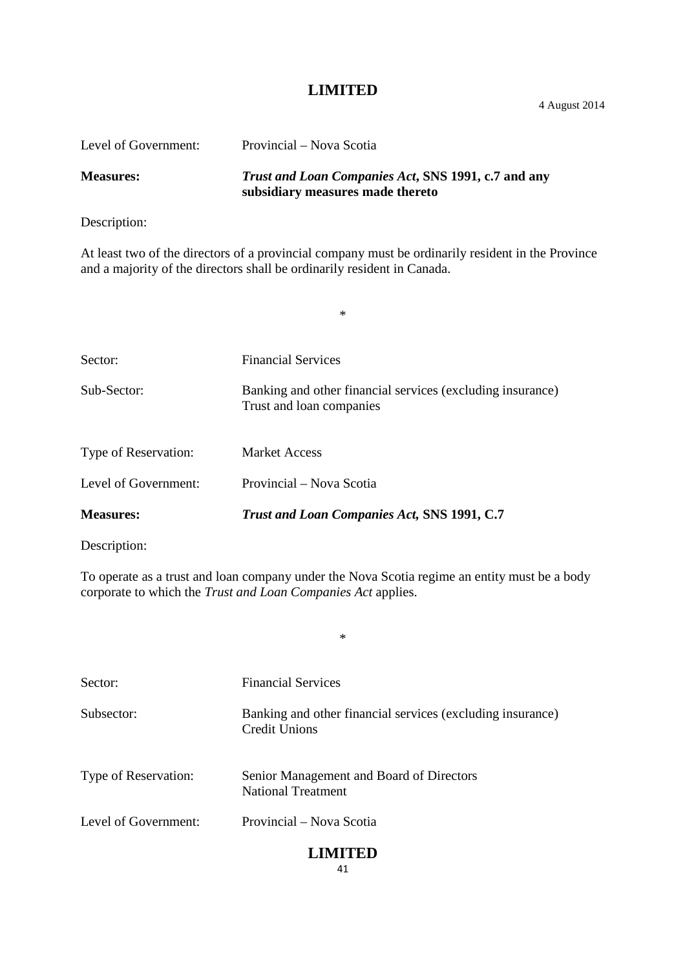4 August 2014

| Level of Government: | Provincial – Nova Scotia                                                                |
|----------------------|-----------------------------------------------------------------------------------------|
| <b>Measures:</b>     | Trust and Loan Companies Act, SNS 1991, c.7 and any<br>subsidiary measures made thereto |

Description:

At least two of the directors of a provincial company must be ordinarily resident in the Province and a majority of the directors shall be ordinarily resident in Canada.

\*

| Sector:              | <b>Financial Services</b>                                                              |
|----------------------|----------------------------------------------------------------------------------------|
| Sub-Sector:          | Banking and other financial services (excluding insurance)<br>Trust and loan companies |
| Type of Reservation: | Market Access                                                                          |
| Level of Government: | Provincial – Nova Scotia                                                               |
| <b>Measures:</b>     | Trust and Loan Companies Act, SNS 1991, C.7                                            |

Description:

To operate as a trust and loan company under the Nova Scotia regime an entity must be a body corporate to which the *Trust and Loan Companies Act* applies.

\*

| Sector:              | <b>Financial Services</b>                                                          |
|----------------------|------------------------------------------------------------------------------------|
| Subsector:           | Banking and other financial services (excluding insurance)<br><b>Credit Unions</b> |
| Type of Reservation: | Senior Management and Board of Directors<br><b>National Treatment</b>              |
| Level of Government: | Provincial – Nova Scotia                                                           |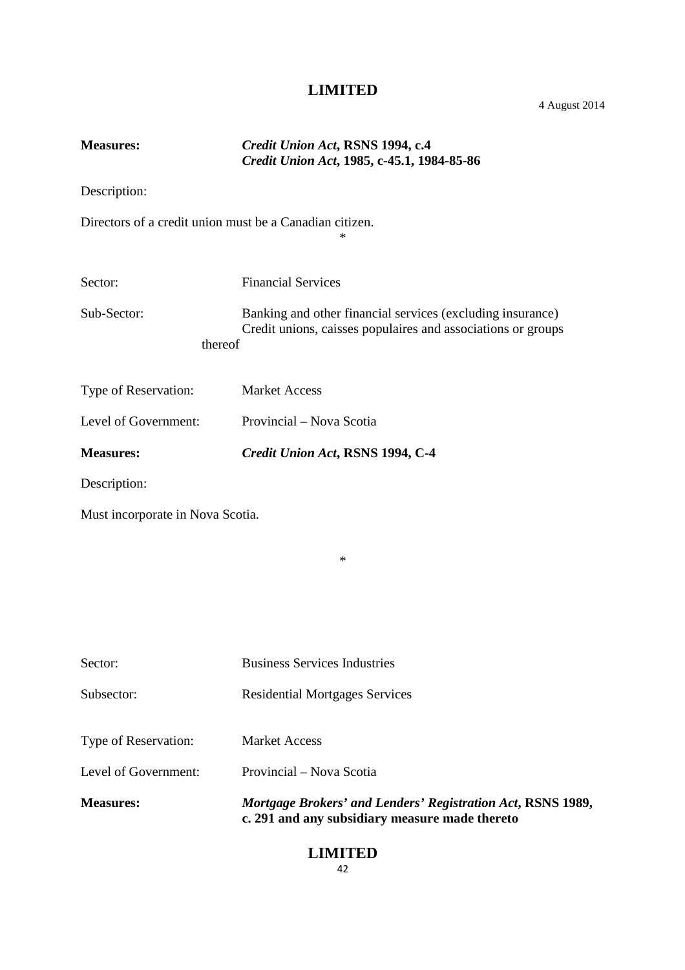# **Measures:** *Credit Union Act***, RSNS 1994, c.4** *Credit Union Act***, 1985, c-45.1, 1984-85-86** Description: Directors of a credit union must be a Canadian citizen. \* Sector: Financial Services Sub-Sector: Banking and other financial services (excluding insurance) Credit unions, caisses populaires and associations or groups thereof Type of Reservation: Market Access Level of Government: Provincial – Nova Scotia **Measures:** *Credit Union Act***, RSNS 1994, C-4** Description: Must incorporate in Nova Scotia. \* Sector: Business Services Industries Subsector: Residential Mortgages Services Type of Reservation: Market Access Level of Government: Provincial – Nova Scotia **Measures:** *Mortgage Brokers' and Lenders' Registration Act***, RSNS 1989, c. 291 and any subsidiary measure made thereto**

#### **LIMITED** 42

#### 4 August 2014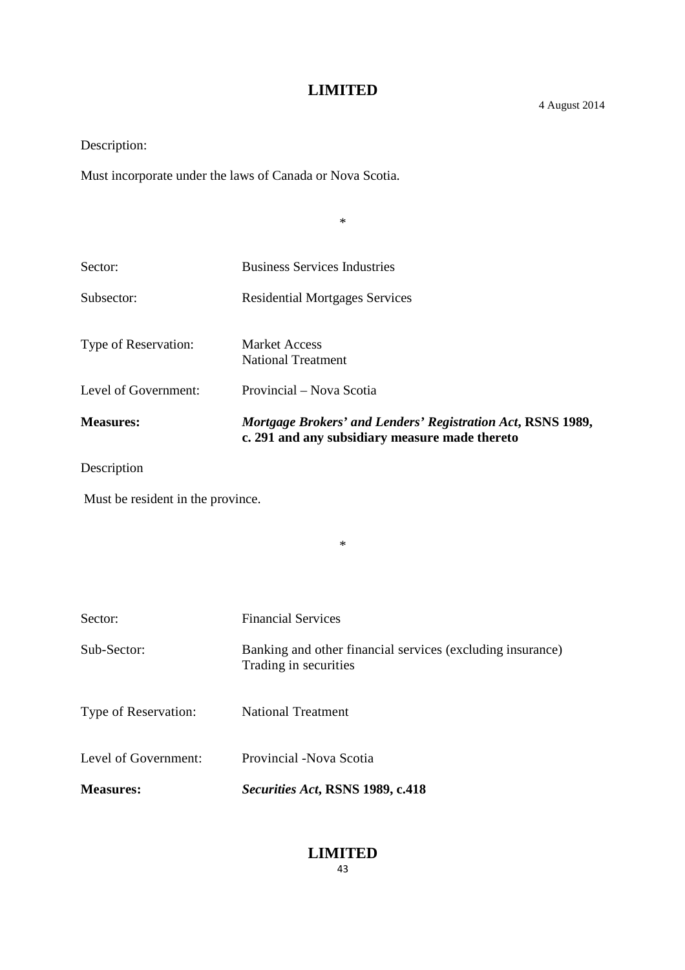Description:

Must incorporate under the laws of Canada or Nova Scotia.

\*

| Sector:              | <b>Business Services Industries</b>                                                                           |
|----------------------|---------------------------------------------------------------------------------------------------------------|
| Subsector:           | <b>Residential Mortgages Services</b>                                                                         |
| Type of Reservation: | <b>Market Access</b><br><b>National Treatment</b>                                                             |
| Level of Government: | Provincial – Nova Scotia                                                                                      |
| <b>Measures:</b>     | Mortgage Brokers' and Lenders' Registration Act, RSNS 1989,<br>c. 291 and any subsidiary measure made thereto |

\*

Description

Must be resident in the province.

| <b>Measures:</b>     | Securities Act, RSNS 1989, c.418                                                    |
|----------------------|-------------------------------------------------------------------------------------|
| Level of Government: | Provincial - Nova Scotia                                                            |
| Type of Reservation: | National Treatment                                                                  |
| Sub-Sector:          | Banking and other financial services (excluding insurance)<br>Trading in securities |
| Sector:              | <b>Financial Services</b>                                                           |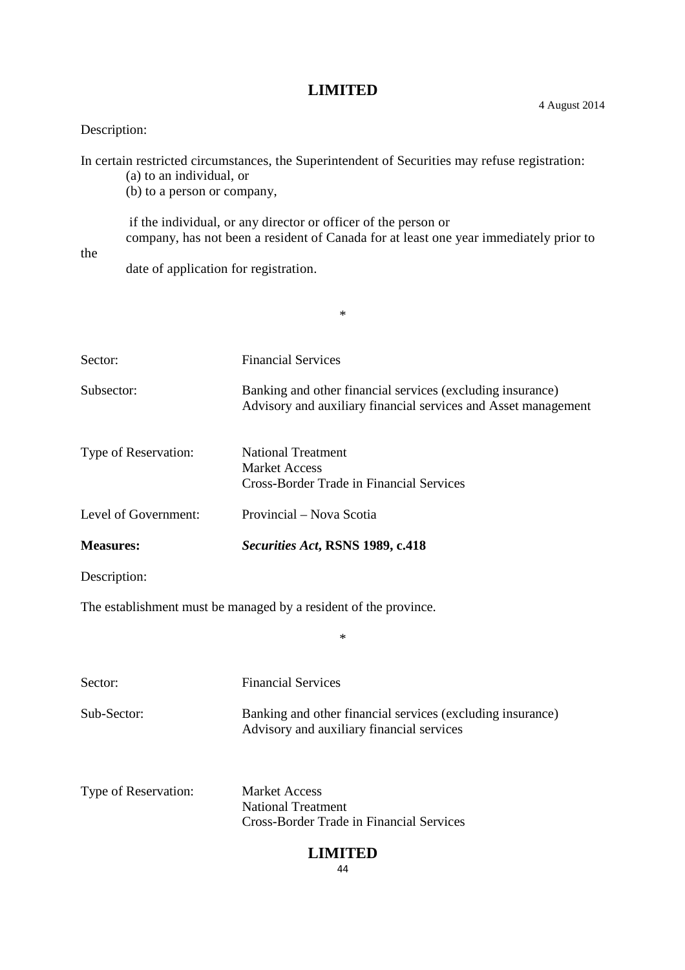# Description:

In certain restricted circumstances, the Superintendent of Securities may refuse registration:

(a) to an individual, or

(b) to a person or company,

if the individual, or any director or officer of the person or company, has not been a resident of Canada for at least one year immediately prior to

\*

the

date of application for registration.

| Sector:                                                          | <b>Financial Services</b>                                                                                                    |  |
|------------------------------------------------------------------|------------------------------------------------------------------------------------------------------------------------------|--|
| Subsector:                                                       | Banking and other financial services (excluding insurance)<br>Advisory and auxiliary financial services and Asset management |  |
| Type of Reservation:                                             | <b>National Treatment</b><br><b>Market Access</b><br><b>Cross-Border Trade in Financial Services</b>                         |  |
| Level of Government:                                             | Provincial – Nova Scotia                                                                                                     |  |
| <b>Measures:</b>                                                 | Securities Act, RSNS 1989, c.418                                                                                             |  |
| Description:                                                     |                                                                                                                              |  |
| The establishment must be managed by a resident of the province. |                                                                                                                              |  |
| $\ast$                                                           |                                                                                                                              |  |
| Sector:                                                          | <b>Financial Services</b>                                                                                                    |  |
| Sub-Sector:                                                      | Banking and other financial services (excluding insurance)<br>Advisory and auxiliary financial services                      |  |
| Type of Reservation:                                             | <b>Market Access</b><br><b>National Treatment</b><br><b>Cross-Border Trade in Financial Services</b>                         |  |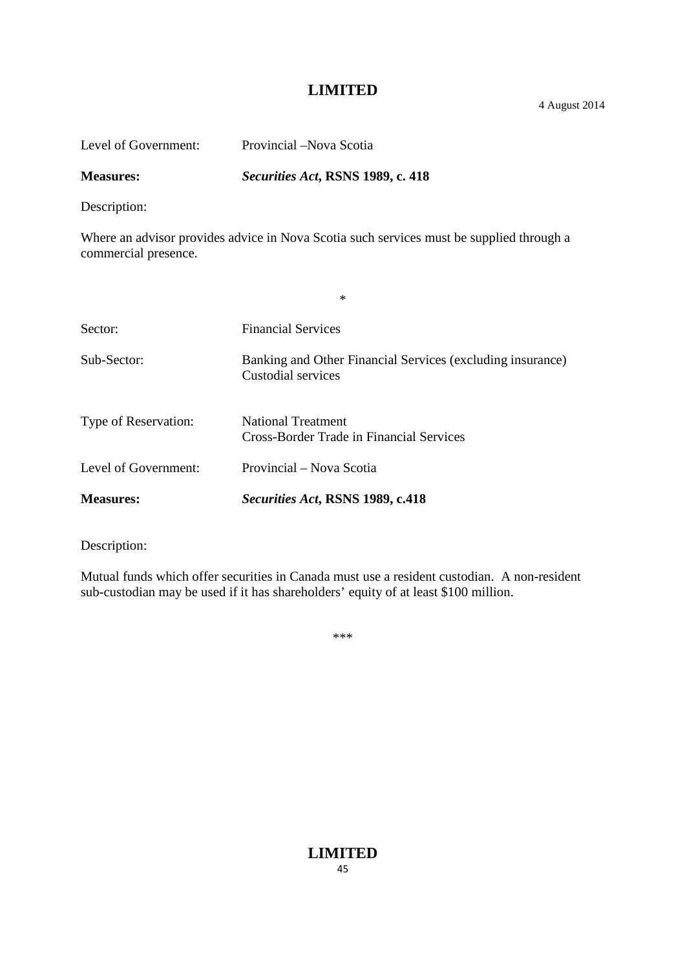4 August 2014

| Level of Government: | Provincial – Nova Scotia          |
|----------------------|-----------------------------------|
| <b>Measures:</b>     | Securities Act, RSNS 1989, c. 418 |

Description:

Where an advisor provides advice in Nova Scotia such services must be supplied through a commercial presence.

| <b>Measures:</b>     | Securities Act, RSNS 1989, c.418                                                 |
|----------------------|----------------------------------------------------------------------------------|
| Level of Government: | Provincial – Nova Scotia                                                         |
| Type of Reservation: | <b>National Treatment</b><br>Cross-Border Trade in Financial Services            |
| Sub-Sector:          | Banking and Other Financial Services (excluding insurance)<br>Custodial services |
| Sector:              | <b>Financial Services</b>                                                        |
|                      | $\ast$                                                                           |

Description:

Mutual funds which offer securities in Canada must use a resident custodian. A non-resident sub-custodian may be used if it has shareholders' equity of at least \$100 million.

\*\*\*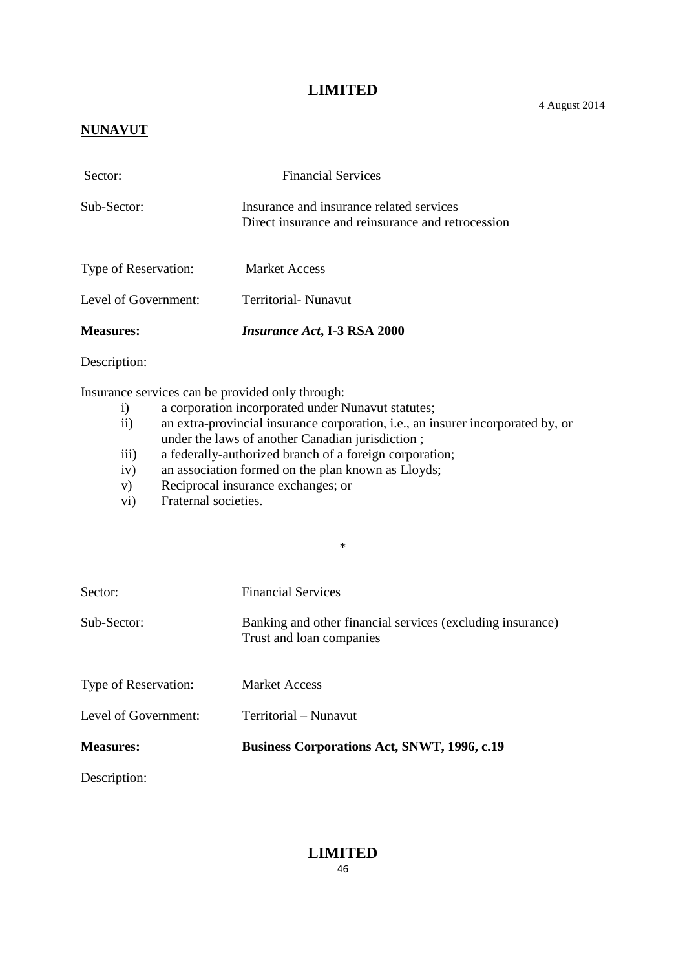## **NUNAVUT**

| Sector:              | <b>Financial Services</b>                                                                     |
|----------------------|-----------------------------------------------------------------------------------------------|
| Sub-Sector:          | Insurance and insurance related services<br>Direct insurance and reinsurance and retrocession |
| Type of Reservation: | <b>Market Access</b>                                                                          |
| Level of Government: | Territorial- Nunavut                                                                          |
| <b>Measures:</b>     | <i>Insurance Act</i> , I-3 RSA 2000                                                           |

Description:

Insurance services can be provided only through:

- i) a corporation incorporated under Nunavut statutes;
- ii) an extra-provincial insurance corporation, i.e., an insurer incorporated by, or under the laws of another Canadian jurisdiction ;

\*

- iii) a federally-authorized branch of a foreign corporation;
- iv) an association formed on the plan known as Lloyds;
- v) Reciprocal insurance exchanges; or
- vi) Fraternal societies.

| <b>Measures:</b>     | <b>Business Corporations Act, SNWT, 1996, c.19</b>                                     |
|----------------------|----------------------------------------------------------------------------------------|
| Level of Government: | Territorial - Nunavut                                                                  |
| Type of Reservation: | <b>Market Access</b>                                                                   |
| Sub-Sector:          | Banking and other financial services (excluding insurance)<br>Trust and loan companies |
| Sector:              | <b>Financial Services</b>                                                              |

Description:

**LIMITED** 46

4 August 2014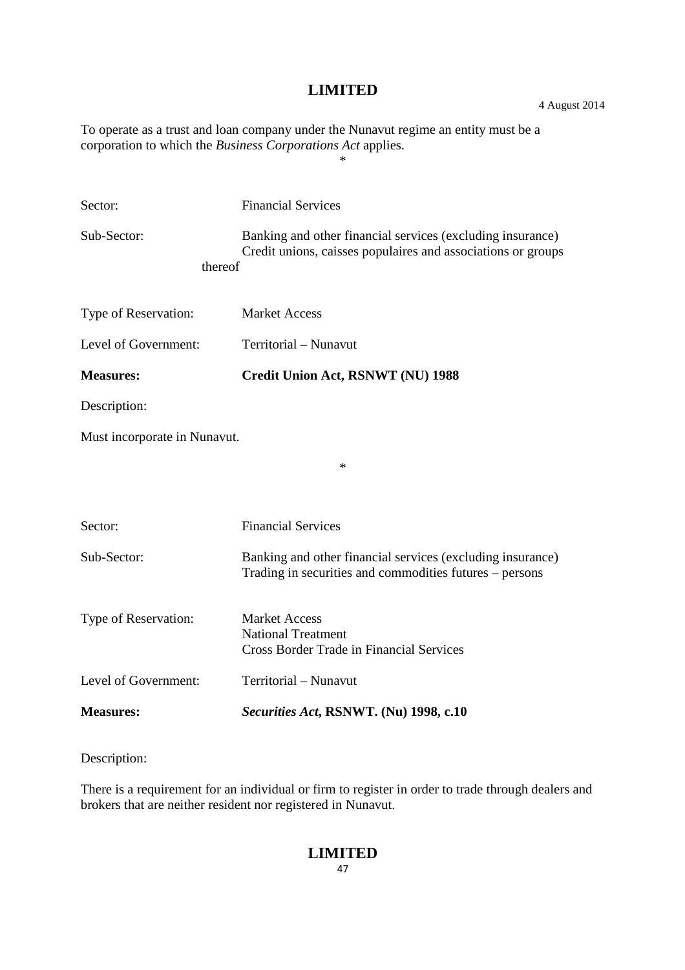4 August 2014

To operate as a trust and loan company under the Nunavut regime an entity must be a corporation to which the *Business Corporations Act* applies.

\*

| Sector:                      | <b>Financial Services</b>                                                                                                  |  |
|------------------------------|----------------------------------------------------------------------------------------------------------------------------|--|
| Sub-Sector:<br>thereof       | Banking and other financial services (excluding insurance)<br>Credit unions, caisses populaires and associations or groups |  |
| Type of Reservation:         | <b>Market Access</b>                                                                                                       |  |
| Level of Government:         | Territorial - Nunavut                                                                                                      |  |
| <b>Measures:</b>             | Credit Union Act, RSNWT (NU) 1988                                                                                          |  |
| Description:                 |                                                                                                                            |  |
| Must incorporate in Nunavut. |                                                                                                                            |  |
|                              | $\ast$                                                                                                                     |  |
|                              |                                                                                                                            |  |
| Sector:                      | <b>Financial Services</b>                                                                                                  |  |
| Sub-Sector:                  | Banking and other financial services (excluding insurance)<br>Trading in securities and commodities futures – persons      |  |
| Type of Reservation:         | <b>Market Access</b><br><b>National Treatment</b><br><b>Cross Border Trade in Financial Services</b>                       |  |
| Level of Government:         | Territorial - Nunavut                                                                                                      |  |
| <b>Measures:</b>             | Securities Act, RSNWT. (Nu) 1998, c.10                                                                                     |  |

Description:

There is a requirement for an individual or firm to register in order to trade through dealers and brokers that are neither resident nor registered in Nunavut.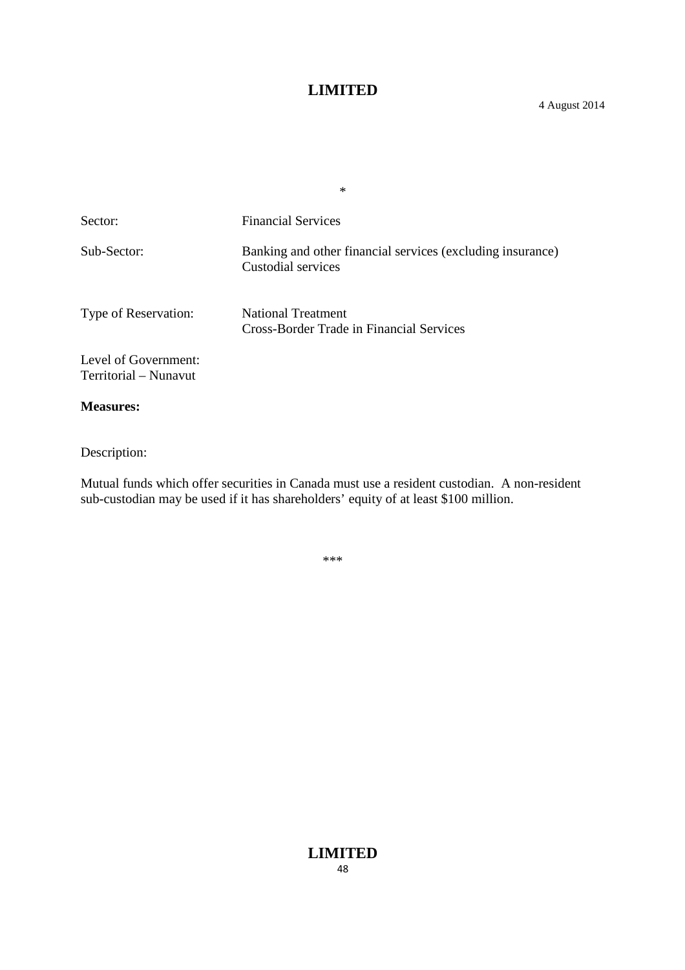\*

#### 4 August 2014

| Sector:                                       | <b>Financial Services</b>                                                        |
|-----------------------------------------------|----------------------------------------------------------------------------------|
| Sub-Sector:                                   | Banking and other financial services (excluding insurance)<br>Custodial services |
| Type of Reservation:                          | <b>National Treatment</b><br>Cross-Border Trade in Financial Services            |
| Level of Government:<br>Territorial – Nunavut |                                                                                  |

#### **Measures:**

Description:

Mutual funds which offer securities in Canada must use a resident custodian. A non-resident sub-custodian may be used if it has shareholders' equity of at least \$100 million.

\*\*\*

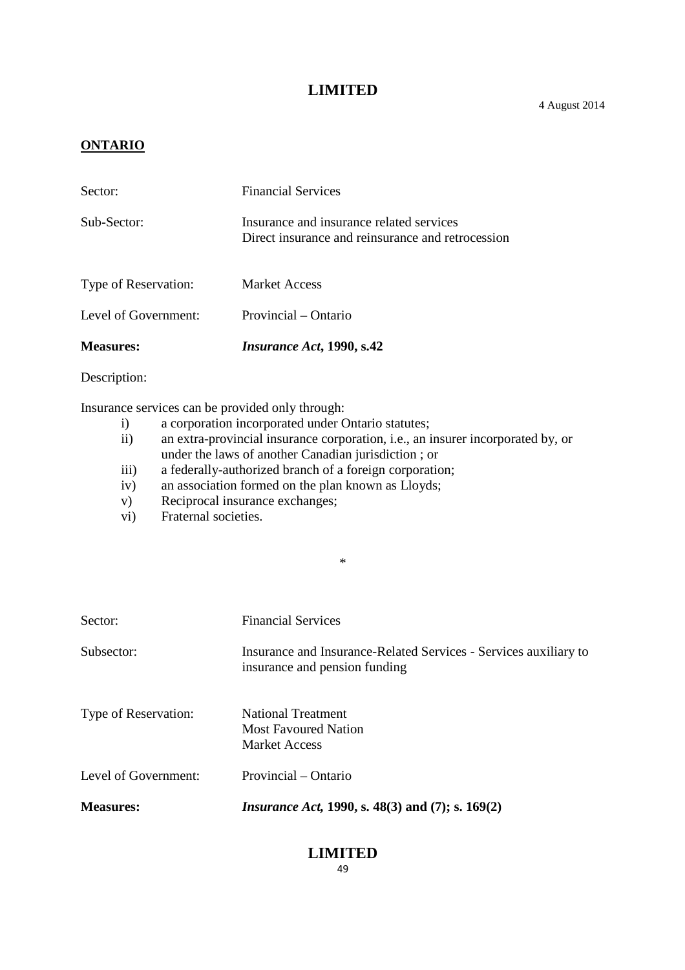#### **ONTARIO**

| <b>Measures:</b>     | <i>Insurance Act</i> , 1990, s.42                                                             |
|----------------------|-----------------------------------------------------------------------------------------------|
| Level of Government: | Provincial – Ontario                                                                          |
| Type of Reservation: | <b>Market Access</b>                                                                          |
| Sub-Sector:          | Insurance and insurance related services<br>Direct insurance and reinsurance and retrocession |
| Sector:              | <b>Financial Services</b>                                                                     |

Description:

Insurance services can be provided only through:

- i) a corporation incorporated under Ontario statutes;<br>ii) an extra-provincial insurance corporation, i.e., an i
- an extra-provincial insurance corporation, i.e., an insurer incorporated by, or under the laws of another Canadian jurisdiction ; or

\*

- iii) a federally-authorized branch of a foreign corporation;
- iv) an association formed on the plan known as Lloyds;
- v) Reciprocal insurance exchanges;
- vi) Fraternal societies.

| Sector:              | <b>Financial Services</b>                                                                         |
|----------------------|---------------------------------------------------------------------------------------------------|
| Subsector:           | Insurance and Insurance-Related Services - Services auxiliary to<br>insurance and pension funding |
| Type of Reservation: | <b>National Treatment</b><br><b>Most Favoured Nation</b><br><b>Market Access</b>                  |
| Level of Government: | Provincial – Ontario                                                                              |
| <b>Measures:</b>     | <i>Insurance Act</i> , 1990, s. 48(3) and (7); s. 169(2)                                          |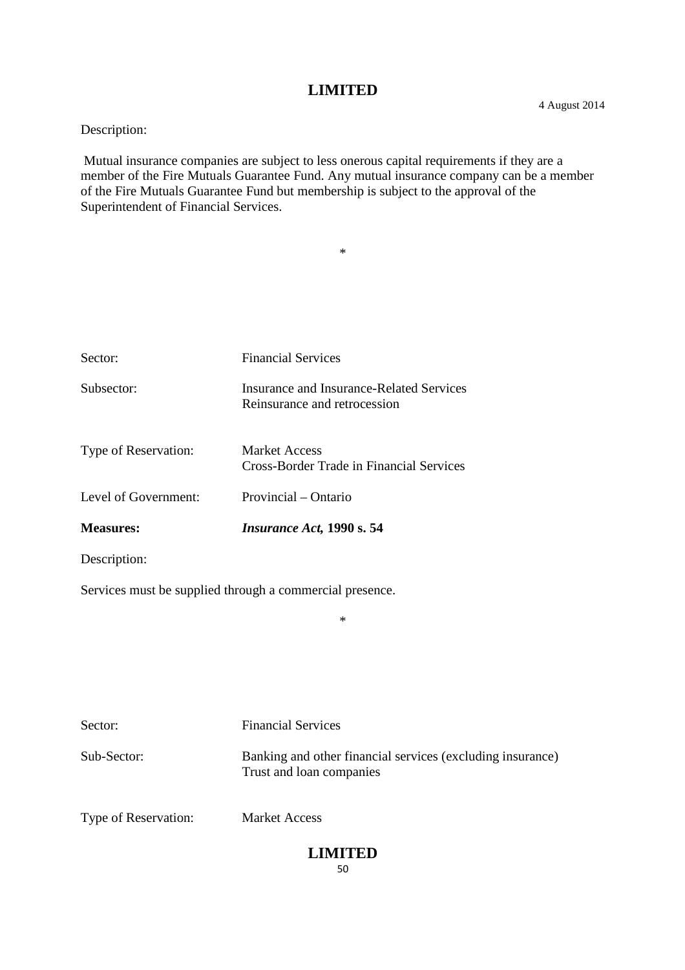Description:

Mutual insurance companies are subject to less onerous capital requirements if they are a member of the Fire Mutuals Guarantee Fund. Any mutual insurance company can be a member of the Fire Mutuals Guarantee Fund but membership is subject to the approval of the Superintendent of Financial Services.

\*

| Sector:              | <b>Financial Services</b>                                                |
|----------------------|--------------------------------------------------------------------------|
| Subsector:           | Insurance and Insurance-Related Services<br>Reinsurance and retrocession |
| Type of Reservation: | Market Access<br>Cross-Border Trade in Financial Services                |
| Level of Government: | Provincial – Ontario                                                     |
| <b>Measures:</b>     | <i>Insurance Act</i> , 1990 s. 54                                        |
| Description:         |                                                                          |

Services must be supplied through a commercial presence.

Sector: Financial Services Sub-Sector: Banking and other financial services (excluding insurance) Trust and loan companies Type of Reservation: Market Access

#### **LIMITED** 50

\*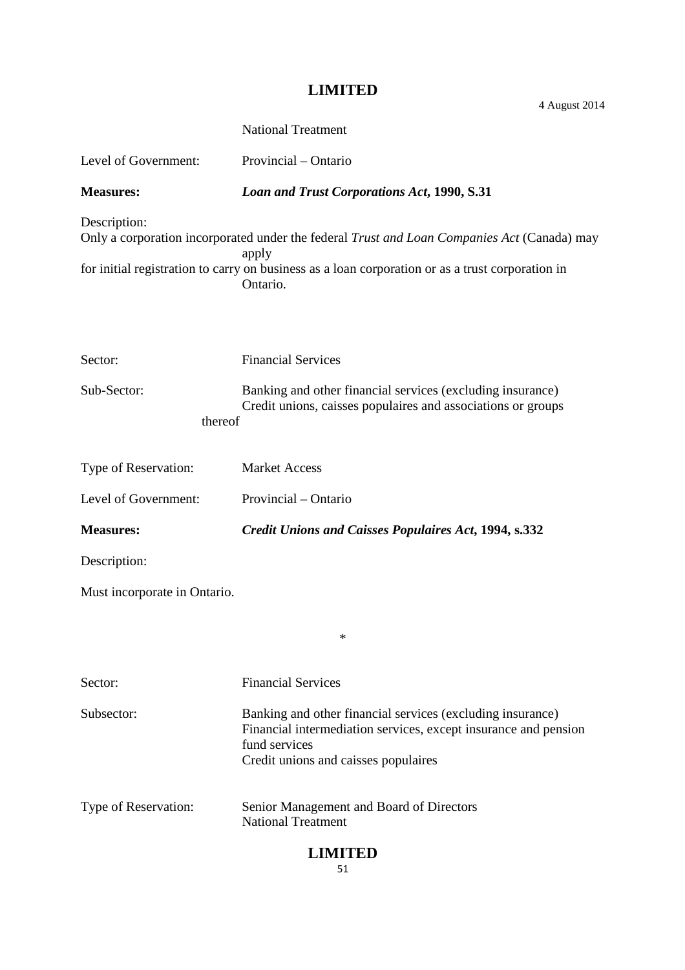4 August 2014

|                              | <b>National Treatment</b>                                                                                                                                                                                            |
|------------------------------|----------------------------------------------------------------------------------------------------------------------------------------------------------------------------------------------------------------------|
| Level of Government:         | Provincial – Ontario                                                                                                                                                                                                 |
| <b>Measures:</b>             | <b>Loan and Trust Corporations Act, 1990, S.31</b>                                                                                                                                                                   |
| Description:                 | Only a corporation incorporated under the federal Trust and Loan Companies Act (Canada) may<br>apply<br>for initial registration to carry on business as a loan corporation or as a trust corporation in<br>Ontario. |
| Sector:                      | <b>Financial Services</b>                                                                                                                                                                                            |
| Sub-Sector:<br>thereof       | Banking and other financial services (excluding insurance)<br>Credit unions, caisses populaires and associations or groups                                                                                           |
| Type of Reservation:         | <b>Market Access</b>                                                                                                                                                                                                 |
| Level of Government:         | Provincial – Ontario                                                                                                                                                                                                 |
| <b>Measures:</b>             | <b>Credit Unions and Caisses Populaires Act, 1994, s.332</b>                                                                                                                                                         |
| Description:                 |                                                                                                                                                                                                                      |
| Must incorporate in Ontario. |                                                                                                                                                                                                                      |
|                              | ∗                                                                                                                                                                                                                    |
| Sector:                      | <b>Financial Services</b>                                                                                                                                                                                            |
| Subsector:                   | Banking and other financial services (excluding insurance)<br>Financial intermediation services, except insurance and pension<br>fund services<br>Credit unions and caisses populaires                               |
| Type of Reservation:         | Senior Management and Board of Directors<br><b>National Treatment</b>                                                                                                                                                |
| <b>LIMITED</b>               |                                                                                                                                                                                                                      |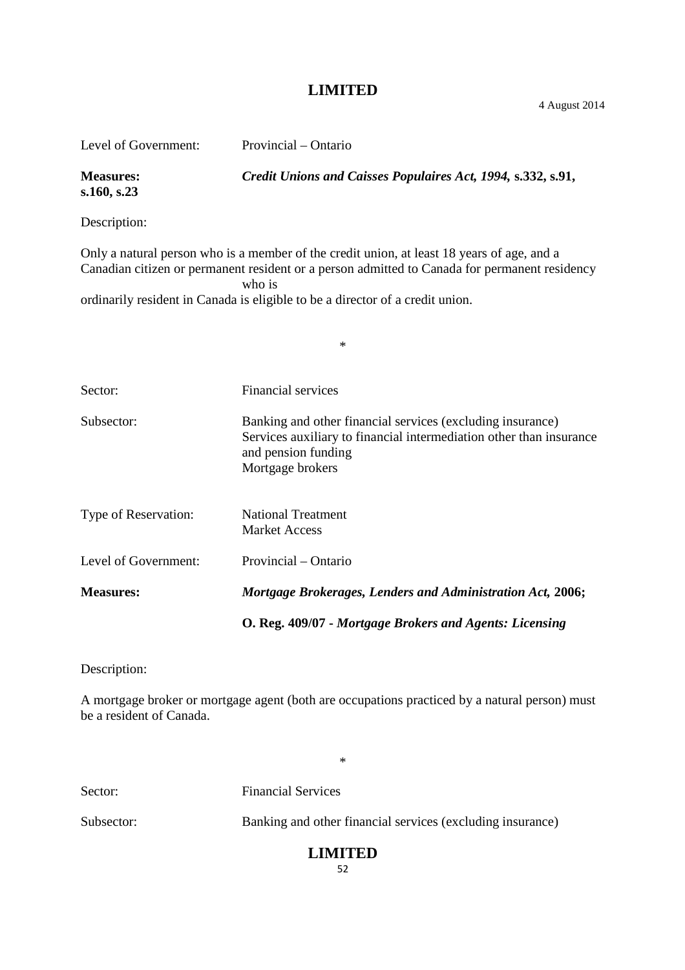| Level of Government:            | Provincial – Ontario                                                                                                                                                                                                                                                                   |
|---------------------------------|----------------------------------------------------------------------------------------------------------------------------------------------------------------------------------------------------------------------------------------------------------------------------------------|
| <b>Measures:</b><br>s.160, s.23 | Credit Unions and Caisses Populaires Act, 1994, s.332, s.91,                                                                                                                                                                                                                           |
| Description:                    |                                                                                                                                                                                                                                                                                        |
|                                 | Only a natural person who is a member of the credit union, at least 18 years of age, and a<br>Canadian citizen or permanent resident or a person admitted to Canada for permanent residency<br>who is<br>ordinarily resident in Canada is eligible to be a director of a credit union. |
|                                 | $\ast$                                                                                                                                                                                                                                                                                 |
| Sector:                         | Financial services                                                                                                                                                                                                                                                                     |
| Subsector:                      | Banking and other financial services (excluding insurance)<br>Services auxiliary to financial intermediation other than insurance<br>and pension funding<br>Mortgage brokers                                                                                                           |
| Type of Reservation:            | <b>National Treatment</b><br><b>Market Access</b>                                                                                                                                                                                                                                      |
| Level of Government:            | Provincial – Ontario                                                                                                                                                                                                                                                                   |
| <b>Measures:</b>                | Mortgage Brokerages, Lenders and Administration Act, 2006;                                                                                                                                                                                                                             |
|                                 | O. Reg. 409/07 - Mortgage Brokers and Agents: Licensing                                                                                                                                                                                                                                |

Description:

A mortgage broker or mortgage agent (both are occupations practiced by a natural person) must be a resident of Canada.

\*

Sector: Financial Services Subsector: Banking and other financial services (excluding insurance)

# **LIMITED**

52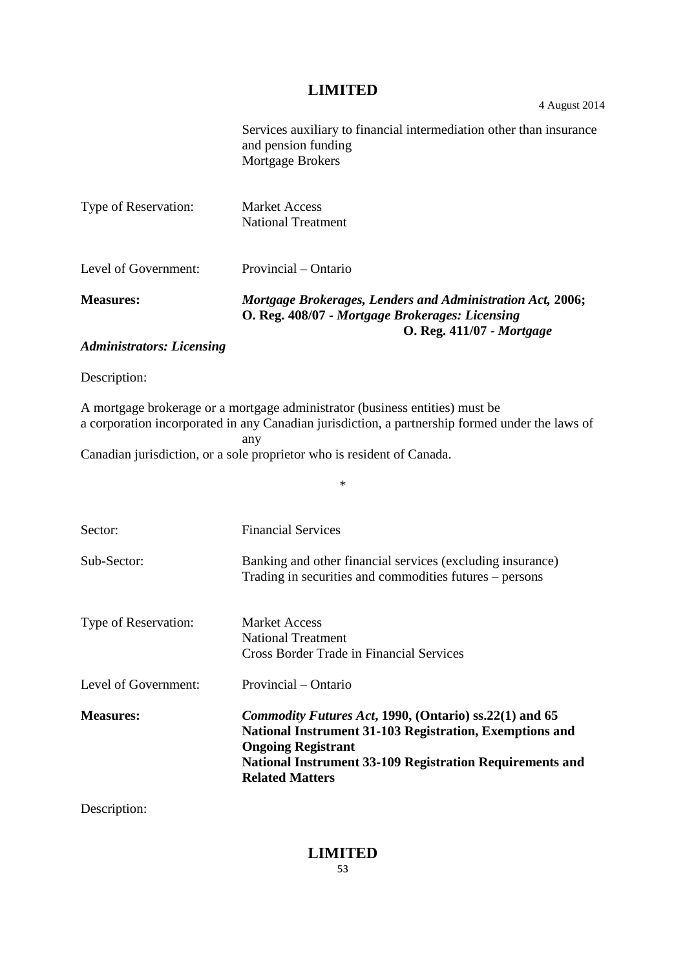Services auxiliary to financial intermediation other than insurance and pension funding Mortgage Brokers

| Type of Reservation:      | <b>Market Access</b><br>National Treatment                                                                                                 |
|---------------------------|--------------------------------------------------------------------------------------------------------------------------------------------|
| Level of Government:      | Provincial – Ontario                                                                                                                       |
| <b>Measures:</b>          | Mortgage Brokerages, Lenders and Administration Act, 2006;<br>O. Reg. 408/07 - Mortgage Brokerages: Licensing<br>O. Reg. 411/07 - Mortgage |
| Administrators, Liconsing |                                                                                                                                            |

#### *Administrators: Licensing*

Description:

A mortgage brokerage or a mortgage administrator (business entities) must be a corporation incorporated in any Canadian jurisdiction, a partnership formed under the laws of any

\*

Canadian jurisdiction, or a sole proprietor who is resident of Canada.

| Sector:              | <b>Financial Services</b>                                                                                                                                                                                                                          |
|----------------------|----------------------------------------------------------------------------------------------------------------------------------------------------------------------------------------------------------------------------------------------------|
| Sub-Sector:          | Banking and other financial services (excluding insurance)<br>Trading in securities and commodities futures – persons                                                                                                                              |
| Type of Reservation: | Market Access<br><b>National Treatment</b><br>Cross Border Trade in Financial Services                                                                                                                                                             |
| Level of Government: | Provincial – Ontario                                                                                                                                                                                                                               |
| <b>Measures:</b>     | <i>Commodity Futures Act, 1990, (Ontario) ss.22(1) and 65</i><br>National Instrument 31-103 Registration, Exemptions and<br><b>Ongoing Registrant</b><br><b>National Instrument 33-109 Registration Requirements and</b><br><b>Related Matters</b> |

Description: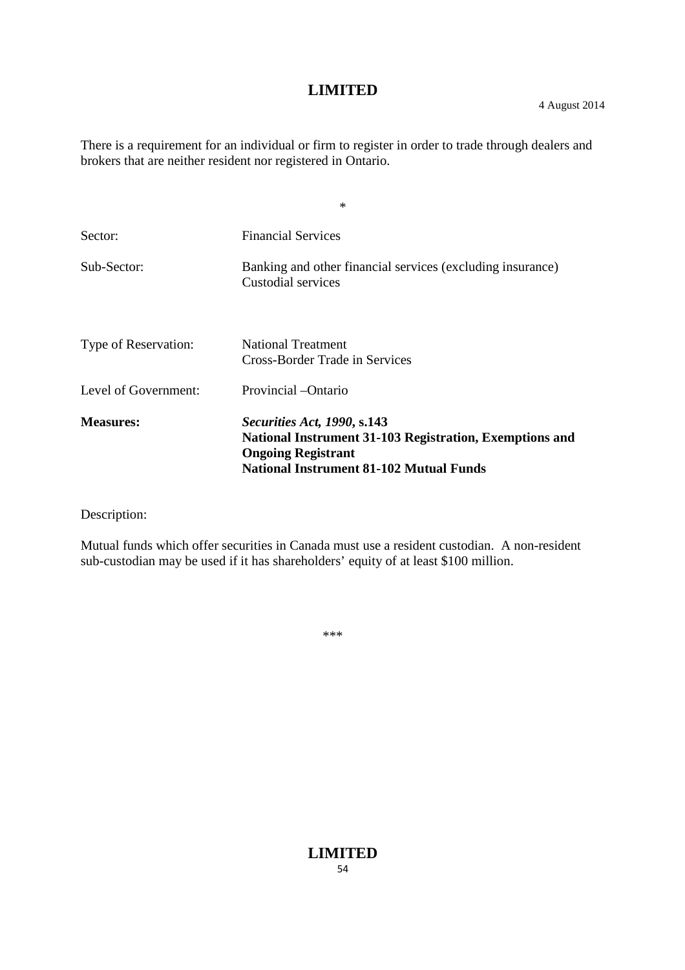There is a requirement for an individual or firm to register in order to trade through dealers and brokers that are neither resident nor registered in Ontario.

\*

| Sector:              | <b>Financial Services</b>                                                                                                                                             |
|----------------------|-----------------------------------------------------------------------------------------------------------------------------------------------------------------------|
| Sub-Sector:          | Banking and other financial services (excluding insurance)<br>Custodial services                                                                                      |
| Type of Reservation: | <b>National Treatment</b><br>Cross-Border Trade in Services                                                                                                           |
| Level of Government: | Provincial -Ontario                                                                                                                                                   |
| <b>Measures:</b>     | Securities Act, 1990, s.143<br>National Instrument 31-103 Registration, Exemptions and<br><b>Ongoing Registrant</b><br><b>National Instrument 81-102 Mutual Funds</b> |

Description:

Mutual funds which offer securities in Canada must use a resident custodian. A non-resident sub-custodian may be used if it has shareholders' equity of at least \$100 million.

\*\*\*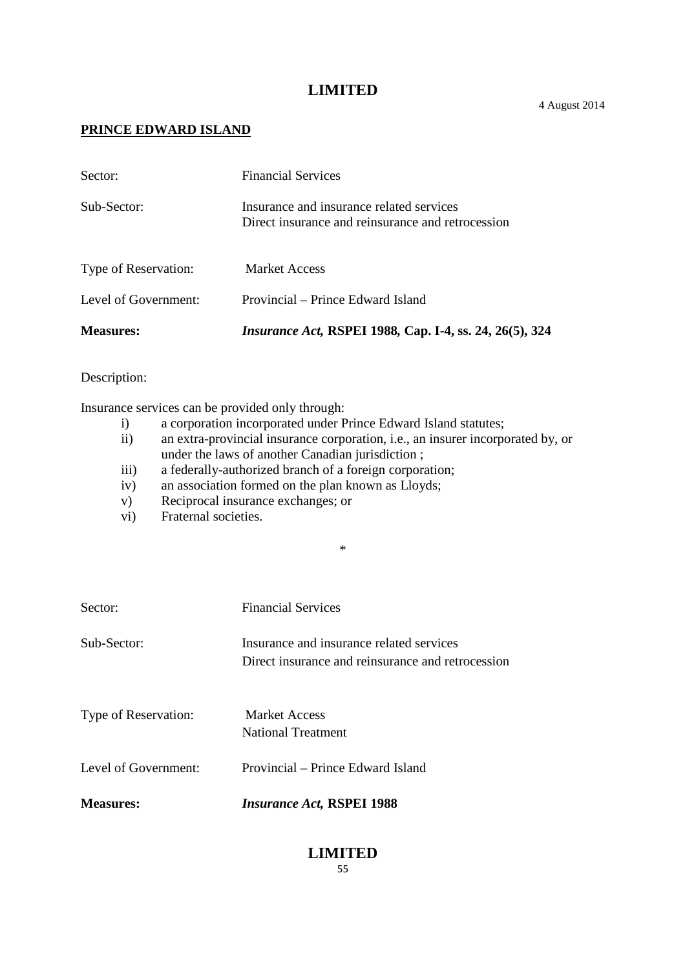# **PRINCE EDWARD ISLAND**

| <b>Measures:</b>     | <i>Insurance Act, RSPEI 1988, Cap. I-4, ss. 24, 26(5), 324</i>                                |
|----------------------|-----------------------------------------------------------------------------------------------|
| Level of Government: | Provincial – Prince Edward Island                                                             |
| Type of Reservation: | <b>Market Access</b>                                                                          |
| Sub-Sector:          | Insurance and insurance related services<br>Direct insurance and reinsurance and retrocession |
| Sector:              | <b>Financial Services</b>                                                                     |

#### Description:

Insurance services can be provided only through:

- i) a corporation incorporated under Prince Edward Island statutes;<br>ii) an extra-provincial insurance corporation, i.e., an insurer incorpo
- an extra-provincial insurance corporation, i.e., an insurer incorporated by, or under the laws of another Canadian jurisdiction ;

\*

- iii) a federally-authorized branch of a foreign corporation;
- iv) an association formed on the plan known as Lloyds;
- v) Reciprocal insurance exchanges; or
- vi) Fraternal societies.

| Sector:              | <b>Financial Services</b>                                                                     |
|----------------------|-----------------------------------------------------------------------------------------------|
| Sub-Sector:          | Insurance and insurance related services<br>Direct insurance and reinsurance and retrocession |
| Type of Reservation: | <b>Market Access</b><br><b>National Treatment</b>                                             |
| Level of Government: | Provincial – Prince Edward Island                                                             |
| <b>Measures:</b>     | <b>Insurance Act, RSPEI 1988</b>                                                              |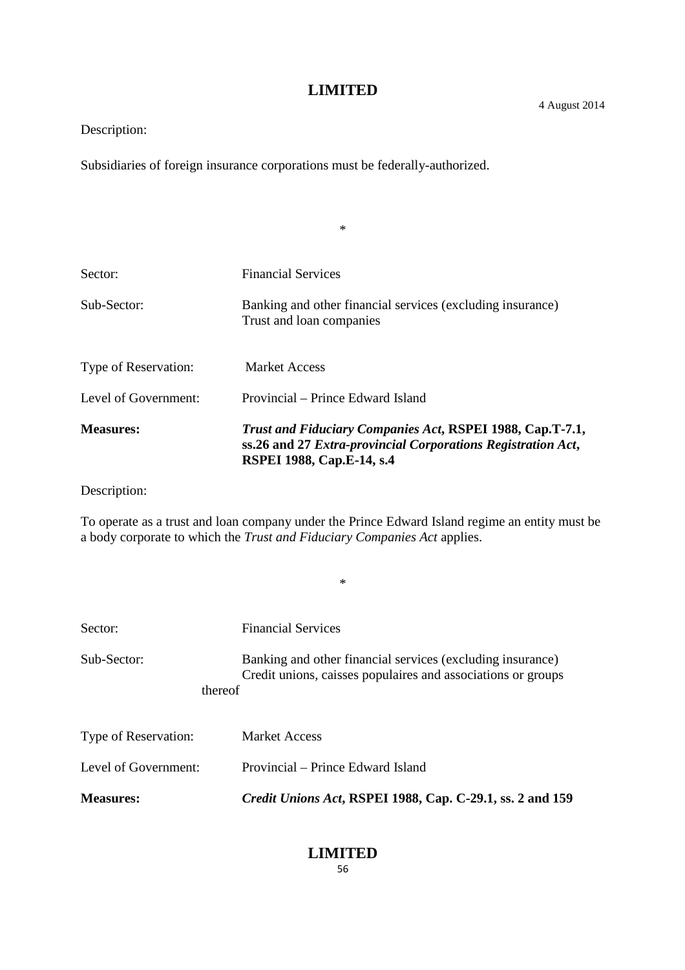\*

# Description:

Subsidiaries of foreign insurance corporations must be federally-authorized.

| <b>Measures:</b>     | <b>Trust and Fiduciary Companies Act, RSPEI 1988, Cap.T-7.1,</b><br>ss.26 and 27 Extra-provincial Corporations Registration Act,<br><b>RSPEI 1988, Cap.E-14, s.4</b> |
|----------------------|----------------------------------------------------------------------------------------------------------------------------------------------------------------------|
| Level of Government: | Provincial – Prince Edward Island                                                                                                                                    |
| Type of Reservation: | <b>Market Access</b>                                                                                                                                                 |
| Sub-Sector:          | Banking and other financial services (excluding insurance)<br>Trust and loan companies                                                                               |
| Sector:              | <b>Financial Services</b>                                                                                                                                            |
|                      |                                                                                                                                                                      |

Description:

To operate as a trust and loan company under the Prince Edward Island regime an entity must be a body corporate to which the *Trust and Fiduciary Companies Act* applies.

\*

| Sector:                     | <b>Financial Services</b>                                                                                                  |
|-----------------------------|----------------------------------------------------------------------------------------------------------------------------|
| Sub-Sector:<br>thereof      | Banking and other financial services (excluding insurance)<br>Credit unions, caisses populaires and associations or groups |
| <b>Type of Reservation:</b> | <b>Market Access</b>                                                                                                       |
| Level of Government:        | Provincial – Prince Edward Island                                                                                          |
| <b>Measures:</b>            | Credit Unions Act, RSPEI 1988, Cap. C-29.1, ss. 2 and 159                                                                  |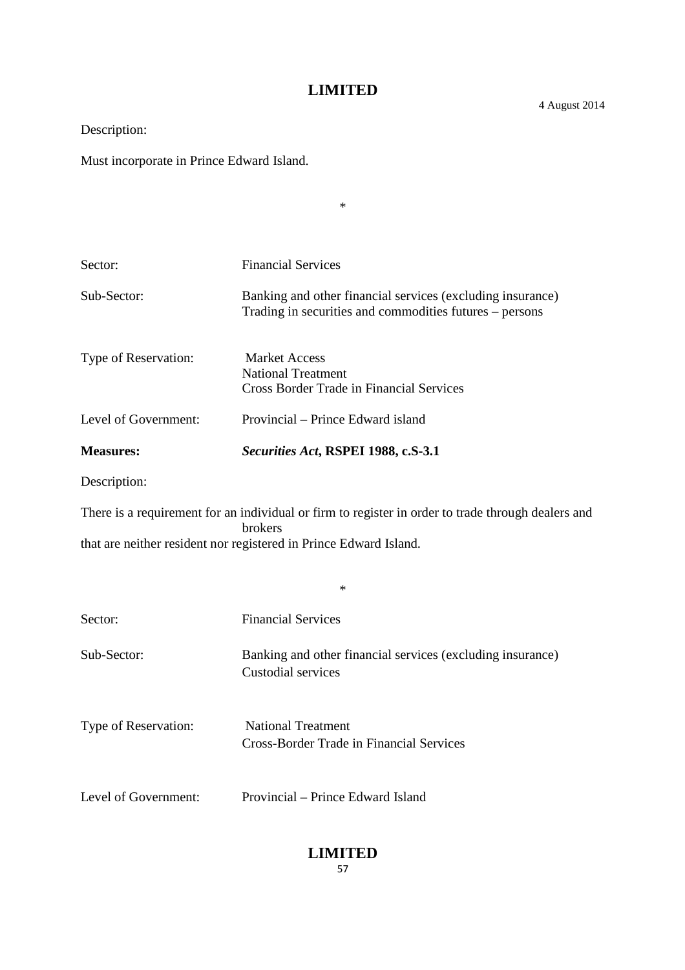Description:

Must incorporate in Prince Edward Island.

| $\ast$                                                                                                                                                                             |                                                                                                                       |  |
|------------------------------------------------------------------------------------------------------------------------------------------------------------------------------------|-----------------------------------------------------------------------------------------------------------------------|--|
|                                                                                                                                                                                    |                                                                                                                       |  |
| Sector:                                                                                                                                                                            | <b>Financial Services</b>                                                                                             |  |
| Sub-Sector:                                                                                                                                                                        | Banking and other financial services (excluding insurance)<br>Trading in securities and commodities futures – persons |  |
| Type of Reservation:                                                                                                                                                               | <b>Market Access</b><br><b>National Treatment</b><br><b>Cross Border Trade in Financial Services</b>                  |  |
| Level of Government:                                                                                                                                                               | Provincial – Prince Edward island                                                                                     |  |
| <b>Measures:</b>                                                                                                                                                                   | Securities Act, RSPEI 1988, c.S-3.1                                                                                   |  |
| Description:                                                                                                                                                                       |                                                                                                                       |  |
| There is a requirement for an individual or firm to register in order to trade through dealers and<br>brokers<br>that are neither resident nor registered in Prince Edward Island. |                                                                                                                       |  |
|                                                                                                                                                                                    | $\ast$                                                                                                                |  |
| Sector:                                                                                                                                                                            | <b>Financial Services</b>                                                                                             |  |
| Sub-Sector:                                                                                                                                                                        | Banking and other financial services (excluding insurance)<br>Custodial services                                      |  |
| Type of Reservation:                                                                                                                                                               | <b>National Treatment</b><br><b>Cross-Border Trade in Financial Services</b>                                          |  |
| Level of Government:                                                                                                                                                               | Provincial – Prince Edward Island                                                                                     |  |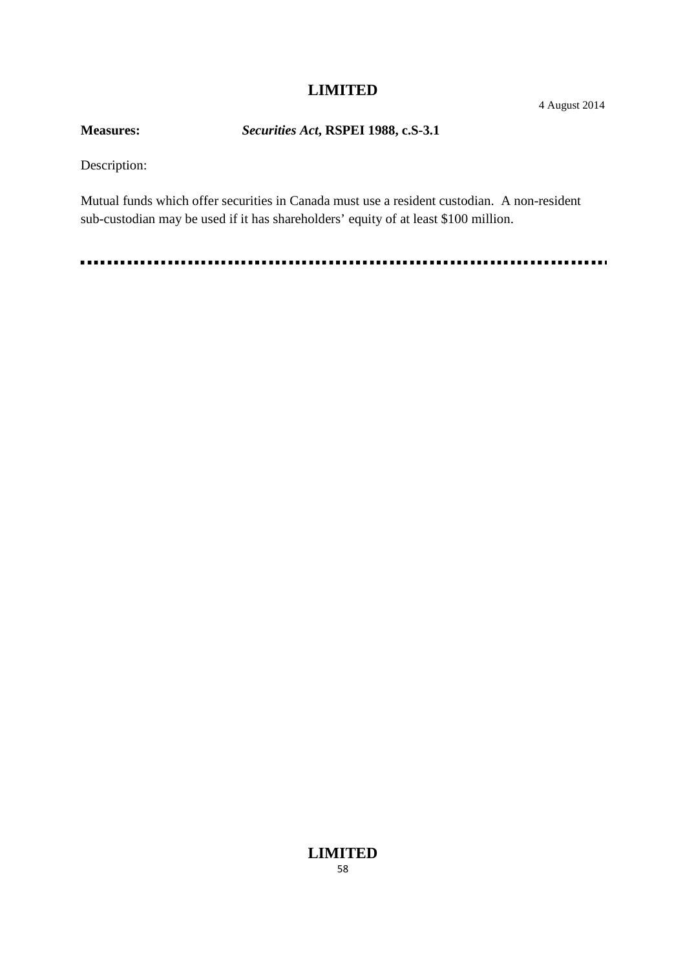# **Measures:** *Securities Act***, RSPEI 1988, c.S-3.1**

Description:

Mutual funds which offer securities in Canada must use a resident custodian. A non-resident sub-custodian may be used if it has shareholders' equity of at least \$100 million.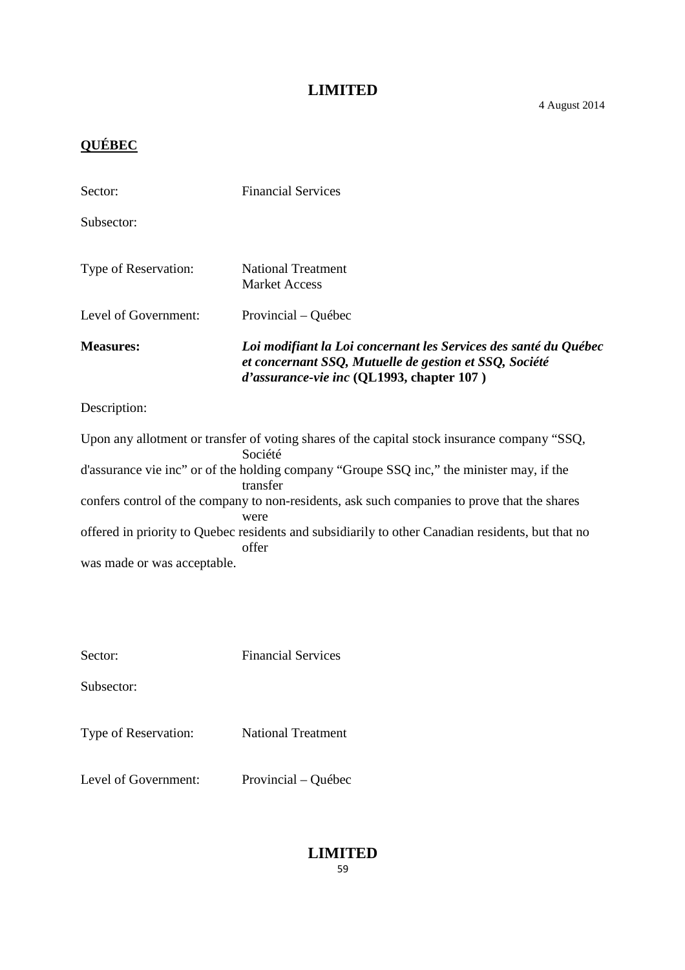# **QUÉBEC**

| Sector:                                                                                                 | <b>Financial Services</b>                                                                                                                                               |
|---------------------------------------------------------------------------------------------------------|-------------------------------------------------------------------------------------------------------------------------------------------------------------------------|
| Subsector:                                                                                              |                                                                                                                                                                         |
| Type of Reservation:                                                                                    | <b>National Treatment</b><br><b>Market Access</b>                                                                                                                       |
| Level of Government:                                                                                    | Provincial – Québec                                                                                                                                                     |
| <b>Measures:</b>                                                                                        | Loi modifiant la Loi concernant les Services des santé du Québec<br>et concernant SSQ, Mutuelle de gestion et SSQ, Société<br>d'assurance-vie inc (QL1993, chapter 107) |
| Description:                                                                                            |                                                                                                                                                                         |
| Upon any allotment or transfer of voting shares of the capital stock insurance company "SSQ,<br>Société |                                                                                                                                                                         |

|                             | Société                                                                                           |  |  |
|-----------------------------|---------------------------------------------------------------------------------------------------|--|--|
|                             | d'assurance vie inc" or of the holding company "Groupe SSQ inc," the minister may, if the         |  |  |
|                             | transfer                                                                                          |  |  |
|                             | confers control of the company to non-residents, ask such companies to prove that the shares      |  |  |
|                             | were                                                                                              |  |  |
|                             | offered in priority to Quebec residents and subsidiarily to other Canadian residents, but that no |  |  |
|                             | offer                                                                                             |  |  |
| was made or was acceptable. |                                                                                                   |  |  |
|                             |                                                                                                   |  |  |

| Sector:              | <b>Financial Services</b> |
|----------------------|---------------------------|
| Subsector:           |                           |
| Type of Reservation: | <b>National Treatment</b> |

Level of Government: Provincial – Québec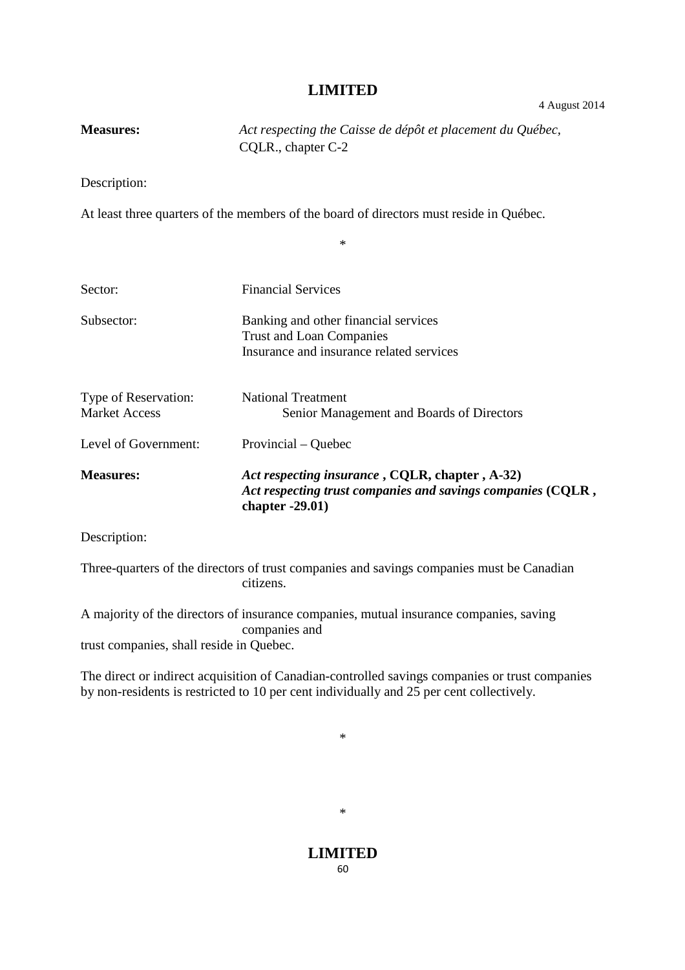| <b>Measures:</b>                             | Act respecting the Caisse de dépôt et placement du Québec,<br>CQLR., chapter C-2                                                    |
|----------------------------------------------|-------------------------------------------------------------------------------------------------------------------------------------|
| Description:                                 |                                                                                                                                     |
|                                              | At least three quarters of the members of the board of directors must reside in Québec.                                             |
|                                              | $\ast$                                                                                                                              |
| Sector:                                      | <b>Financial Services</b>                                                                                                           |
| Subsector:                                   | Banking and other financial services<br><b>Trust and Loan Companies</b><br>Insurance and insurance related services                 |
| Type of Reservation:<br><b>Market Access</b> | <b>National Treatment</b><br>Senior Management and Boards of Directors                                                              |
| Level of Government:                         | Provincial – Quebec                                                                                                                 |
| <b>Measures:</b>                             | Act respecting insurance, CQLR, chapter, A-32)<br>Act respecting trust companies and savings companies (CQLR,<br>chapter $-29.01$ ) |
| Description:                                 |                                                                                                                                     |

Three-quarters of the directors of trust companies and savings companies must be Canadian citizens.

A majority of the directors of insurance companies, mutual insurance companies, saving companies and trust companies, shall reside in Quebec.

The direct or indirect acquisition of Canadian-controlled savings companies or trust companies by non-residents is restricted to 10 per cent individually and 25 per cent collectively.

\*

# \*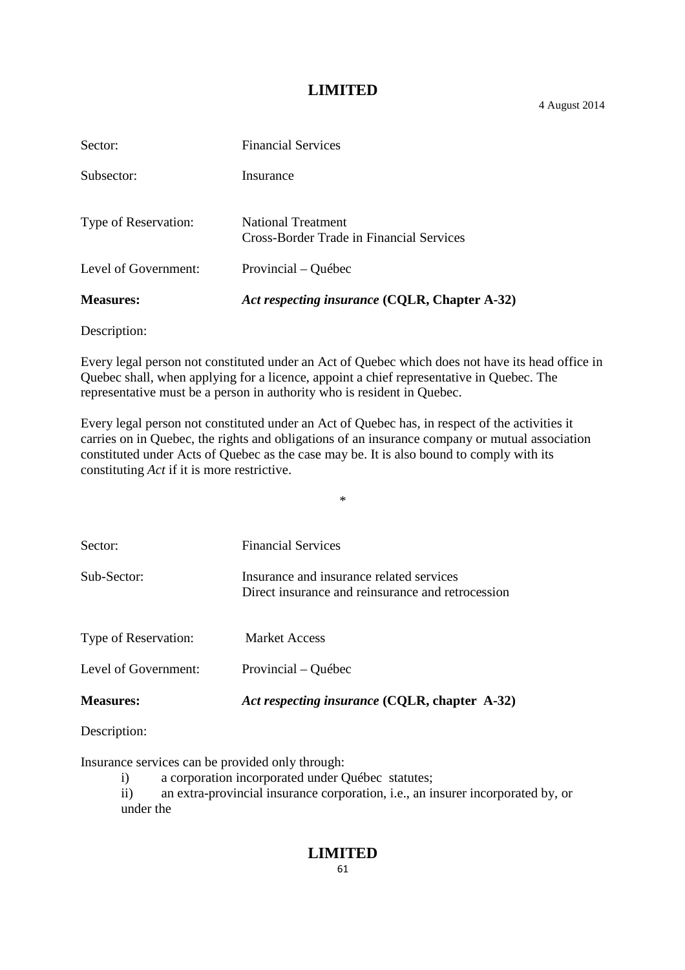4 August 2014

| <b>Measures:</b>     | Act respecting insurance (CQLR, Chapter A-32)                  |
|----------------------|----------------------------------------------------------------|
| Level of Government: | Provincial – Québec                                            |
| Type of Reservation: | National Treatment<br>Cross-Border Trade in Financial Services |
| Subsector:           | Insurance                                                      |
| Sector:              | <b>Financial Services</b>                                      |

Description:

Every legal person not constituted under an Act of Quebec which does not have its head office in Quebec shall, when applying for a licence, appoint a chief representative in Quebec. The representative must be a person in authority who is resident in Quebec.

Every legal person not constituted under an Act of Quebec has, in respect of the activities it carries on in Quebec, the rights and obligations of an insurance company or mutual association constituted under Acts of Quebec as the case may be. It is also bound to comply with its constituting *Act* if it is more restrictive.

\*

| <b>Measures:</b>            | Act respecting insurance (CQLR, chapter A-32)                                                 |
|-----------------------------|-----------------------------------------------------------------------------------------------|
| Level of Government:        | Provincial – Québec                                                                           |
| <b>Type of Reservation:</b> | <b>Market Access</b>                                                                          |
| Sub-Sector:                 | Insurance and insurance related services<br>Direct insurance and reinsurance and retrocession |
| Sector:                     | <b>Financial Services</b>                                                                     |

Description:

Insurance services can be provided only through:

i) a corporation incorporated under Québec statutes;

ii) an extra-provincial insurance corporation, i.e., an insurer incorporated by, or under the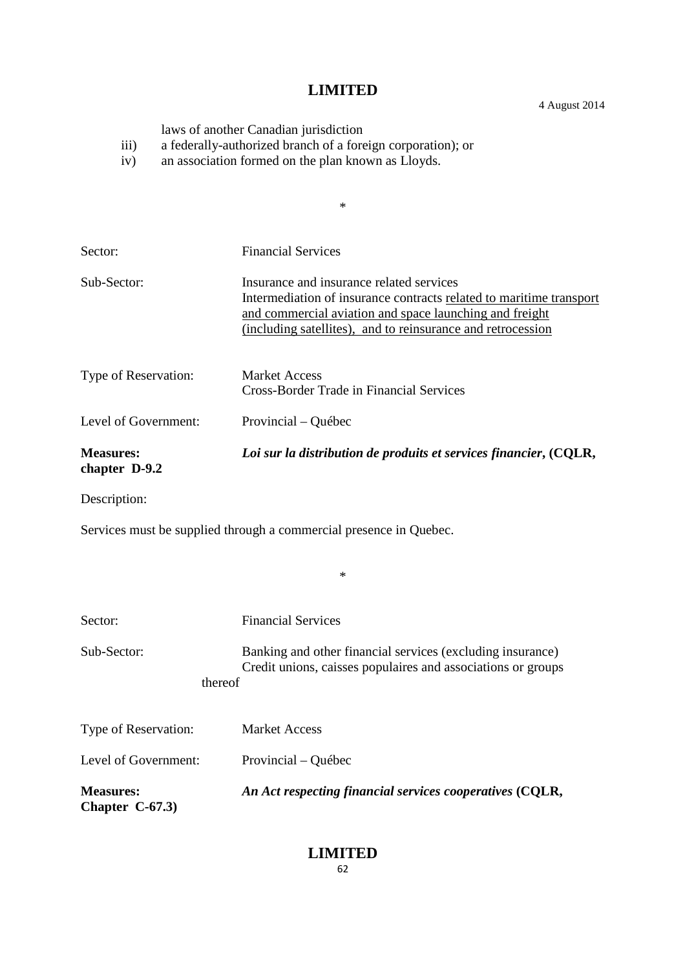laws of another Canadian jurisdiction

- iii) a federally-authorized branch of a foreign corporation); or
- iv) an association formed on the plan known as Lloyds.

|                                   | $\ast$                                                                                                                                                                                                                                    |
|-----------------------------------|-------------------------------------------------------------------------------------------------------------------------------------------------------------------------------------------------------------------------------------------|
|                                   |                                                                                                                                                                                                                                           |
| Sector:                           | <b>Financial Services</b>                                                                                                                                                                                                                 |
| Sub-Sector:                       | Insurance and insurance related services<br>Intermediation of insurance contracts related to maritime transport<br>and commercial aviation and space launching and freight<br>(including satellites), and to reinsurance and retrocession |
| Type of Reservation:              | <b>Market Access</b><br>Cross-Border Trade in Financial Services                                                                                                                                                                          |
| Level of Government:              | Provincial – Québec                                                                                                                                                                                                                       |
| <b>Measures:</b><br>chapter D-9.2 | Loi sur la distribution de produits et services financier, (CQLR,                                                                                                                                                                         |
| Description:                      |                                                                                                                                                                                                                                           |
|                                   | Services must be supplied through a commercial presence in Quebec.                                                                                                                                                                        |
|                                   | $\ast$                                                                                                                                                                                                                                    |
|                                   |                                                                                                                                                                                                                                           |

| Sector:                              | <b>Financial Services</b>                                                                                                  |
|--------------------------------------|----------------------------------------------------------------------------------------------------------------------------|
| Sub-Sector:<br>thereof               | Banking and other financial services (excluding insurance)<br>Credit unions, caisses populaires and associations or groups |
| Type of Reservation:                 | <b>Market Access</b>                                                                                                       |
| Level of Government:                 | Provincial – Québec                                                                                                        |
| <b>Measures:</b><br>Chapter $C-67.3$ | An Act respecting financial services cooperatives (CQLR,                                                                   |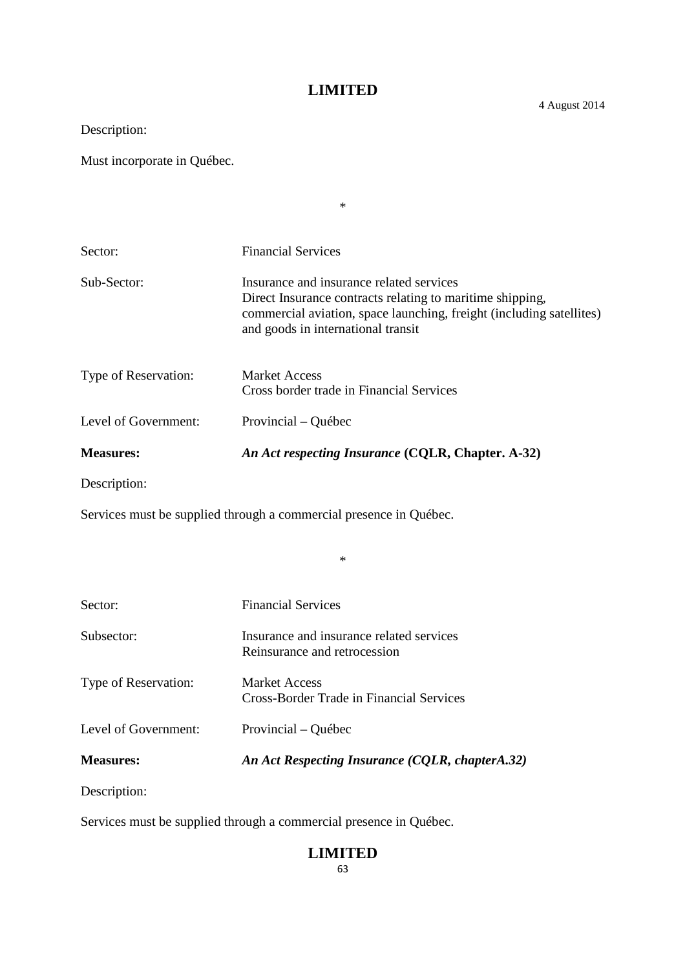\*

Description:

Must incorporate in Québec.

| Sector:              | <b>Financial Services</b>                                                                                                                                                                                           |
|----------------------|---------------------------------------------------------------------------------------------------------------------------------------------------------------------------------------------------------------------|
| Sub-Sector:          | Insurance and insurance related services<br>Direct Insurance contracts relating to maritime shipping,<br>commercial aviation, space launching, freight (including satellites)<br>and goods in international transit |
| Type of Reservation: | <b>Market Access</b><br>Cross border trade in Financial Services                                                                                                                                                    |
| Level of Government: | Provincial – Québec                                                                                                                                                                                                 |
| <b>Measures:</b>     | An Act respecting Insurance (CQLR, Chapter. A-32)                                                                                                                                                                   |
| Description:         |                                                                                                                                                                                                                     |

\*

Services must be supplied through a commercial presence in Québec.

| Sector:              | <b>Financial Services</b>                                                |
|----------------------|--------------------------------------------------------------------------|
| Subsector:           | Insurance and insurance related services<br>Reinsurance and retrocession |
| Type of Reservation: | <b>Market Access</b><br>Cross-Border Trade in Financial Services         |
| Level of Government: | Provincial – Québec                                                      |
| <b>Measures:</b>     | An Act Respecting Insurance (CQLR, chapterA.32)                          |

Description:

Services must be supplied through a commercial presence in Québec.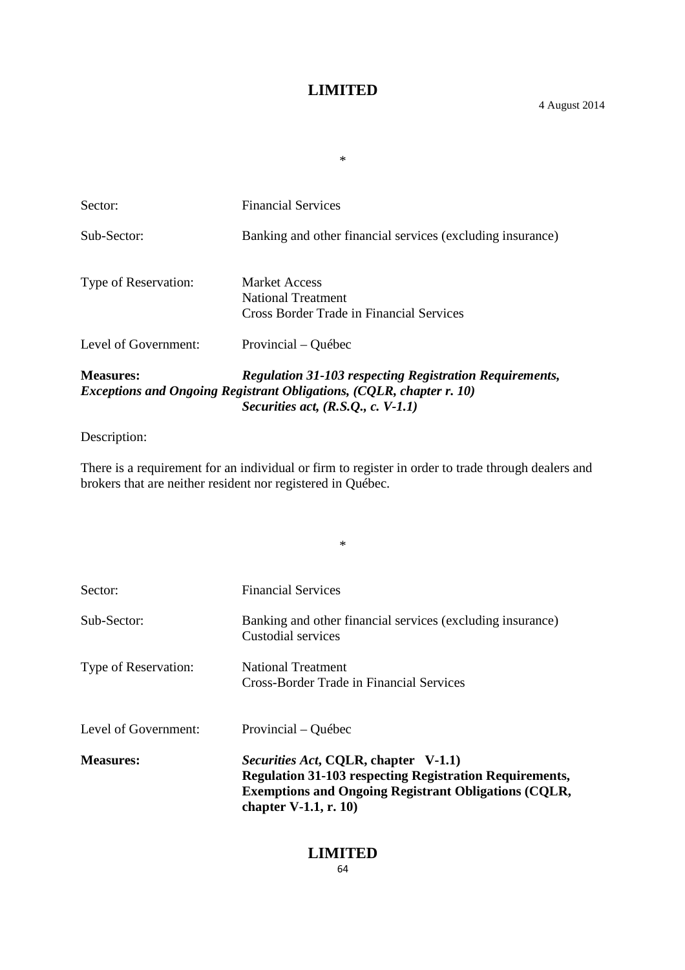\*

| Sector:              | <b>Financial Services</b>                                                                                                                                                             |
|----------------------|---------------------------------------------------------------------------------------------------------------------------------------------------------------------------------------|
| Sub-Sector:          | Banking and other financial services (excluding insurance)                                                                                                                            |
| Type of Reservation: | Market Access<br>National Treatment<br>Cross Border Trade in Financial Services                                                                                                       |
| Level of Government: | Provincial – Québec                                                                                                                                                                   |
| <b>Measures:</b>     | <b>Regulation 31-103 respecting Registration Requirements,</b><br><b>Exceptions and Ongoing Registrant Obligations, (CQLR, chapter r. 10)</b><br>Securities act, $(R.S.Q., c. V-1.1)$ |

# Description:

There is a requirement for an individual or firm to register in order to trade through dealers and brokers that are neither resident nor registered in Québec.

\*

| Sector:              | <b>Financial Services</b>                                                                                                                                                                                |
|----------------------|----------------------------------------------------------------------------------------------------------------------------------------------------------------------------------------------------------|
| Sub-Sector:          | Banking and other financial services (excluding insurance)<br>Custodial services                                                                                                                         |
| Type of Reservation: | National Treatment<br>Cross-Border Trade in Financial Services                                                                                                                                           |
| Level of Government: | Provincial – Québec                                                                                                                                                                                      |
| <b>Measures:</b>     | <i>Securities Act, CQLR, chapter V-1.1)</i><br><b>Regulation 31-103 respecting Registration Requirements,</b><br><b>Exemptions and Ongoing Registrant Obligations (CQLR,</b><br>chapter $V-1.1$ , r. 10) |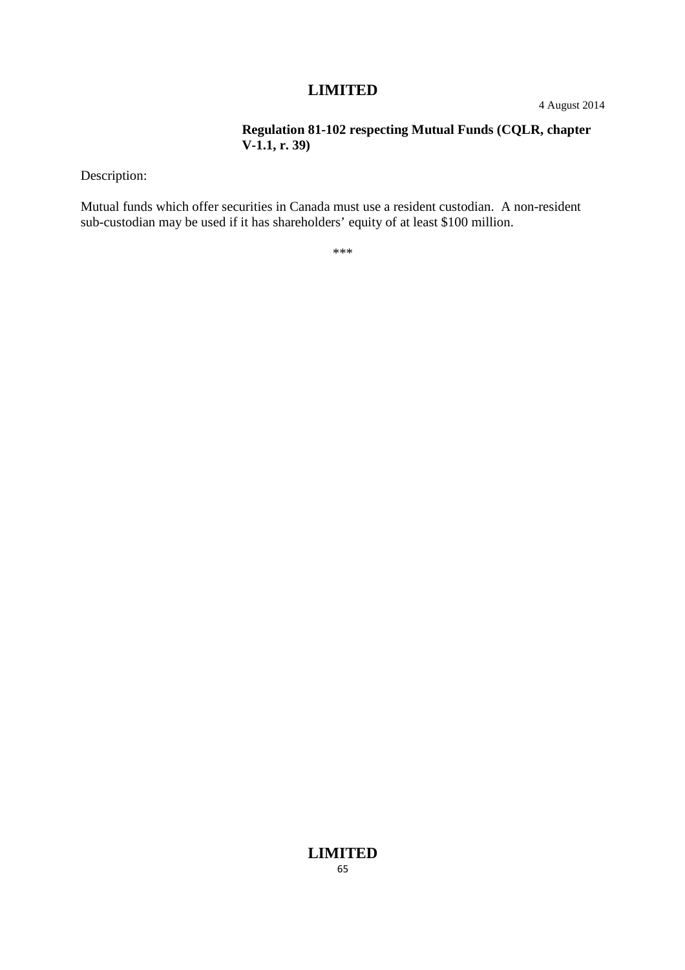4 August 2014

#### **Regulation 81-102 respecting Mutual Funds (CQLR, chapter V-1.1, r. 39)**

Description:

Mutual funds which offer securities in Canada must use a resident custodian. A non-resident sub-custodian may be used if it has shareholders' equity of at least \$100 million.

\*\*\*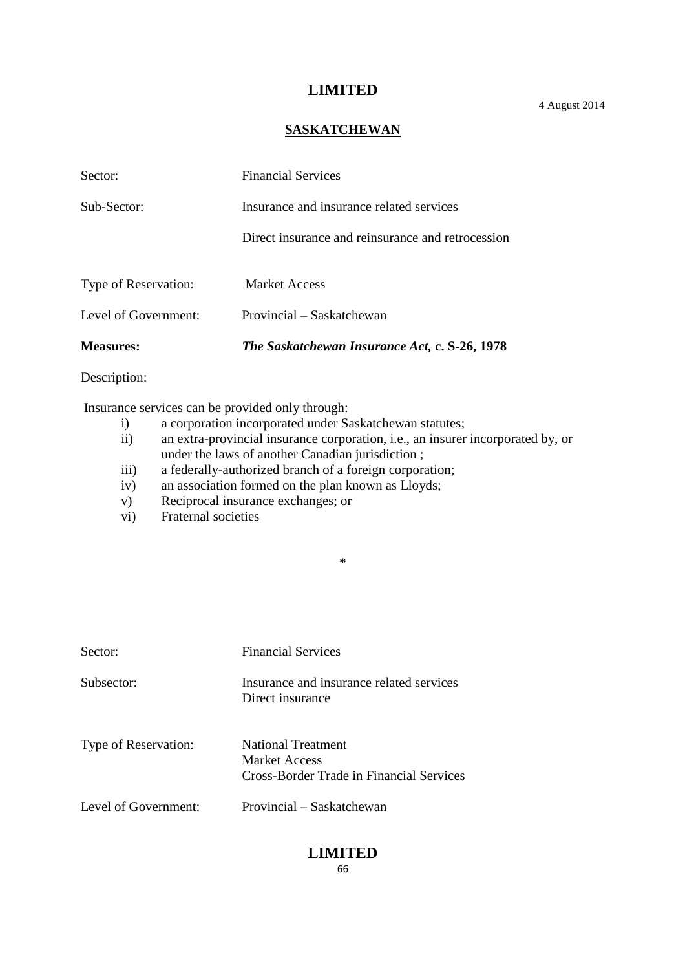4 August 2014

#### **SASKATCHEWAN**

| <b>Measures:</b>     | The Saskatchewan Insurance Act, c. S-26, 1978     |
|----------------------|---------------------------------------------------|
| Level of Government: | Provincial – Saskatchewan                         |
| Type of Reservation: | <b>Market Access</b>                              |
|                      | Direct insurance and reinsurance and retrocession |
| Sub-Sector:          | Insurance and insurance related services          |
| Sector:              | <b>Financial Services</b>                         |

Description:

Insurance services can be provided only through:

- i) a corporation incorporated under Saskatchewan statutes;<br>ii) an extra-provincial insurance corporation, i.e., an insurer
- an extra-provincial insurance corporation, i.e., an insurer incorporated by, or under the laws of another Canadian jurisdiction ;
- iii) a federally-authorized branch of a foreign corporation;
- iv) an association formed on the plan known as Lloyds;
- v) Reciprocal insurance exchanges; or
- vi) Fraternal societies

\*

| Sector:              | <b>Financial Services</b>                                                       |
|----------------------|---------------------------------------------------------------------------------|
| Subsector:           | Insurance and insurance related services<br>Direct insurance                    |
| Type of Reservation: | National Treatment<br>Market Access<br>Cross-Border Trade in Financial Services |
| Level of Government: | Provincial – Saskatchewan                                                       |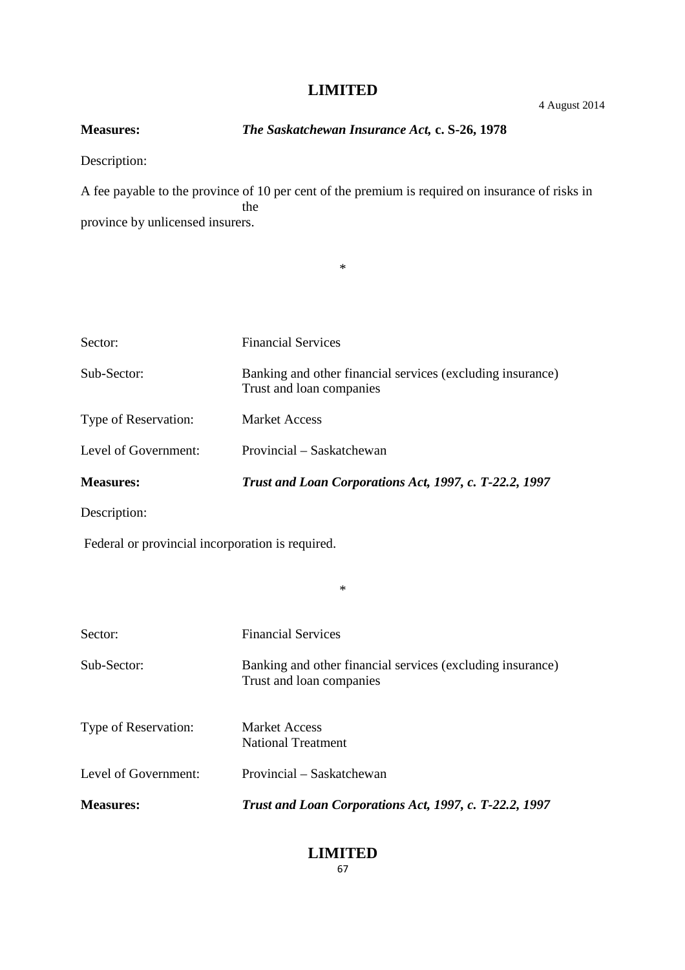4 August 2014

# **Measures:** *The Saskatchewan Insurance Act,* **c. S-26, 1978**

Description:

A fee payable to the province of 10 per cent of the premium is required on insurance of risks in the province by unlicensed insurers.

\*

| Sector:                                          | <b>Financial Services</b>                                                              |
|--------------------------------------------------|----------------------------------------------------------------------------------------|
| Sub-Sector:                                      | Banking and other financial services (excluding insurance)<br>Trust and loan companies |
| Type of Reservation:                             | <b>Market Access</b>                                                                   |
| Level of Government:                             | Provincial – Saskatchewan                                                              |
| <b>Measures:</b>                                 | Trust and Loan Corporations Act, 1997, c. T-22.2, 1997                                 |
| Description:                                     |                                                                                        |
| Federal or provincial incorporation is required. |                                                                                        |
|                                                  | $\ast$                                                                                 |
| Sector:                                          | <b>Financial Services</b>                                                              |
| Sub-Sector:                                      | Banking and other financial services (excluding insurance)<br>Trust and loan companies |
| Type of Reservation:                             | <b>Market Access</b><br><b>National Treatment</b>                                      |
| Level of Government:                             | Provincial – Saskatchewan                                                              |
| <b>Measures:</b>                                 | Trust and Loan Corporations Act, 1997, c. T-22.2, 1997                                 |
|                                                  |                                                                                        |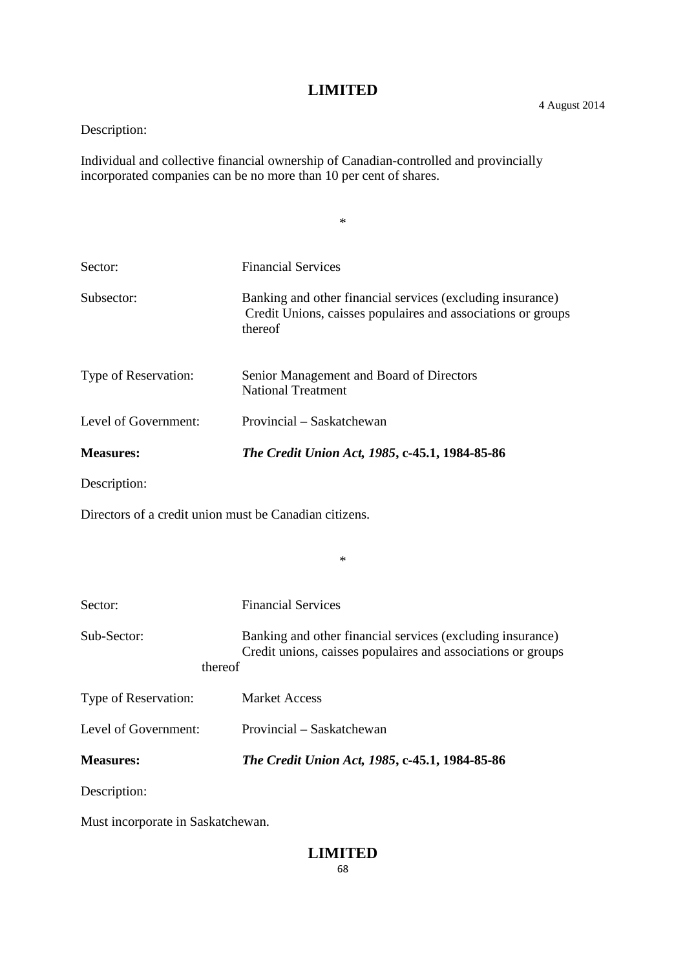\*

# Description:

Individual and collective financial ownership of Canadian-controlled and provincially incorporated companies can be no more than 10 per cent of shares.

| Sector:                                                | <b>Financial Services</b>                                                                                                             |
|--------------------------------------------------------|---------------------------------------------------------------------------------------------------------------------------------------|
| Subsector:                                             | Banking and other financial services (excluding insurance)<br>Credit Unions, caisses populaires and associations or groups<br>thereof |
| Type of Reservation:                                   | Senior Management and Board of Directors<br><b>National Treatment</b>                                                                 |
| Level of Government:                                   | Provincial – Saskatchewan                                                                                                             |
| <b>Measures:</b>                                       | The Credit Union Act, 1985, c-45.1, 1984-85-86                                                                                        |
| Description:                                           |                                                                                                                                       |
| Directors of a credit union must be Canadian citizens. |                                                                                                                                       |
|                                                        |                                                                                                                                       |

| Sector:                           | <b>Financial Services</b>                                                                                                  |
|-----------------------------------|----------------------------------------------------------------------------------------------------------------------------|
| Sub-Sector:<br>thereof            | Banking and other financial services (excluding insurance)<br>Credit unions, caisses populaires and associations or groups |
| Type of Reservation:              | <b>Market Access</b>                                                                                                       |
| Level of Government:              | Provincial – Saskatchewan                                                                                                  |
| <b>Measures:</b>                  | The Credit Union Act, 1985, c-45.1, 1984-85-86                                                                             |
| Description:                      |                                                                                                                            |
| Must incorporate in Saskatchewan. |                                                                                                                            |

\*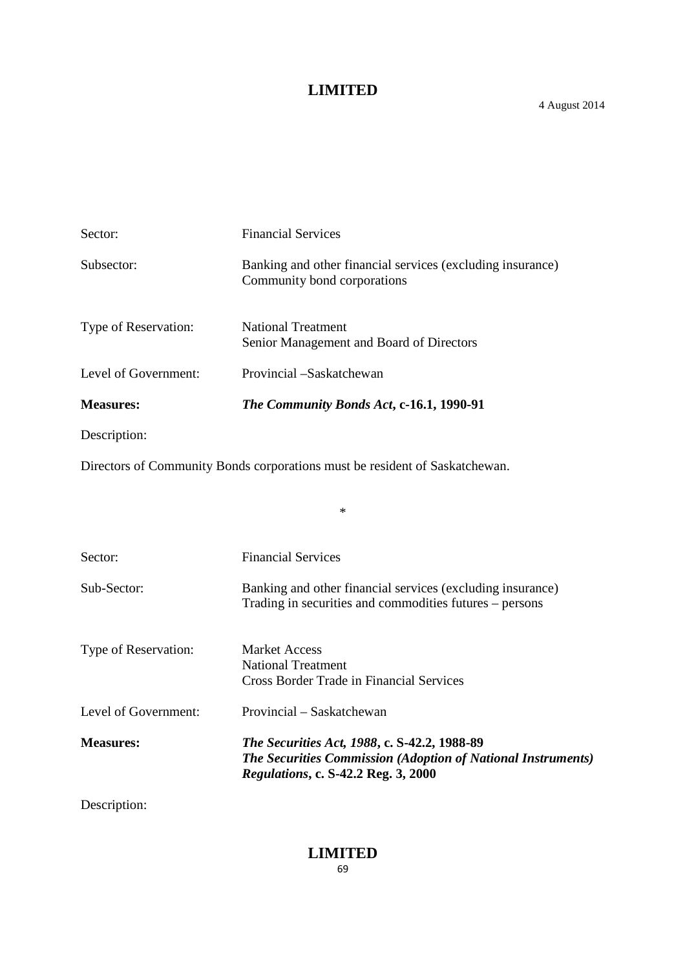| Sector:              | <b>Financial Services</b>                                                                 |
|----------------------|-------------------------------------------------------------------------------------------|
| Subsector:           | Banking and other financial services (excluding insurance)<br>Community bond corporations |
| Type of Reservation: | <b>National Treatment</b><br>Senior Management and Board of Directors                     |
| Level of Government: | Provincial -Saskatchewan                                                                  |
| <b>Measures:</b>     | The Community Bonds Act, c-16.1, 1990-91                                                  |
| Description:         |                                                                                           |
|                      |                                                                                           |

Directors of Community Bonds corporations must be resident of Saskatchewan.

| Sector:              | <b>Financial Services</b>                                                                                                                                         |
|----------------------|-------------------------------------------------------------------------------------------------------------------------------------------------------------------|
| Sub-Sector:          | Banking and other financial services (excluding insurance)<br>Trading in securities and commodities futures – persons                                             |
| Type of Reservation: | Market Access<br>National Treatment<br>Cross Border Trade in Financial Services                                                                                   |
| Level of Government: | Provincial – Saskatchewan                                                                                                                                         |
| <b>Measures:</b>     | <i>The Securities Act, 1988, c. S-42.2, 1988-89</i><br><b>The Securities Commission (Adoption of National Instruments)</b><br>Regulations, c. S-42.2 Reg. 3, 2000 |

\*

Description: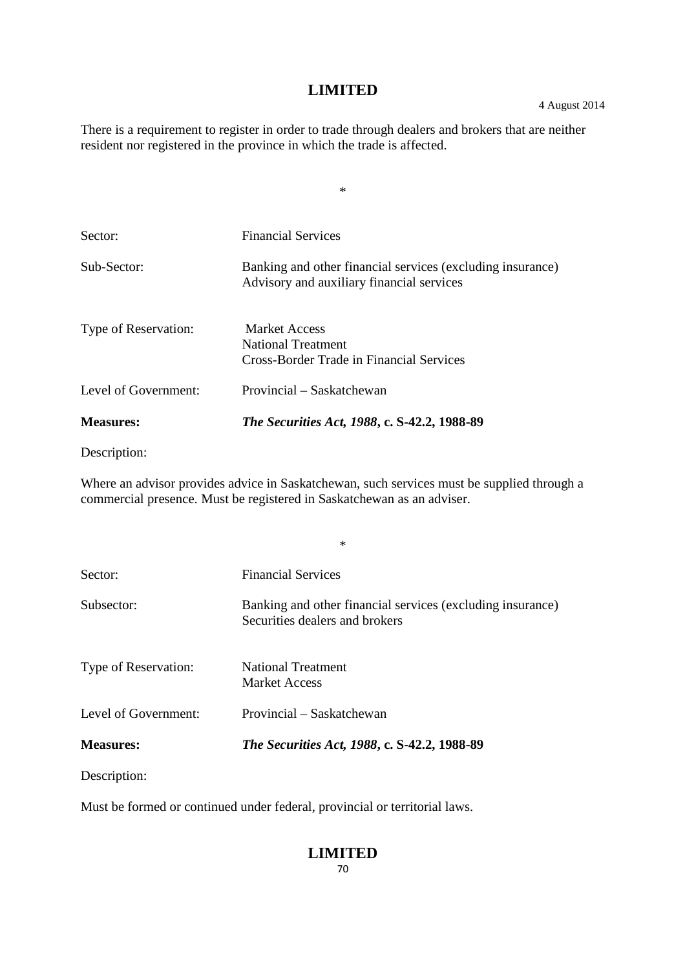There is a requirement to register in order to trade through dealers and brokers that are neither resident nor registered in the province in which the trade is affected.

\*

| <b>Measures:</b>     | <i>The Securities Act, 1988, c. S-42.2, 1988-89</i>                                                     |
|----------------------|---------------------------------------------------------------------------------------------------------|
| Level of Government: | Provincial – Saskatchewan                                                                               |
| Type of Reservation: | <b>Market Access</b><br>National Treatment<br>Cross-Border Trade in Financial Services                  |
| Sub-Sector:          | Banking and other financial services (excluding insurance)<br>Advisory and auxiliary financial services |
| Sector:              | <b>Financial Services</b>                                                                               |
|                      |                                                                                                         |

Description:

Where an advisor provides advice in Saskatchewan, such services must be supplied through a commercial presence. Must be registered in Saskatchewan as an adviser.

\*

| Sector:              | <b>Financial Services</b>                                                                    |
|----------------------|----------------------------------------------------------------------------------------------|
| Subsector:           | Banking and other financial services (excluding insurance)<br>Securities dealers and brokers |
| Type of Reservation: | <b>National Treatment</b><br>Market Access                                                   |
| Level of Government: | Provincial – Saskatchewan                                                                    |
| <b>Measures:</b>     | <i>The Securities Act, 1988, c. S-42.2, 1988-89</i>                                          |

Description:

Must be formed or continued under federal, provincial or territorial laws.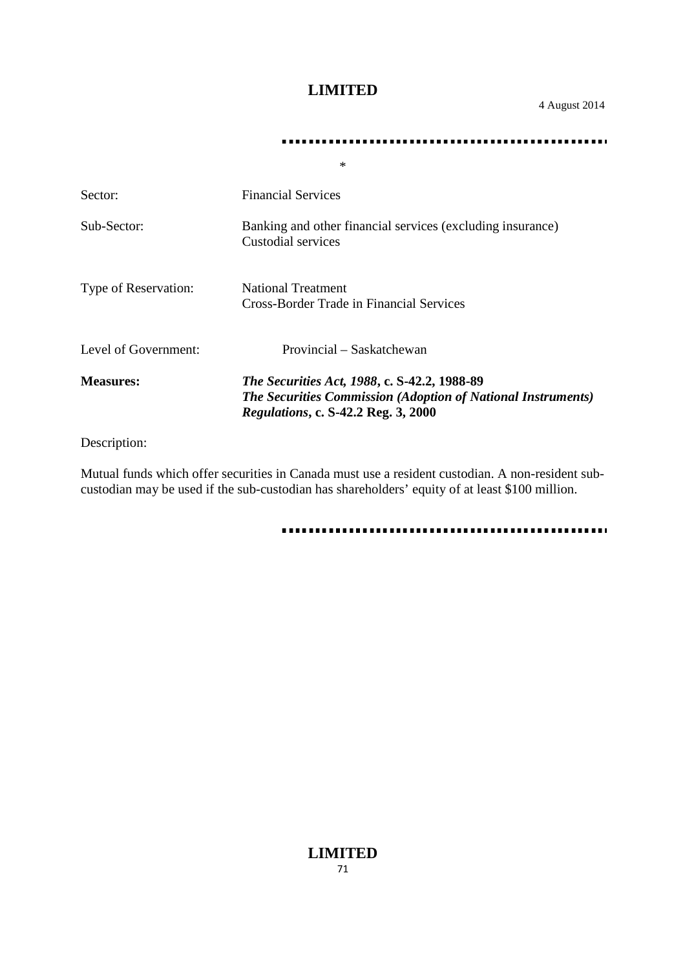4 August 2014

#### 

|                      | ∗                                                                                                                                                                        |
|----------------------|--------------------------------------------------------------------------------------------------------------------------------------------------------------------------|
| Sector:              | <b>Financial Services</b>                                                                                                                                                |
| Sub-Sector:          | Banking and other financial services (excluding insurance)<br>Custodial services                                                                                         |
| Type of Reservation: | <b>National Treatment</b><br>Cross-Border Trade in Financial Services                                                                                                    |
| Level of Government: | Provincial – Saskatchewan                                                                                                                                                |
| <b>Measures:</b>     | <i>The Securities Act, 1988, c. S-42.2, 1988-89</i><br><b>The Securities Commission (Adoption of National Instruments)</b><br><i>Regulations, c. S-42.2 Reg. 3, 2000</i> |

Description:

Mutual funds which offer securities in Canada must use a resident custodian. A non-resident subcustodian may be used if the sub-custodian has shareholders' equity of at least \$100 million.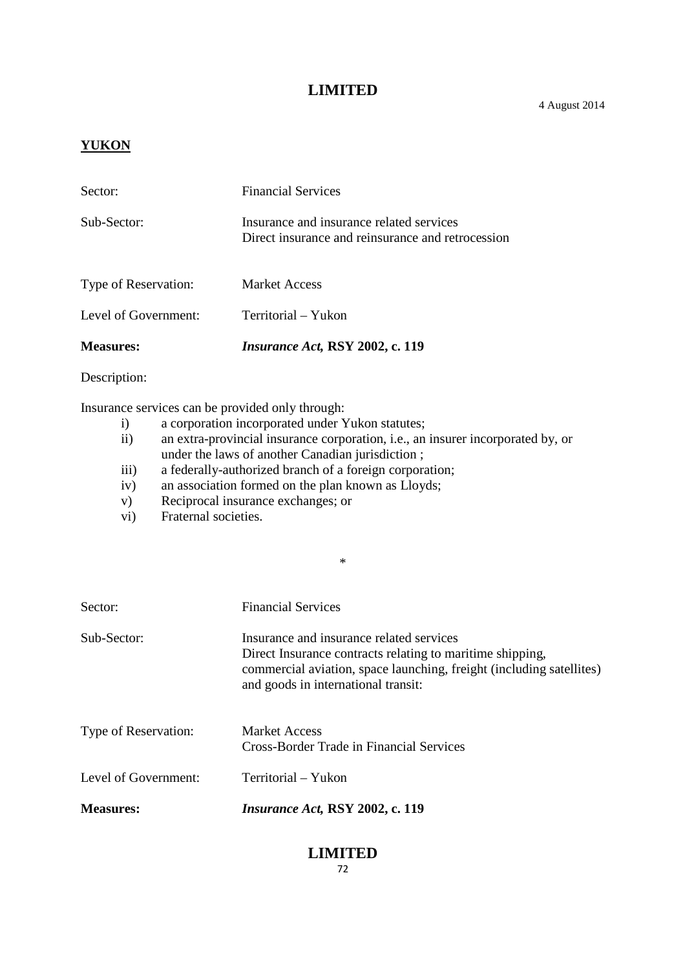#### **YUKON**

| <b>Measures:</b>     | Insurance Act, RSY 2002, c. 119                                                               |
|----------------------|-----------------------------------------------------------------------------------------------|
| Level of Government: | Territorial - Yukon                                                                           |
| Type of Reservation: | <b>Market Access</b>                                                                          |
| Sub-Sector:          | Insurance and insurance related services<br>Direct insurance and reinsurance and retrocession |
| Sector:              | <b>Financial Services</b>                                                                     |

Description:

Insurance services can be provided only through:

- i) a corporation incorporated under Yukon statutes;<br>ii) an extra-provincial insurance corporation, i.e., an
- an extra-provincial insurance corporation, i.e., an insurer incorporated by, or under the laws of another Canadian jurisdiction ;

\*

- iii) a federally-authorized branch of a foreign corporation;
- iv) an association formed on the plan known as Lloyds;
- v) Reciprocal insurance exchanges; or
- vi) Fraternal societies.

| Sector:              | <b>Financial Services</b>                                                                                                                                                                                            |
|----------------------|----------------------------------------------------------------------------------------------------------------------------------------------------------------------------------------------------------------------|
| Sub-Sector:          | Insurance and insurance related services<br>Direct Insurance contracts relating to maritime shipping,<br>commercial aviation, space launching, freight (including satellites)<br>and goods in international transit: |
| Type of Reservation: | <b>Market Access</b><br>Cross-Border Trade in Financial Services                                                                                                                                                     |
| Level of Government: | Territorial – Yukon                                                                                                                                                                                                  |
| <b>Measures:</b>     | Insurance Act, RSY 2002, c. 119                                                                                                                                                                                      |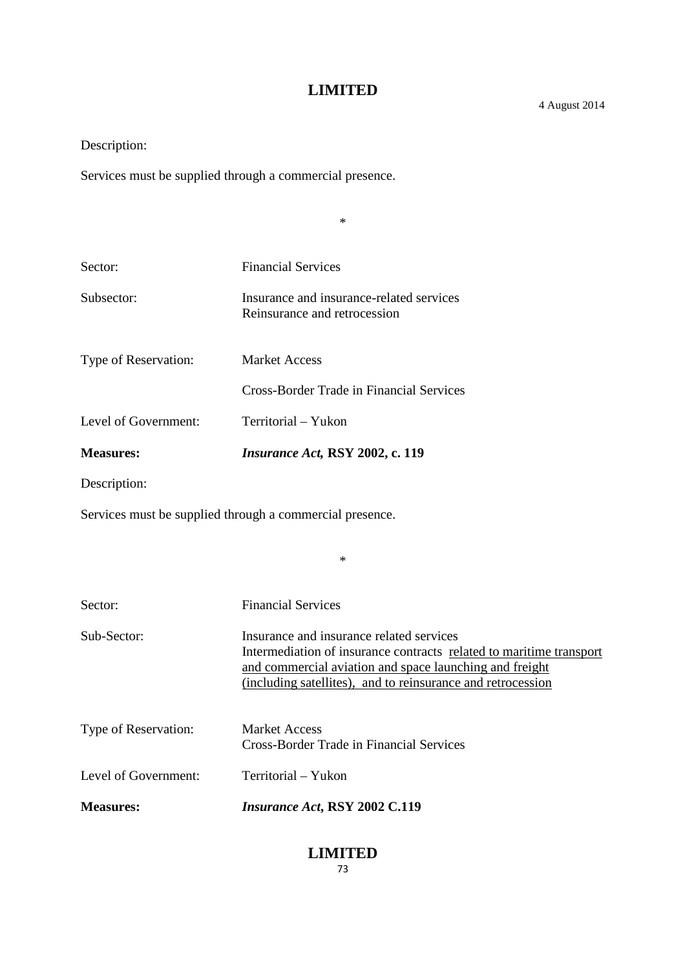\*

Description:

Services must be supplied through a commercial presence.

Sector: Financial Services Subsector: Insurance and insurance-related services Reinsurance and retrocession Type of Reservation: Market Access Cross-Border Trade in Financial Services Level of Government: Territorial – Yukon **Measures:** *Insurance Act,* **RSY 2002, c. 119** Description:

Services must be supplied through a commercial presence.

| Sector:              | <b>Financial Services</b>                                                                                                                                                                                                                 |
|----------------------|-------------------------------------------------------------------------------------------------------------------------------------------------------------------------------------------------------------------------------------------|
| Sub-Sector:          | Insurance and insurance related services<br>Intermediation of insurance contracts related to maritime transport<br>and commercial aviation and space launching and freight<br>(including satellites), and to reinsurance and retrocession |
| Type of Reservation: | <b>Market Access</b><br>Cross-Border Trade in Financial Services                                                                                                                                                                          |
| Level of Government: | Territorial – Yukon                                                                                                                                                                                                                       |
| <b>Measures:</b>     | <i>Insurance Act, RSY 2002 C.119</i>                                                                                                                                                                                                      |

\*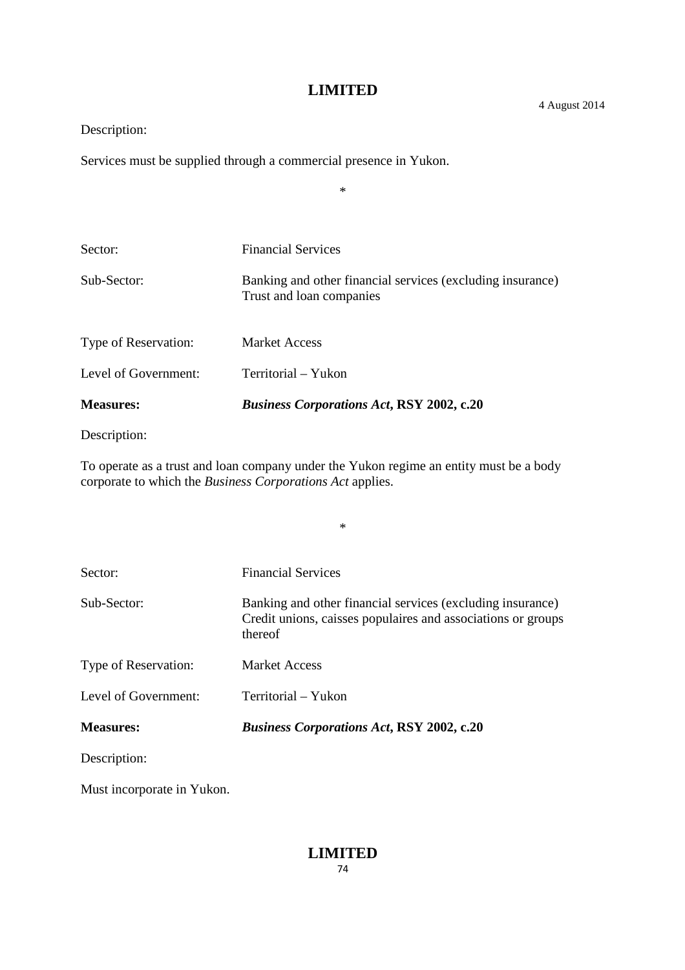\*

Description:

Services must be supplied through a commercial presence in Yukon.

| <b>Measures:</b>     | <b>Business Corporations Act, RSY 2002, c.20</b>                                       |
|----------------------|----------------------------------------------------------------------------------------|
| Level of Government: | Territorial – Yukon                                                                    |
| Type of Reservation: | <b>Market Access</b>                                                                   |
| Sub-Sector:          | Banking and other financial services (excluding insurance)<br>Trust and loan companies |
| Sector:              | <b>Financial Services</b>                                                              |
|                      |                                                                                        |

Description:

To operate as a trust and loan company under the Yukon regime an entity must be a body corporate to which the *Business Corporations Act* applies.

\*

| Sector:              | <b>Financial Services</b>                                                                                                             |
|----------------------|---------------------------------------------------------------------------------------------------------------------------------------|
| Sub-Sector:          | Banking and other financial services (excluding insurance)<br>Credit unions, caisses populaires and associations or groups<br>thereof |
| Type of Reservation: | Market Access                                                                                                                         |
| Level of Government: | Territorial – Yukon                                                                                                                   |
| <b>Measures:</b>     | <b>Business Corporations Act, RSY 2002, c.20</b>                                                                                      |
| Description:         |                                                                                                                                       |

Must incorporate in Yukon.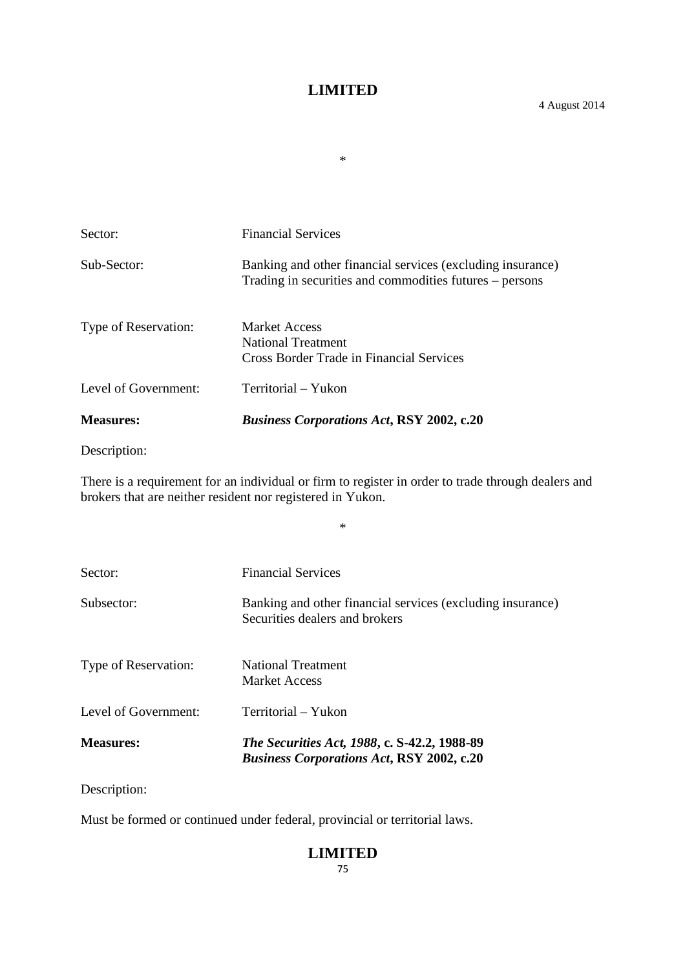\*

Sector: Financial Services Sub-Sector: Banking and other financial services (excluding insurance) Trading in securities and commodities futures – persons Type of Reservation: Market Access National Treatment Cross Border Trade in Financial Services Level of Government: Territorial – Yukon **Measures:** *Business Corporations Act***, RSY 2002, c.20**

Description:

There is a requirement for an individual or firm to register in order to trade through dealers and brokers that are neither resident nor registered in Yukon.

\*

| <b>Measures:</b>     | The Securities Act, 1988, c. S-42.2, 1988-89<br><b>Business Corporations Act, RSY 2002, c.20</b> |
|----------------------|--------------------------------------------------------------------------------------------------|
| Level of Government: | Territorial – Yukon                                                                              |
| Type of Reservation: | National Treatment<br>Market Access                                                              |
| Subsector:           | Banking and other financial services (excluding insurance)<br>Securities dealers and brokers     |
| Sector:              | <b>Financial Services</b>                                                                        |

Description:

Must be formed or continued under federal, provincial or territorial laws.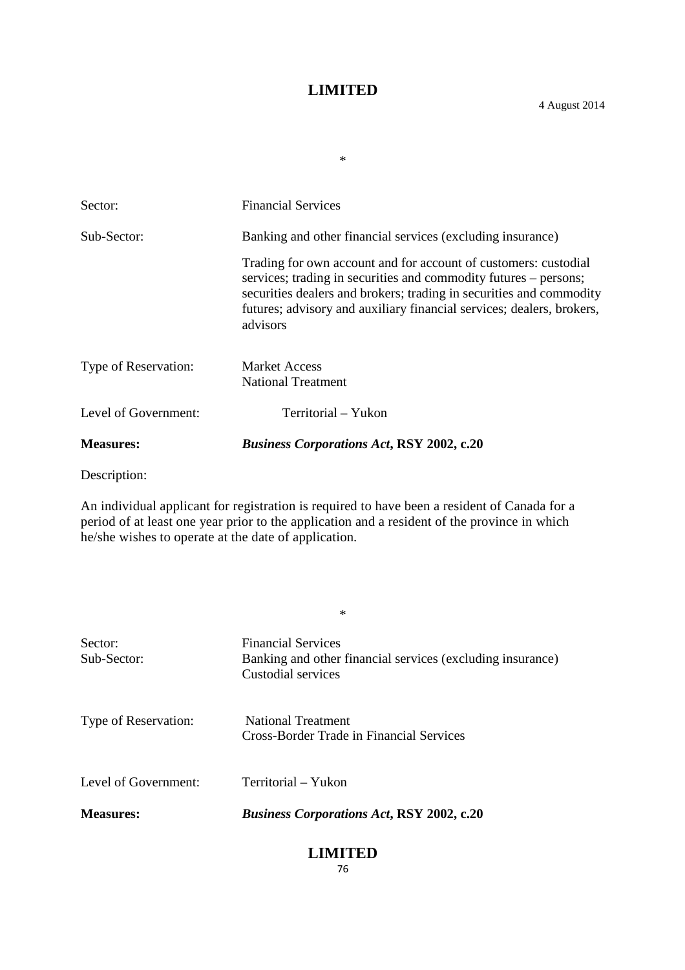\*

| <b>Measures:</b>     | <b>Business Corporations Act, RSY 2002, c.20</b>                                                                                                                                                                                                                                                |
|----------------------|-------------------------------------------------------------------------------------------------------------------------------------------------------------------------------------------------------------------------------------------------------------------------------------------------|
| Level of Government: | Territorial – Yukon                                                                                                                                                                                                                                                                             |
| Type of Reservation: | <b>Market Access</b><br><b>National Treatment</b>                                                                                                                                                                                                                                               |
|                      | Trading for own account and for account of customers: custodial<br>services; trading in securities and commodity futures – persons;<br>securities dealers and brokers; trading in securities and commodity<br>futures; advisory and auxiliary financial services; dealers, brokers,<br>advisors |
| Sub-Sector:          | Banking and other financial services (excluding insurance)                                                                                                                                                                                                                                      |
| Sector:              | <b>Financial Services</b>                                                                                                                                                                                                                                                                       |

Description:

An individual applicant for registration is required to have been a resident of Canada for a period of at least one year prior to the application and a resident of the province in which he/she wishes to operate at the date of application.

\*

| <b>Measures:</b>       | <b>Business Corporations Act, RSY 2002, c.20</b>                                                              |
|------------------------|---------------------------------------------------------------------------------------------------------------|
| Level of Government:   | Territorial – Yukon                                                                                           |
| Type of Reservation:   | <b>National Treatment</b><br>Cross-Border Trade in Financial Services                                         |
| Sector:<br>Sub-Sector: | <b>Financial Services</b><br>Banking and other financial services (excluding insurance)<br>Custodial services |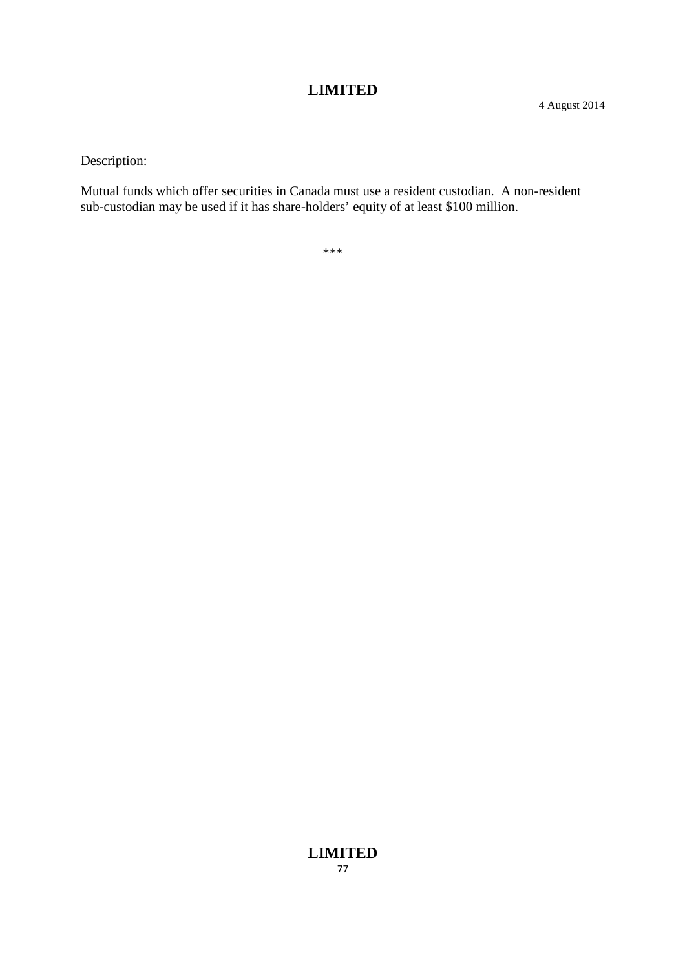Description:

Mutual funds which offer securities in Canada must use a resident custodian. A non-resident sub-custodian may be used if it has share-holders' equity of at least \$100 million.

\*\*\*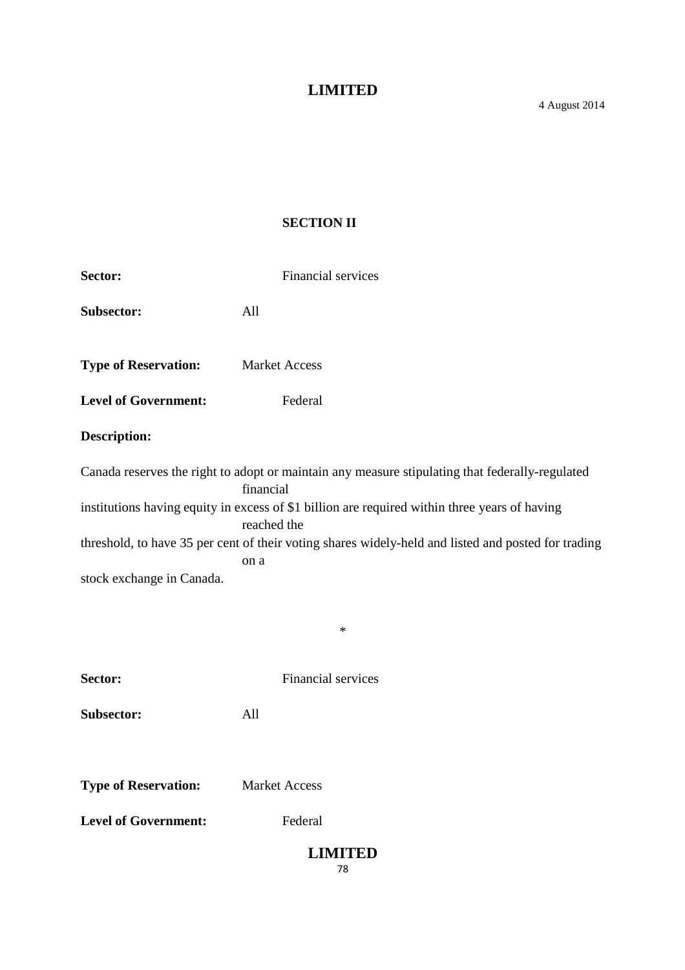# **SECTION II**

| Sector:                     | Financial services                                                                                                                                                                                                                                                                                                                                    |
|-----------------------------|-------------------------------------------------------------------------------------------------------------------------------------------------------------------------------------------------------------------------------------------------------------------------------------------------------------------------------------------------------|
| Subsector:                  | All                                                                                                                                                                                                                                                                                                                                                   |
| <b>Type of Reservation:</b> | <b>Market Access</b>                                                                                                                                                                                                                                                                                                                                  |
| <b>Level of Government:</b> | Federal                                                                                                                                                                                                                                                                                                                                               |
| <b>Description:</b>         |                                                                                                                                                                                                                                                                                                                                                       |
| stock exchange in Canada.   | Canada reserves the right to adopt or maintain any measure stipulating that federally-regulated<br>financial<br>institutions having equity in excess of \$1 billion are required within three years of having<br>reached the<br>threshold, to have 35 per cent of their voting shares widely-held and listed and posted for trading<br>on a<br>$\ast$ |
| Sector:                     | Financial services                                                                                                                                                                                                                                                                                                                                    |
| Subsector:                  | All                                                                                                                                                                                                                                                                                                                                                   |
|                             |                                                                                                                                                                                                                                                                                                                                                       |
| <b>Type of Reservation:</b> | <b>Market Access</b>                                                                                                                                                                                                                                                                                                                                  |
| <b>Level of Government:</b> | Federal                                                                                                                                                                                                                                                                                                                                               |
|                             | <b>LIMITED</b><br>78                                                                                                                                                                                                                                                                                                                                  |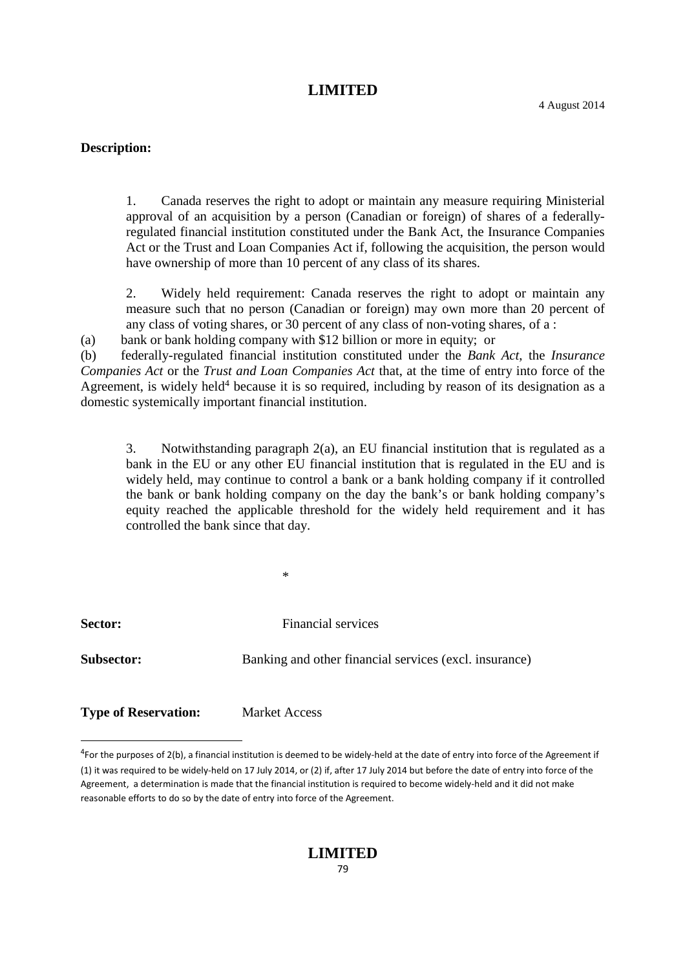#### **Description:**

1. Canada reserves the right to adopt or maintain any measure requiring Ministerial approval of an acquisition by a person (Canadian or foreign) of shares of a federallyregulated financial institution constituted under the Bank Act, the Insurance Companies Act or the Trust and Loan Companies Act if, following the acquisition, the person would have ownership of more than 10 percent of any class of its shares.

2. Widely held requirement: Canada reserves the right to adopt or maintain any measure such that no person (Canadian or foreign) may own more than 20 percent of any class of voting shares, or 30 percent of any class of non-voting shares, of a :

(a) bank or bank holding company with \$12 billion or more in equity; or

(b) federally-regulated financial institution constituted under the *Bank Act*, the *Insurance Companies Act* or the *Trust and Loan Companies Act* that, at the time of entry into force of the Agreement, is widely held<sup>4</sup> because it is so required, including by reason of its designation as a domestic systemically important financial institution.

3. Notwithstanding paragraph  $2(a)$ , an EU financial institution that is regulated as a bank in the EU or any other EU financial institution that is regulated in the EU and is widely held, may continue to control a bank or a bank holding company if it controlled the bank or bank holding company on the day the bank's or bank holding company's equity reached the applicable threshold for the widely held requirement and it has controlled the bank since that day.

| <b>Sector:</b>    | Financial services                                     |
|-------------------|--------------------------------------------------------|
| <b>Subsector:</b> | Banking and other financial services (excl. insurance) |
|                   |                                                        |

\*

**Type of Reservation:** Market Access

<sup>4</sup>For the purposes of 2(b), a financial institution is deemed to be widely-held at the date of entry into force of the Agreement if (1) it was required to be widely-held on 17 July 2014, or (2) if, after 17 July 2014 but before the date of entry into force of the Agreement, a determination is made that the financial institution is required to become widely-held and it did not make reasonable efforts to do so by the date of entry into force of the Agreement.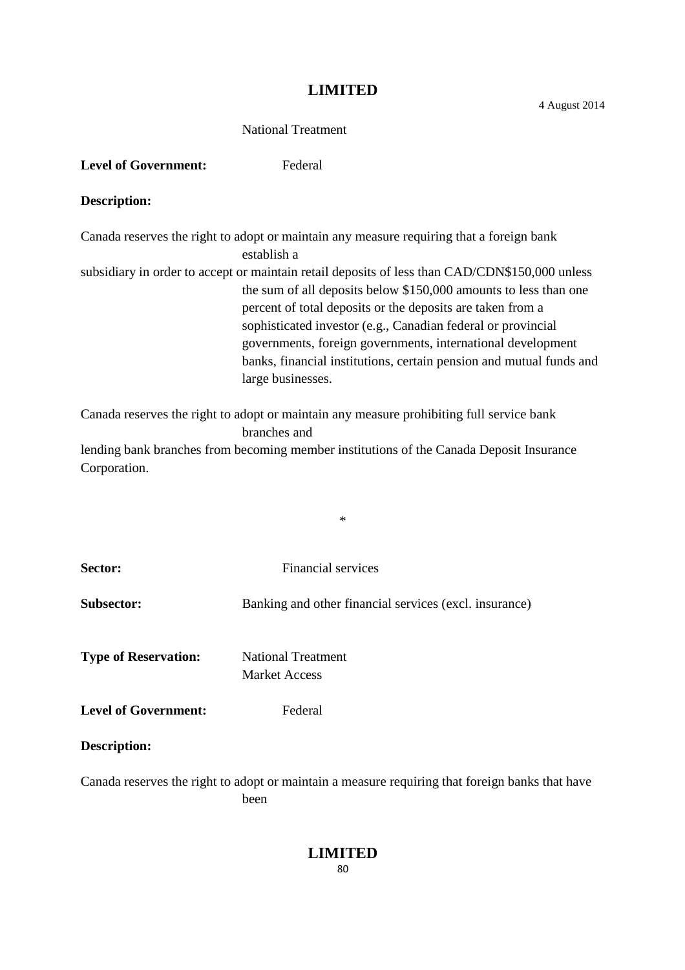#### National Treatment

#### Level of Government: Federal

#### **Description:**

Canada reserves the right to adopt or maintain any measure requiring that a foreign bank establish a subsidiary in order to accept or maintain retail deposits of less than CAD/CDN\$150,000 unless the sum of all deposits below \$150,000 amounts to less than one percent of total deposits or the deposits are taken from a sophisticated investor (e.g., Canadian federal or provincial governments, foreign governments, international development banks, financial institutions, certain pension and mutual funds and large businesses.

Canada reserves the right to adopt or maintain any measure prohibiting full service bank branches and

lending bank branches from becoming member institutions of the Canada Deposit Insurance Corporation.

\*

| Sector:                     | <b>Financial services</b>                                                                               |
|-----------------------------|---------------------------------------------------------------------------------------------------------|
| <b>Subsector:</b>           | Banking and other financial services (excl. insurance)                                                  |
| <b>Type of Reservation:</b> | <b>National Treatment</b><br><b>Market Access</b>                                                       |
| <b>Level of Government:</b> | Federal                                                                                                 |
| <b>Description:</b>         |                                                                                                         |
|                             | Canada reserves the right to adopt or maintain a measure requiring that foreign banks that have<br>been |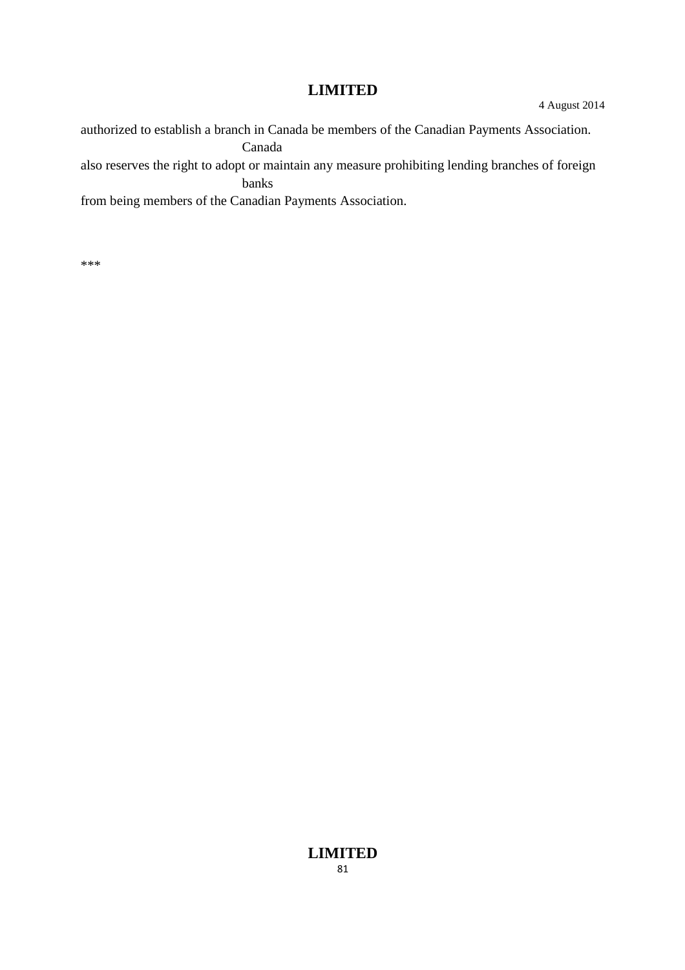authorized to establish a branch in Canada be members of the Canadian Payments Association. Canada also reserves the right to adopt or maintain any measure prohibiting lending branches of foreign banks from being members of the Canadian Payments Association.

\*\*\*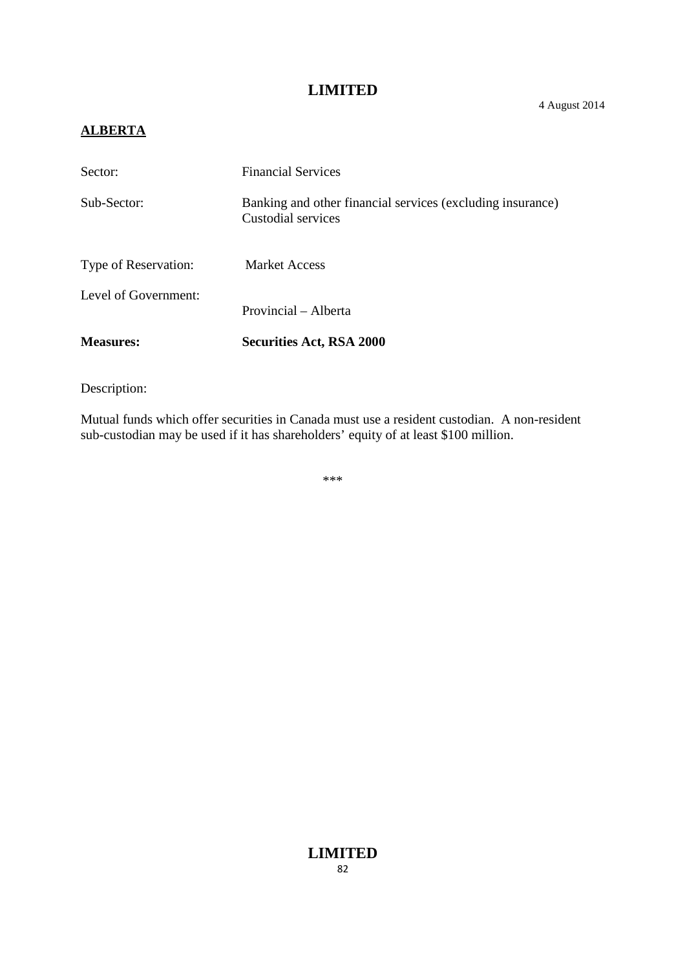#### 4 August 2014

# **ALBERTA**

| Sector:              | <b>Financial Services</b>                                                        |
|----------------------|----------------------------------------------------------------------------------|
| Sub-Sector:          | Banking and other financial services (excluding insurance)<br>Custodial services |
| Type of Reservation: | <b>Market Access</b>                                                             |
| Level of Government: | Provincial – Alberta                                                             |
| <b>Measures:</b>     | <b>Securities Act, RSA 2000</b>                                                  |

Description:

Mutual funds which offer securities in Canada must use a resident custodian. A non-resident sub-custodian may be used if it has shareholders' equity of at least \$100 million.

\*\*\*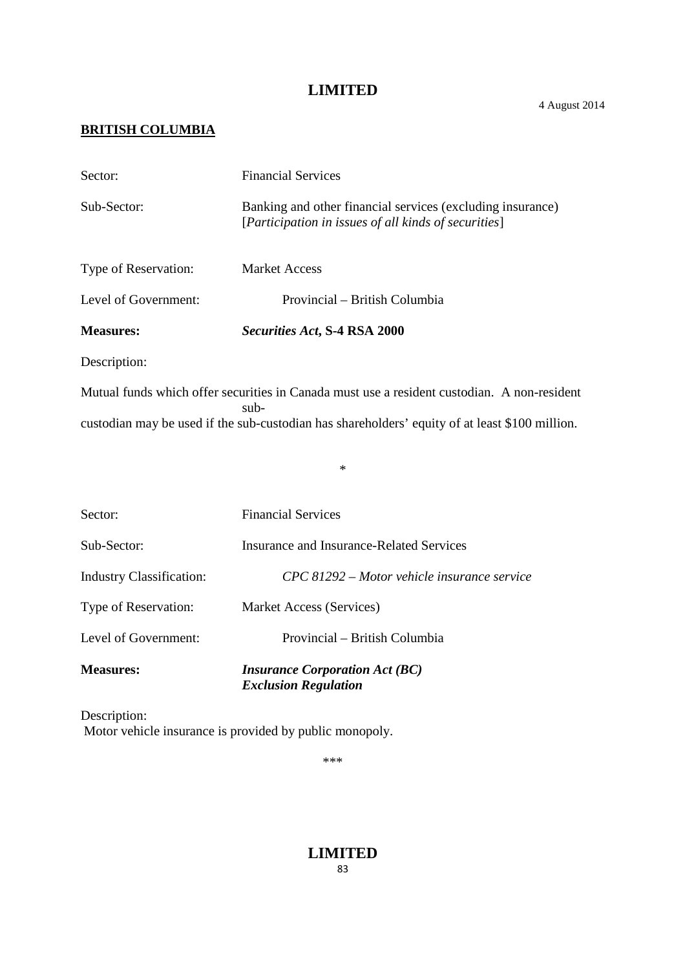4 August 2014

# **BRITISH COLUMBIA**

| <b>Measures:</b>                | <b>Insurance Corporation Act (BC)</b><br><b>Exclusion Regulation</b>                                                                                                                                    |
|---------------------------------|---------------------------------------------------------------------------------------------------------------------------------------------------------------------------------------------------------|
| Level of Government:            | Provincial – British Columbia                                                                                                                                                                           |
| Type of Reservation:            | Market Access (Services)                                                                                                                                                                                |
| <b>Industry Classification:</b> | CPC 81292 – Motor vehicle insurance service                                                                                                                                                             |
| Sub-Sector:                     | <b>Insurance and Insurance-Related Services</b>                                                                                                                                                         |
| Sector:                         | <b>Financial Services</b>                                                                                                                                                                               |
|                                 | $\ast$                                                                                                                                                                                                  |
|                                 | Mutual funds which offer securities in Canada must use a resident custodian. A non-resident<br>$sub-$<br>custodian may be used if the sub-custodian has shareholders' equity of at least \$100 million. |
| Description:                    |                                                                                                                                                                                                         |
| <b>Measures:</b>                | Securities Act, S-4 RSA 2000                                                                                                                                                                            |
| Level of Government:            | Provincial – British Columbia                                                                                                                                                                           |
| Type of Reservation:            | <b>Market Access</b>                                                                                                                                                                                    |
| Sub-Sector:                     | Banking and other financial services (excluding insurance)<br>[Participation in issues of all kinds of securities]                                                                                      |
| Sector:                         | <b>Financial Services</b>                                                                                                                                                                               |

Description: Motor vehicle insurance is provided by public monopoly.

\*\*\*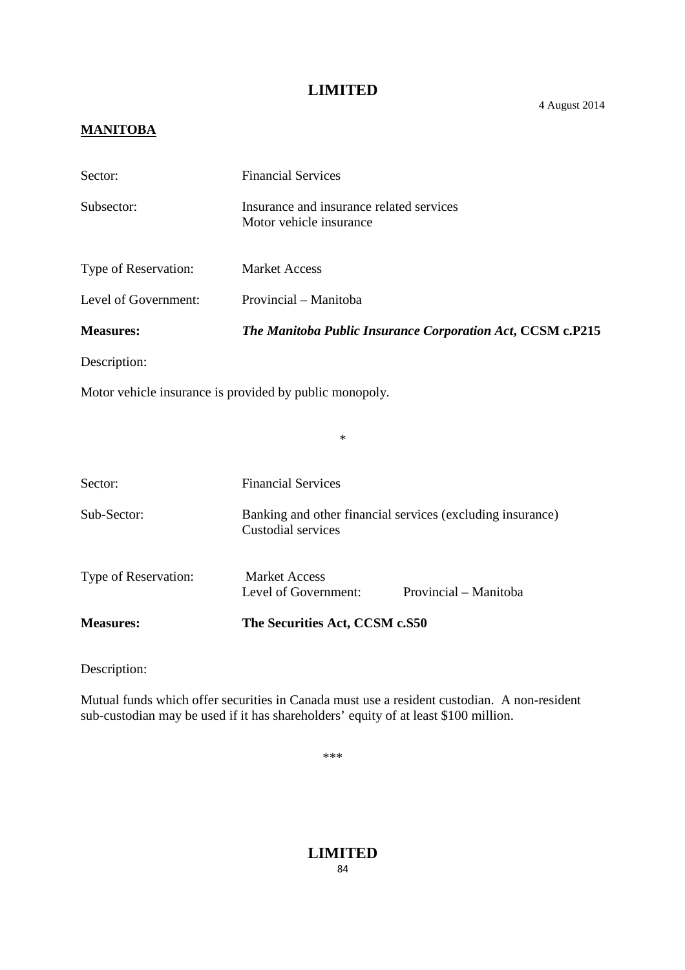#### 4 August 2014

### **MANITOBA**

| Sector:                                                 | <b>Financial Services</b>                                                        |
|---------------------------------------------------------|----------------------------------------------------------------------------------|
| Subsector:                                              | Insurance and insurance related services<br>Motor vehicle insurance              |
| Type of Reservation:                                    | <b>Market Access</b>                                                             |
| Level of Government:                                    | Provincial - Manitoba                                                            |
| <b>Measures:</b>                                        | The Manitoba Public Insurance Corporation Act, CCSM c.P215                       |
| Description:                                            |                                                                                  |
| Motor vehicle insurance is provided by public monopoly. |                                                                                  |
|                                                         | $\ast$                                                                           |
| Sector:                                                 | <b>Financial Services</b>                                                        |
| Sub-Sector:                                             | Banking and other financial services (excluding insurance)<br>Custodial services |
| Type of Reservation:                                    | <b>Market Access</b><br>Level of Government:<br>Provincial - Manitoba            |
| <b>Measures:</b>                                        | The Securities Act, CCSM c.S50                                                   |

Description:

Mutual funds which offer securities in Canada must use a resident custodian. A non-resident sub-custodian may be used if it has shareholders' equity of at least \$100 million.

\*\*\*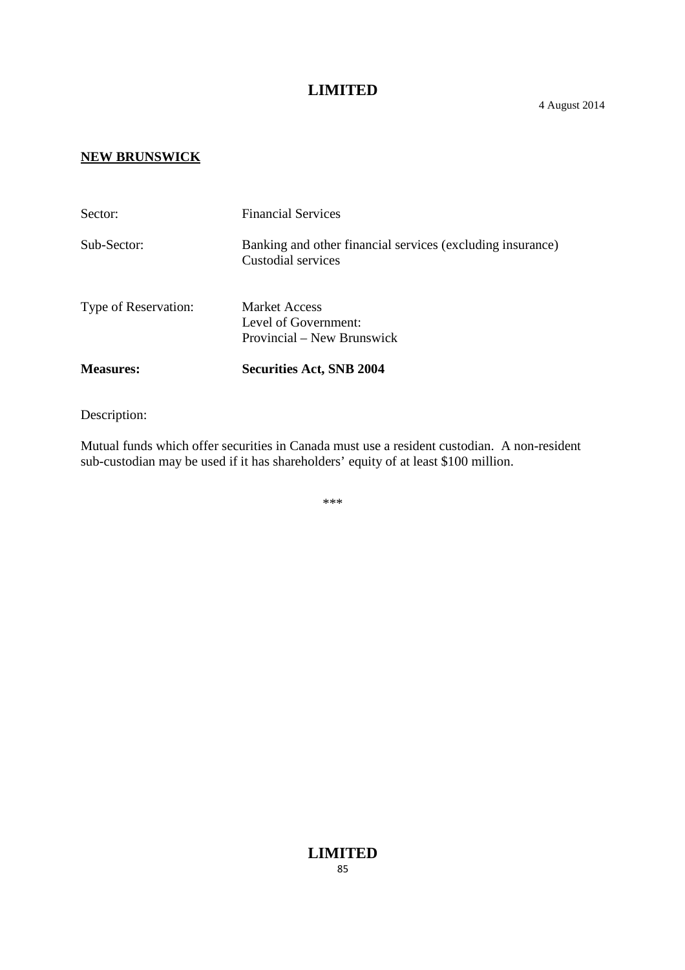#### **NEW BRUNSWICK**

| <b>Measures:</b>     | <b>Securities Act, SNB 2004</b>                                                  |
|----------------------|----------------------------------------------------------------------------------|
|                      | Level of Government:<br>Provincial – New Brunswick                               |
| Type of Reservation: | <b>Market Access</b>                                                             |
| Sub-Sector:          | Banking and other financial services (excluding insurance)<br>Custodial services |
| Sector:              | <b>Financial Services</b>                                                        |

Description:

Mutual funds which offer securities in Canada must use a resident custodian. A non-resident sub-custodian may be used if it has shareholders' equity of at least \$100 million.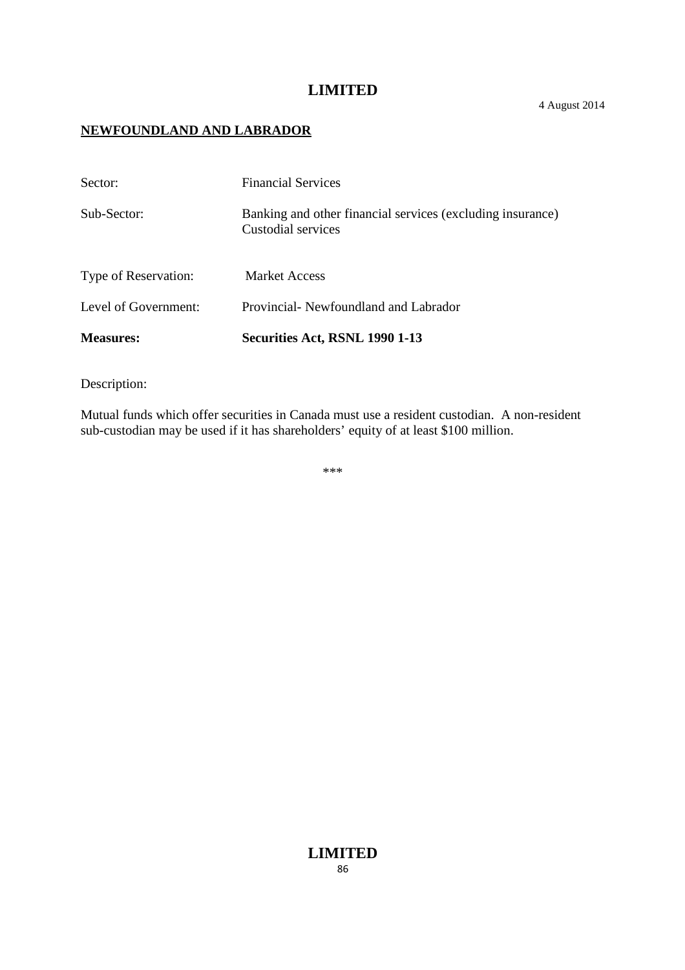#### 4 August 2014

#### **NEWFOUNDLAND AND LABRADOR**

| <b>Measures:</b>     | Securities Act, RSNL 1990 1-13                                                   |
|----------------------|----------------------------------------------------------------------------------|
| Level of Government: | Provincial - Newfoundland and Labrador                                           |
| Type of Reservation: | <b>Market Access</b>                                                             |
| Sub-Sector:          | Banking and other financial services (excluding insurance)<br>Custodial services |
| Sector:              | <b>Financial Services</b>                                                        |

Description:

Mutual funds which offer securities in Canada must use a resident custodian. A non-resident sub-custodian may be used if it has shareholders' equity of at least \$100 million.

\*\*\*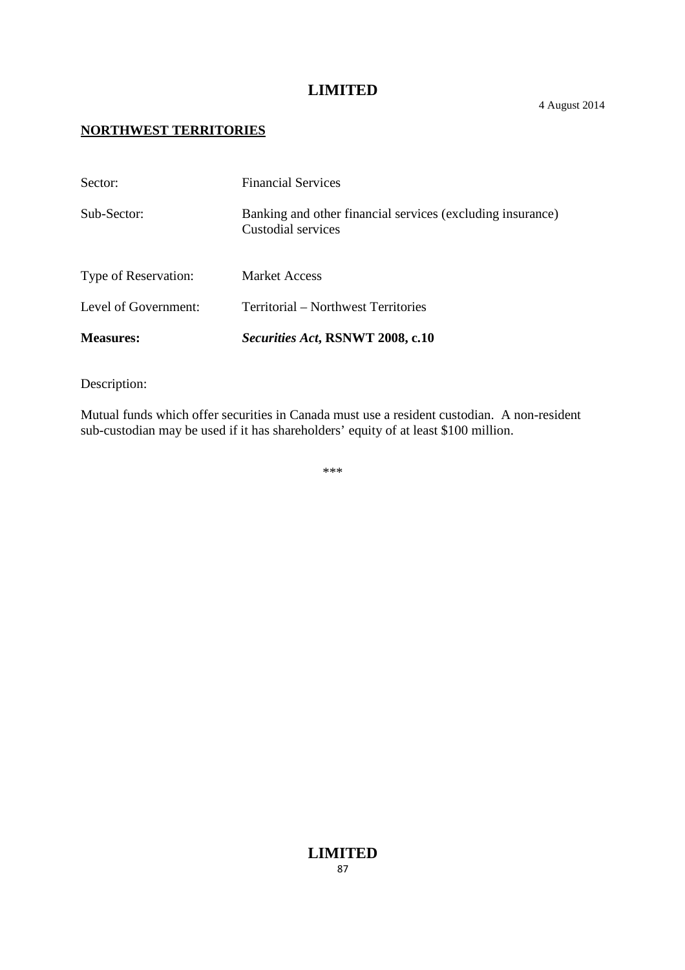#### 4 August 2014

#### **NORTHWEST TERRITORIES**

| <b>Measures:</b>     | Securities Act, RSNWT 2008, c.10                                                 |
|----------------------|----------------------------------------------------------------------------------|
| Level of Government: | Territorial – Northwest Territories                                              |
| Type of Reservation: | <b>Market Access</b>                                                             |
| Sub-Sector:          | Banking and other financial services (excluding insurance)<br>Custodial services |
| Sector:              | <b>Financial Services</b>                                                        |

Description:

Mutual funds which offer securities in Canada must use a resident custodian. A non-resident sub-custodian may be used if it has shareholders' equity of at least \$100 million.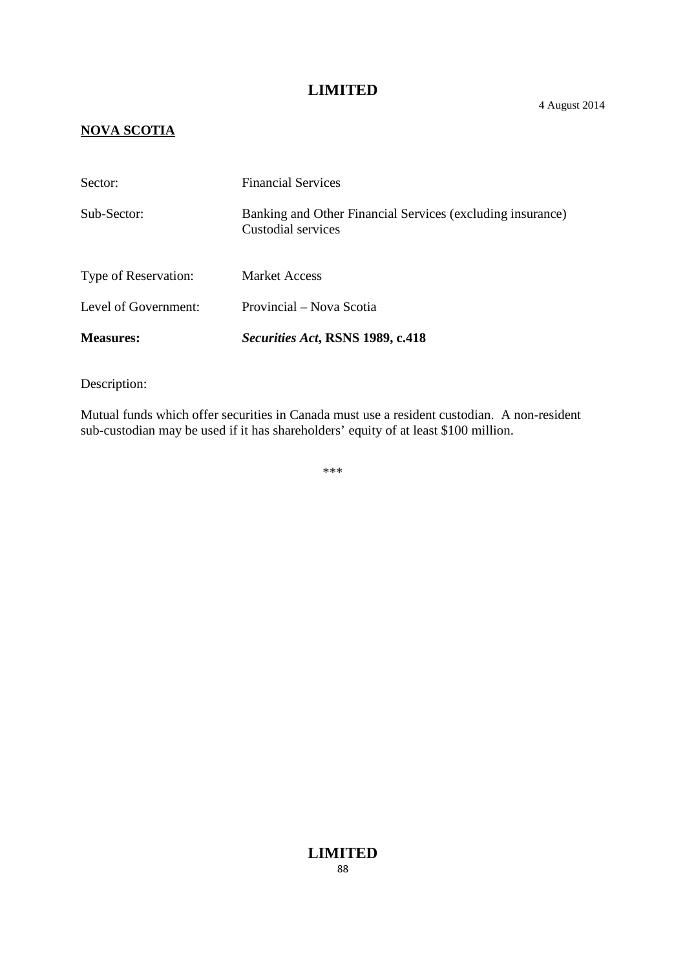# **NOVA SCOTIA**

| <b>Measures:</b>     | <i>Securities Act, RSNS 1989, c.418</i>                                          |
|----------------------|----------------------------------------------------------------------------------|
| Level of Government: | Provincial – Nova Scotia                                                         |
| Type of Reservation: | <b>Market Access</b>                                                             |
| Sub-Sector:          | Banking and Other Financial Services (excluding insurance)<br>Custodial services |
| Sector:              | <b>Financial Services</b>                                                        |

Description:

Mutual funds which offer securities in Canada must use a resident custodian. A non-resident sub-custodian may be used if it has shareholders' equity of at least \$100 million.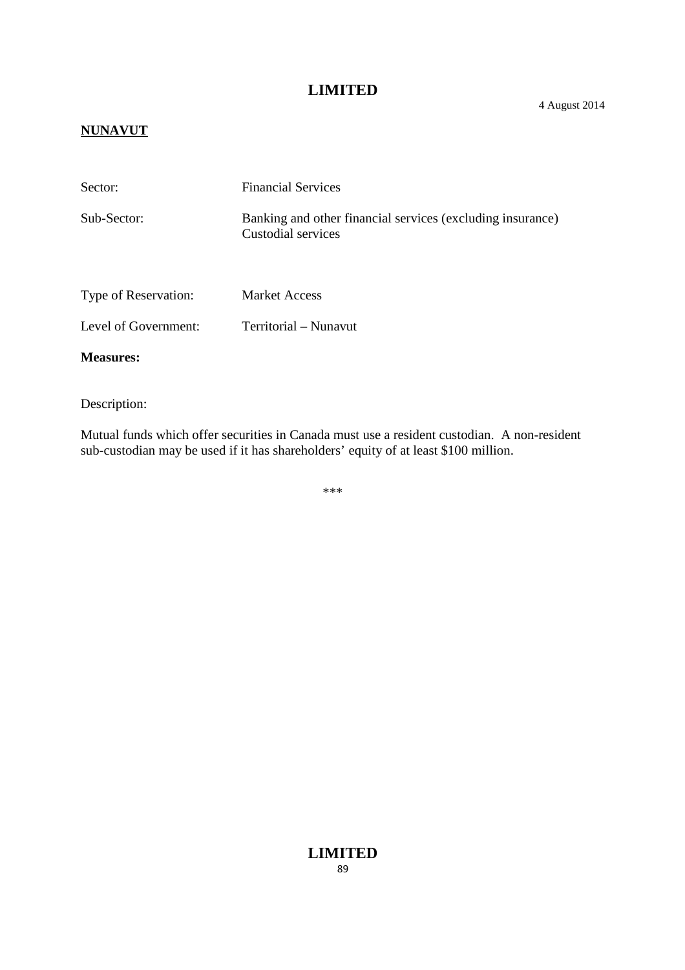#### 4 August 2014

### **NUNAVUT**

| Sector:              | <b>Financial Services</b>                                                        |
|----------------------|----------------------------------------------------------------------------------|
| Sub-Sector:          | Banking and other financial services (excluding insurance)<br>Custodial services |
| Type of Reservation: | <b>Market Access</b>                                                             |
| Level of Government: | Territorial – Nunavut                                                            |
| <b>Measures:</b>     |                                                                                  |

Description:

Mutual funds which offer securities in Canada must use a resident custodian. A non-resident sub-custodian may be used if it has shareholders' equity of at least \$100 million.

\*\*\*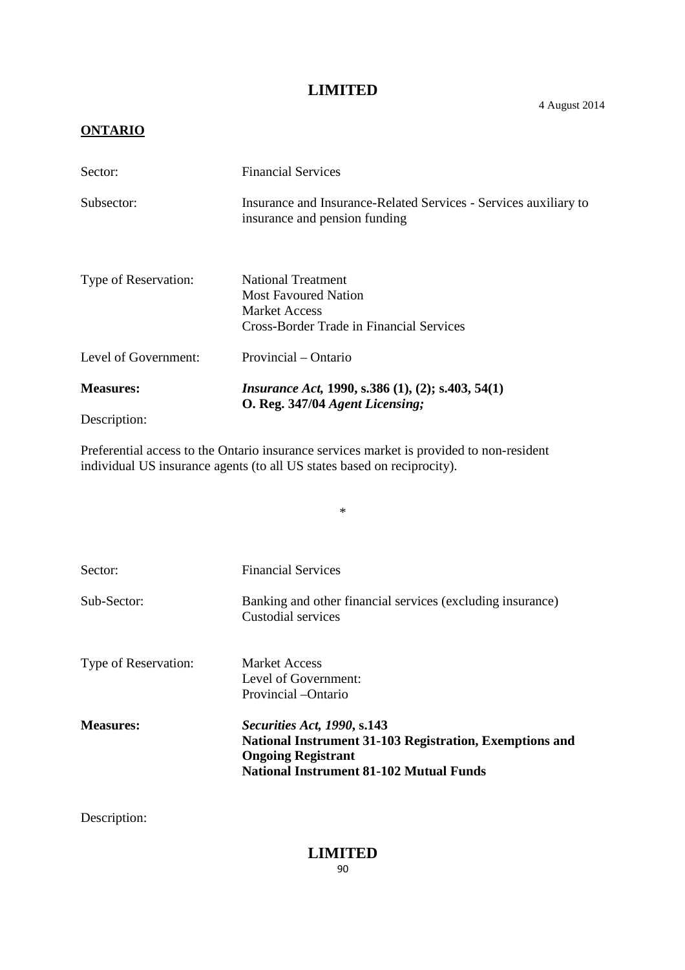4 August 2014

### **ONTARIO**

| Sector:              | <b>Financial Services</b>                                                                                                           |
|----------------------|-------------------------------------------------------------------------------------------------------------------------------------|
| Subsector:           | Insurance and Insurance-Related Services - Services auxiliary to<br>insurance and pension funding                                   |
| Type of Reservation: | <b>National Treatment</b><br><b>Most Favoured Nation</b><br><b>Market Access</b><br><b>Cross-Border Trade in Financial Services</b> |
| Level of Government: | Provincial – Ontario                                                                                                                |
| <b>Measures:</b>     | <i>Insurance Act</i> , 1990, s.386 $(1)$ , $(2)$ ; s.403, 54 $(1)$                                                                  |
| Description:         | O. Reg. 347/04 Agent Licensing;                                                                                                     |

Preferential access to the Ontario insurance services market is provided to non-resident individual US insurance agents (to all US states based on reciprocity).

\*

| Sector:              | <b>Financial Services</b>                                                                                                                                             |
|----------------------|-----------------------------------------------------------------------------------------------------------------------------------------------------------------------|
| Sub-Sector:          | Banking and other financial services (excluding insurance)<br>Custodial services                                                                                      |
| Type of Reservation: | <b>Market Access</b><br>Level of Government:<br>Provincial -Ontario                                                                                                   |
| <b>Measures:</b>     | Securities Act, 1990, s.143<br>National Instrument 31-103 Registration, Exemptions and<br><b>Ongoing Registrant</b><br><b>National Instrument 81-102 Mutual Funds</b> |

Description: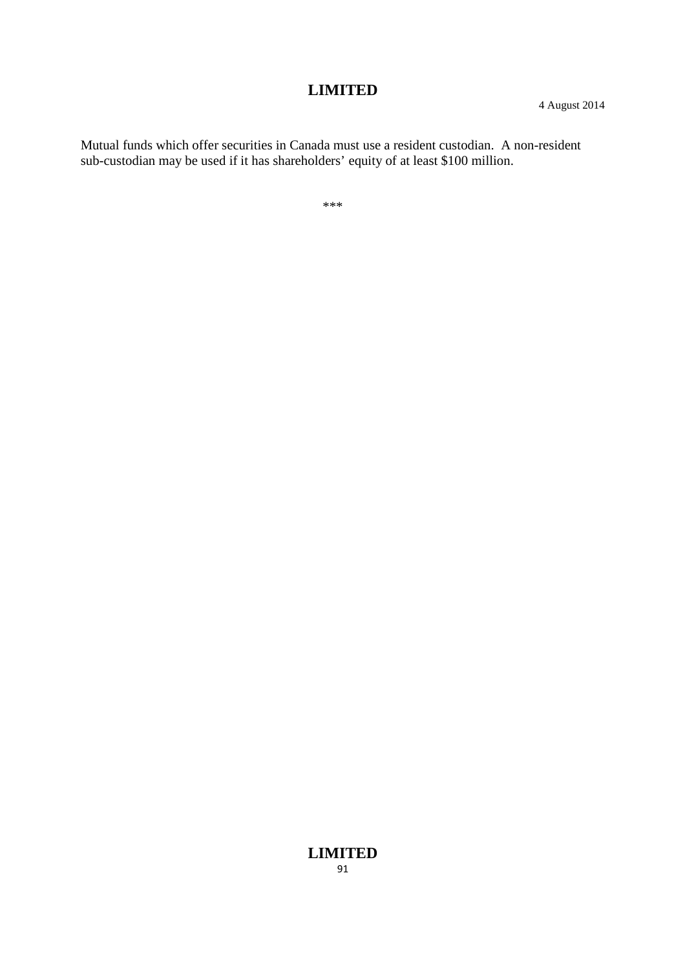Mutual funds which offer securities in Canada must use a resident custodian. A non-resident sub-custodian may be used if it has shareholders' equity of at least \$100 million.

\*\*\*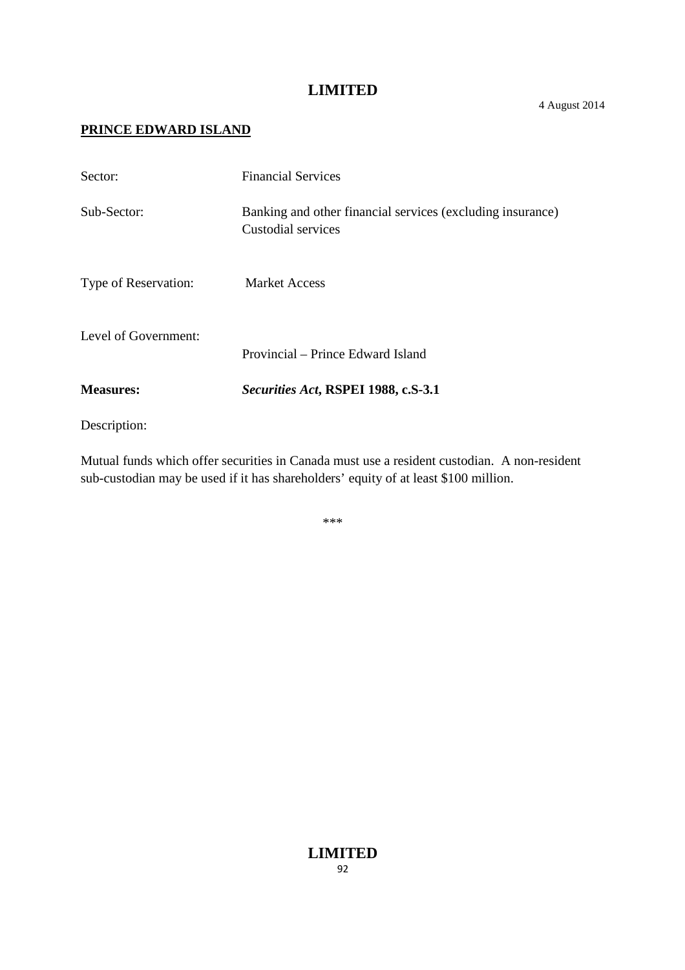4 August 2014

# **PRINCE EDWARD ISLAND**

| Sector:              | <b>Financial Services</b>                                                        |
|----------------------|----------------------------------------------------------------------------------|
| Sub-Sector:          | Banking and other financial services (excluding insurance)<br>Custodial services |
| Type of Reservation: | <b>Market Access</b>                                                             |
| Level of Government: | Provincial – Prince Edward Island                                                |
| <b>Measures:</b>     | Securities Act, RSPEI 1988, c.S-3.1                                              |
| Description:         |                                                                                  |

Mutual funds which offer securities in Canada must use a resident custodian. A non-resident sub-custodian may be used if it has shareholders' equity of at least \$100 million.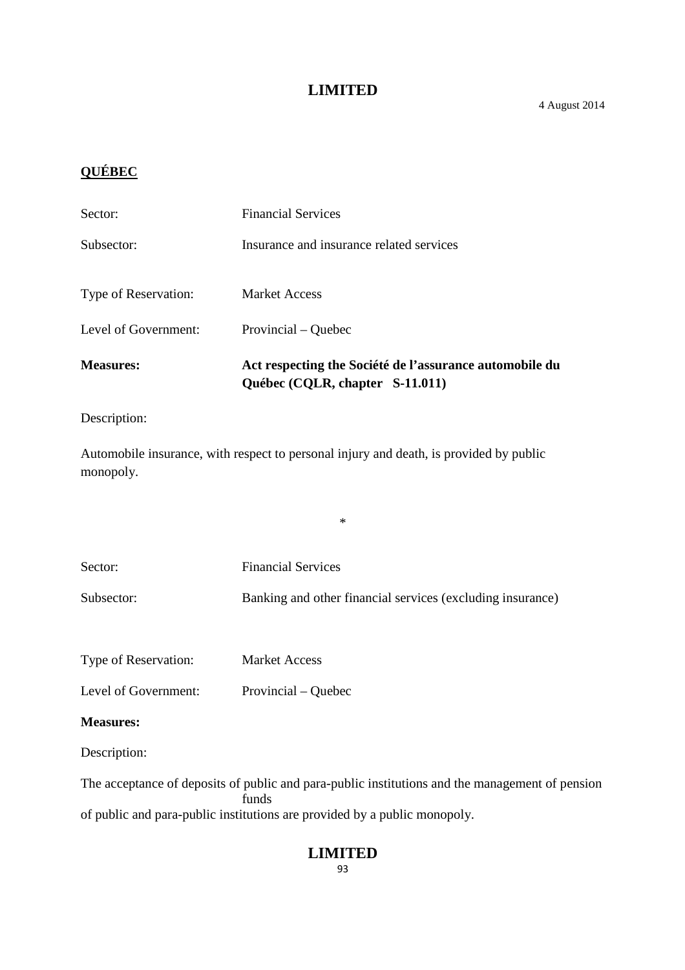# **QUÉBEC**

| <b>Measures:</b>     | Act respecting the Société de l'assurance automobile du<br>Québec (CQLR, chapter S-11.011) |
|----------------------|--------------------------------------------------------------------------------------------|
| Level of Government: | Provincial – Quebec                                                                        |
| Type of Reservation: | <b>Market Access</b>                                                                       |
| Subsector:           | Insurance and insurance related services                                                   |
| Sector:              | <b>Financial Services</b>                                                                  |

Description:

Automobile insurance, with respect to personal injury and death, is provided by public monopoly.

\*

| Sector:              | <b>Financial Services</b>                                  |
|----------------------|------------------------------------------------------------|
| Subsector:           | Banking and other financial services (excluding insurance) |
|                      |                                                            |
| Type of Reservation: | <b>Market Access</b>                                       |
| Level of Government: | Provincial – Quebec                                        |
| <b>Measures:</b>     |                                                            |
| Description:         |                                                            |

The acceptance of deposits of public and para-public institutions and the management of pension funds of public and para-public institutions are provided by a public monopoly.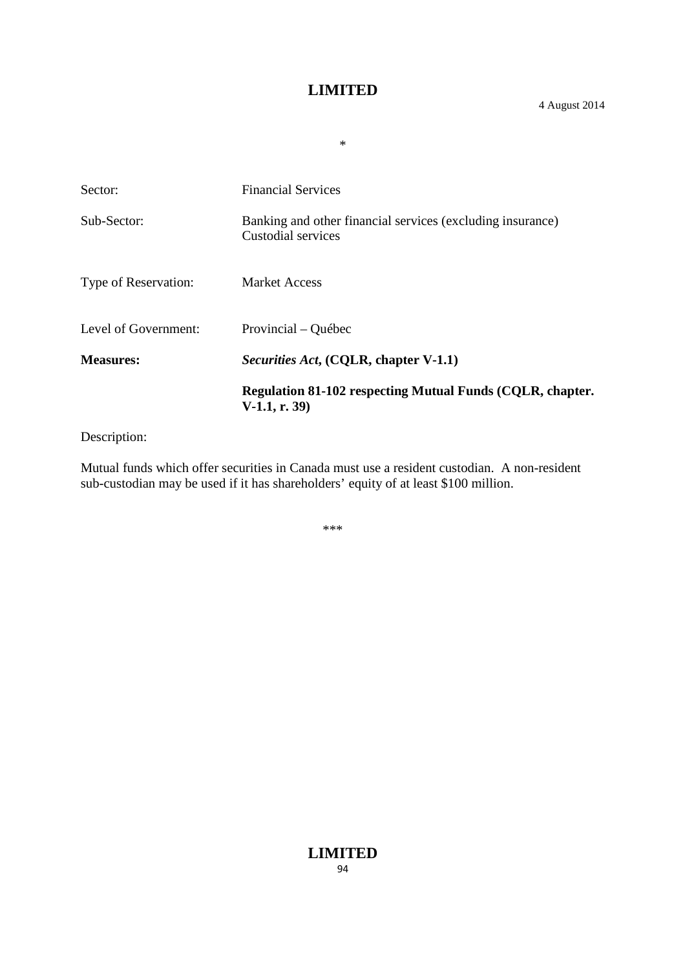\*

|                      | Regulation 81-102 respecting Mutual Funds (CQLR, chapter.<br>$V-1.1, r. 39$      |
|----------------------|----------------------------------------------------------------------------------|
| <b>Measures:</b>     | <i>Securities Act</i> , (CQLR, chapter V-1.1)                                    |
| Level of Government: | Provincial – Québec                                                              |
| Type of Reservation: | <b>Market Access</b>                                                             |
| Sub-Sector:          | Banking and other financial services (excluding insurance)<br>Custodial services |
| Sector:              | <b>Financial Services</b>                                                        |
|                      |                                                                                  |

Description:

Mutual funds which offer securities in Canada must use a resident custodian. A non-resident sub-custodian may be used if it has shareholders' equity of at least \$100 million.

\*\*\*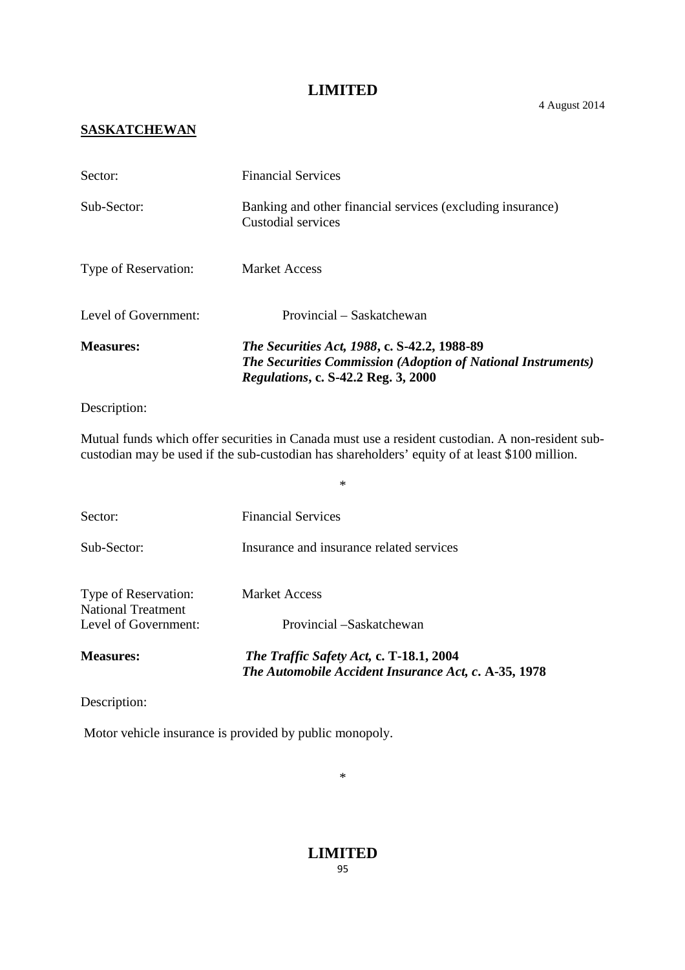4 August 2014

# **SASKATCHEWAN**

| <b>Measures:</b>     | <i>The Securities Act, 1988, c. S-42.2, 1988-89</i><br><b>The Securities Commission (Adoption of National Instruments)</b><br>Regulations, c. S-42.2 Reg. 3, 2000 |
|----------------------|-------------------------------------------------------------------------------------------------------------------------------------------------------------------|
| Level of Government: | Provincial – Saskatchewan                                                                                                                                         |
| Type of Reservation: | <b>Market Access</b>                                                                                                                                              |
| Sub-Sector:          | Banking and other financial services (excluding insurance)<br>Custodial services                                                                                  |
| Sector:              | <b>Financial Services</b>                                                                                                                                         |

#### Description:

Mutual funds which offer securities in Canada must use a resident custodian. A non-resident subcustodian may be used if the sub-custodian has shareholders' equity of at least \$100 million.

\*

| <b>Measures:</b>                           | The Traffic Safety Act, c. T-18.1, 2004<br>The Automobile Accident Insurance Act, c. A-35, 1978 |
|--------------------------------------------|-------------------------------------------------------------------------------------------------|
| National Treatment<br>Level of Government: | Provincial –Saskatchewan                                                                        |
| Type of Reservation:                       | <b>Market Access</b>                                                                            |
| Sub-Sector:                                | Insurance and insurance related services                                                        |
| Sector:                                    | <b>Financial Services</b>                                                                       |
|                                            |                                                                                                 |

Description:

Motor vehicle insurance is provided by public monopoly.

\*